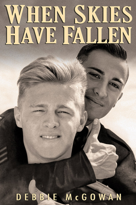# WHEN SKIES HAVE FALLEN

DEBBIE MCGOWAN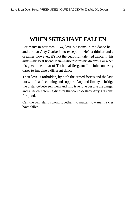# <span id="page-1-0"></span>**WHEN SKIES HAVE FALLEN**

For many in war-torn 1944, love blossoms in the dance hall, and airman Arty Clarke is no exception. He's a thinker and a dreamer; however, it's not the beautiful, talented dancer in his arms—his best friend Jean—who inspires his dreams. For when his gaze meets that of Technical Sergeant Jim Johnson, Arty dares to imagine a different dance.

Their love is forbidden, by both the armed forces and the law, but with Jean's cunning and support, Arty and Jim try to bridge the distance between them and find true love despite the danger and a life-threatening disaster that could destroy Arty's dreams for good.

Can the pair stand strong together, no matter how many skies have fallen?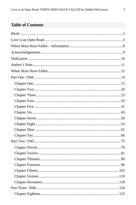## **Table of Contents**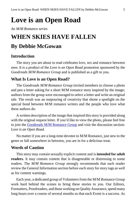# <span id="page-4-0"></span>**Love is an Open Road**

*An M/M Romance series*

# **WHEN SKIES HAVE FALLEN**

# **By Debbie McGowan**

#### **Introduction**

The story you are about to read celebrates love, sex and romance between men. It is a product of the *Love is an Open Road* promotion sponsored by the *Goodreads M/M Romance Group* and is published as a gift to you.

#### **What Is Love is an Open Road?**

The *Goodreads M/M Romance Group* invited members to choose a photo and pen a letter asking for a short M/M romance story inspired by the image; authors from the group were encouraged to select a letter and write an original tale. The result was an outpouring of creativity that shone a spotlight on the special bond between M/M romance writers and the people who love what these authors do.

A written description of the image that inspired this story is provided along with the original request letter. If you'd like to view the photo, please feel free to join the [Goodreads M/M Romance Group](http://www.goodreads.com/group/show/20149-m-m-romance) and visit the discussion section: *Love is an Open Road*.

No matter if you are a long-time devotee to M/M Romance, just new to the genre or fall somewhere in between, you are in for a delicious treat.

#### **Words of Caution**

This story may contain sexually explicit content and is **intended for adult readers.** It may contain content that is disagreeable or distressing to some readers. The *M/M Romance Group* strongly recommends that each reader review the General Information section before each story for story tags as well as for content warnings.

Each year, a dedicated group of Volunteers from the M/M Romance Group work hard behind the scenes to bring these stories to you. Our Editors, Formatters, Proofreaders, and those working on Quality Assurance, spend many long hours over a course of several months so that each Event is a success. As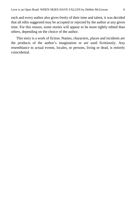each and every author also gives freely of their time and talent, it was decided that all edits suggested may be accepted or rejected by the author at any given time. For this reason, some stories will appear to be more tightly edited than others, depending on the choice of the author.

This story is a work of fiction. Names, characters, places and incidents are the products of the author's imagination or are used fictitiously. Any resemblance to actual events, locales, or persons, living or dead, is entirely coincidental.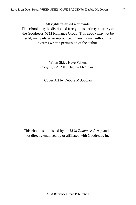All rights reserved worldwide.

This eBook may be distributed freely in its entirety courtesy of the Goodreads M/M Romance Group. This eBook may not be sold, manipulated or reproduced in any format without the express written permission of the author.

> When Skies Have Fallen, Copyright © 2015 Debbie McGowan

Cover Art by Debbie McGowan

This ebook is published by the *M/M Romance Group* and is not directly endorsed by or affiliated with Goodreads Inc.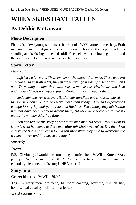# <span id="page-7-0"></span>**WHEN SKIES HAVE FALLEN By Debbie McGowan**

## **Photo Description**

Picture is of two young soldiers at the front of a WWII armed forces jeep. Both men are dressed in fatigues. One is sitting on the hood of the jeep; the other is standing and is kissing the seated soldier's cheek, whilst embracing him around the shoulders. Both men have cheeky, happy smiles.

## **Story Letter**

#### *Dear Author,*

*Life isn't a fairytale. These two know that better than most. These men are survivors. Against all odds, they made it through hardships, separation, and war. They clung to hope where little existed and, as the skies fell around them and the world was torn apart, found strength in loving each other.*

*Suddenly, the war was over. Battlefields lay silent and troops prepared for the journey home. These two were more than ready. They had experienced enough loss, grief, and pain to last ten lifetimes. The country they left behind may not have been ready to accept them, but they were prepared to live no matter how many skies had fallen.*

*You can tell me the story of how these men met, but what I really want to know is what happened to these men after this photo was taken. Did their love endure the trials of a return to civilian life? Were they able to overcome the trauma of war and find peace together?*

*Sincerely,*

#### *Tiffany*

P.S. - Obviously, I would like something historical here. WWII or Korean War, perhaps? No rape, incest, or BDSM. Would love to see the author include epistolary elements to this story!! HEA please!

### **Story Info**

**Genre:** historical (WWII–1960s)

**Tags:** military men, air force, ballroom dancing, wartime, civilian life, homosexual equality, political, tearjerker

**Word Count:** 71,272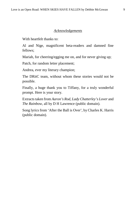#### *Acknowledgements*

<span id="page-8-0"></span>With heartfelt thanks to:

Al and Nige, magnificent beta-readers and damned fine fellows;

Mariah, for cheering/egging me on, and for never giving up;

Patch, for random letter placement;

Andrea, ever my literary champion;

The DRitC team, without whom these stories would not be possible.

Finally, a huge thank you to Tiffany, for a truly wonderful prompt. Here is your story.

Extracts taken from *Aaron's Rod, Lady Chatterley's Lover* and *The Rainbow*, all by D H Lawrence (public domain).

Song lyrics from 'After the Ball is Over', by Charles K. Harris (public domain).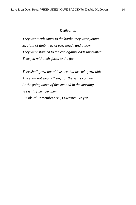#### *Dedication*

<span id="page-9-0"></span>*They went with songs to the battle, they were young. Straight of limb, true of eye, steady and aglow. They were staunch to the end against odds uncounted, They fell with their faces to the foe.*

*They shall grow not old, as we that are left grow old: Age shall not weary them, nor the years condemn. At the going down of the sun and in the morning, We will remember them.*

– 'Ode of Remembrance', Lawrence Binyon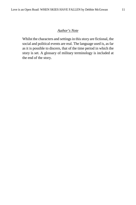#### *Author's Note*

<span id="page-10-0"></span>Whilst the characters and settings in this story are fictional, the social and political events are real. The language used is, as far as it is possible to discern, that of the time period in which the story is set. A glossary of military terminology is included at the end of the story.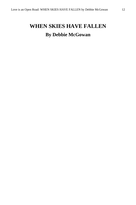# <span id="page-11-0"></span>**WHEN SKIES HAVE FALLEN By Debbie McGowan**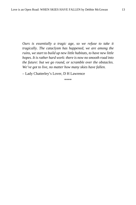*Ours is essentially a tragic age, so we refuse to take it tragically. The cataclysm has happened, we are among the ruins, we start to build up new little habitats, to have new little hopes. It is rather hard work: there is now no smooth road into the future: but we go round, or scramble over the obstacles. We've got to live, no matter how many skies have fallen.*

– Lady Chatterley's Lover, D H Lawrence

\*\*\*\*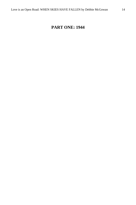## <span id="page-13-0"></span>**PART ONE: 1944**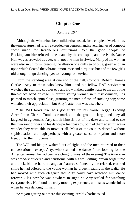#### **Chapter One**

#### *January, 1944*

<span id="page-14-0"></span>Although the winter had been milder than usual, for a couple of weeks now, the temperature had rarely exceeded ten degrees, and several inches of compact snow made for treacherous excursions. Yet the good people of Buckinghamshire refused to be beaten by the cold spell, and the Palais Dance Hall was as crowded as ever, with not one man in civvies. Many of the women were also in uniform, creating the illusion of a dull sea of blue, green and tan upon which floated the vibrant lemon, rose and turquoise hues of the few girls old enough to go dancing, yet too young for service.

From the standing area at one end of the hall, Corporal Robert Thomas Clarke—Arty to those who knew him—and his fellow RAF servicemen watched the swirling couples ebb and flow in their gentle waltz to the air of the three-piece band onstage. A brazen young woman in flimsy crimson, lips painted to match, spun close, granting the men a flash of stocking-top; some whistled their appreciation, but Arty's attention was elsewhere.

"The WO looks like he's got sticks up his trouser legs," Leading Aircraftman Charlie Tomkins remarked to the group at large, and they all laughed in agreement. Arty shook himself out of his daze and turned to see their warrant officer and his dance partner pass by, both of them so stiff it was a wonder they were able to move at all. Most of the couples danced without sophistication, although perhaps with a greater sense of rhythm and more freedom to their movement.

The WO and his girl waltzed out of sight, and the men returned to their conversations—except Arty, who scanned the dance floor, looking for the American airman he had been watching for most of the evening. The American was broad-shouldered and handsome, with his well-fitting, brown serge tunic and thick, blonde hair, his angular features softened by the relaxed, crooked smile he had offered to the young woman he'd been leading in the waltz. He had moved with such elegance that Arty could have watched him dance forever. Alas now he was nowhere in sight, so Arty settled for watching everyone else. He found it a truly moving experience, almost as wonderful as when he was dancing himself.

"Are you getting out there this evening, Art?" Charlie asked.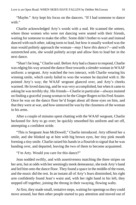"Maybe." Arty kept his focus on the dancers. "If I had someone to dance with."

Charlie acknowledged Arty's words with a nod. He scanned the settees, where those women who were not dancing were seated with their friends, waiting for someone to make the offer. Some didn't bother to wait and instead danced with each other, taking turns to lead, but how it usually worked was the man would politely approach the woman—*may I have this dance?*—and with outstretched arm, she would politely accept and allow him to lead her in the next dance.

"Shan't be long," Charlie said. Before Arty had a chance to respond, Charlie was edging his way around the dance floor towards a slender woman in WAAF uniform: a sergeant. Arty watched the two interact, with Charlie wearing his winning smile, which rarely failed to woo the women he dazzled with it. He pointed Arty's way; the WAAF sergeant glanced over, and Arty's cheeks warmed. He loved dancing, and he was very accomplished, but when it came to asking he was terribly shy. His friends—Charlie in particular—always insisted on finding a graceful young woman to be the Ginger Rogers to his Fred Astaire. Once he was on the dance floor he'd forget about all those eyes on him, and that they were at war, and how unmoved he was by the closeness of the woman in his arms.

After a couple of minutes spent chatting with the WAAF sergeant, Charlie beckoned for Arty to go over; he quickly smoothed his uniform and set off, attempting a confident stride.

"This is Sergeant Jean McDowell," Charlie introduced. Arty offered her a smile, and she blinked up at him with big brown eyes, her tiny pink mouth forming a tiny smile. Charlie raised his hands in a flourish to signal that he was handing over, and departed, leaving the two of them to become acquainted.

"I'm Arty. Would you care for this dance?"

Jean nodded swiftly, and with assertiveness matching the three stripes on her arm, but at odds with her seemingly meek demeanour, she took Arty's hand and led him onto the dance floor. They found a space in the middle of the room, and the music did the rest. In an instant all of Arty's fears diminished, his right arm confidently found Jean's waist and, with her right hand in his left, they stepped off together, joining the throng in their swaying, flowing waltz.

At first, they made small, tentative steps, waiting for openings so they could move around, but then other people started to pay attention and moved out of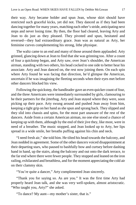their way. Arty became bolder and spun Jean, whose skirt should have restricted such graceful kicks, yet did not. They danced as if they had been dancing together for many years, matching each other's stride, anticipating next steps and never losing time. By then, the floor had cleared, leaving Arty and Jean to do just as they pleased. They pivoted and spun, hesitated and reversed—they had extraordinary grace. Jean was as natural as Arty, her feminine curves complementing his strong, lithe physique.

The waltz came to an end and many of those around them applauded. Arty grinned, glancing down at Jean to find that she was grinning too. After a count of four a quickstep began, and Arty saw, over Jean's shoulder, the American airman, standing with two others, his head cocked to one side to better hear his associate. Arty and Jean danced on, the rest now joining them. On each spin where Arty found he was facing that direction, he'd glimpse the American, uncertain if he was imagining the fleeting seconds when their eyes met before other dancers blocked his view.

Following the quickstep, the bandleader gave an even quicker count of four, and the three Americans were immediately surrounded by girls, clamouring to be their partners for the jitterbug. Arty and Jean stayed where they were, soon picking up their pace. Arty swung around and pushed Jean away from him, keeping a tight grip on her hand as she spun and sprang back. They slipped and they slid into chassis and spins, for the most part unaware of the rest of the dancers. Aside from a certain American airman, no one else stood a chance of keeping up with them, although by the end of their jive they, like most, were in need of a breather. The music stopped, and Jean looked up to Arty, her lips spread in a wide smile, her breaths puffing against his chin and neck.

"I need fresh air," she told him. He tilted his head towards the balcony, and Jean nodded in agreement. Some of the other dancers voiced disappointment at their departing stars, who paused to bashfully bow and curtsey before dashing hand in hand, up the stairs, along the balcony and out onto the dark terrace, to the far end where there were fewer people. They stopped and leaned on the iron railing, exhilarated and breathless, and for the moment appreciating the cold air on their clammy skin.

"You're quite a dancer," Arty complimented Jean sincerely.

"Thank you for saying so. As are you." It was the first time Arty had properly heard Jean talk, and she was very well-spoken, almost aristocratic. "Who taught you, Arty?" she asked.

"To dance? My aunt—my mother's sister, that is."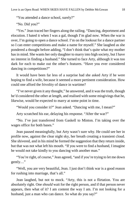"You attended a dance school, surely?"

"No. Did you?"

"Yes." Jean traced her fingers along the railing. "Dancing, deportment and elocution. I hated it when I was a gal, though I'm glad now. When the war is over, I'm going to open a dance school. I'm on the lookout for a dance partner so I can enter competitions and make a name for myself." She laughed as she pondered a thought before adding, "I don't think that's quite what my mother has in mind. She wants her only daughter to marry into high society, but I have no interest in finding a husband." She turned to face Arty, although it was too dark for each to make out the other's features. "Have you ever considered dancing in competitions?"

It would have been far less of a surprise had she asked Arty if he were hoping to find a wife, because it seemed a more pertinent consideration. How could one afford the frivolity of dance in wartime?

"I've never given it any thought," he answered, and it was the truth, though he'd considered the other at length, and realised with some misgivings that he, likewise, would be expected to marry at some point in time.

"Would you consider it?" Jean asked. "Dancing with me, I mean?"

Arty scratched his ear, delaying his response. "After the war?"

"No. I've just transferred from Gaskell to Minton. I'm taking over the wages office for both bases."

Jean paused meaningfully, but Arty wasn't sure why. He could see her in profile now, against the clear night sky, her breath creating a transient cloud. She shivered, and in his mind he formed the suggestion that they return inside, but that was not what left his mouth. "If you were to find a husband, I imagine he would not take kindly to you dancing with another man."

"You're right, of course," Jean agreed, "and if you're trying to let me down gently…"

"Well, you are very beautiful, Jean. I just don't think war is a good reason for rushing into marriage, that's all."

Jean laughed, but not to mock. "Arty, this is not a flirtation. You are absolutely right. One *should* wait for the right person, and if that person never appears, then what of it? I am content the way I am. I'm not looking for a husband, just a man who can dance. So what do you say?"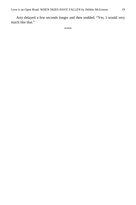Arty delayed a few seconds longer and then nodded. "Yes. I would very much like that."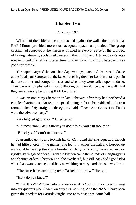#### **Chapter Two**

#### *February, 1944*

<span id="page-19-0"></span>With all of the tables and chairs stacked against the walls, the mess hall at RAF Minton provided more than adequate space for practice. The group captain had approved it; he was as enthralled as everyone else by the prospect of having nationally acclaimed dancers in their midst, and Arty and Jean's rotas now included officially allocated time for their dancing, simply because it was good for morale.

The captain agreed that on Thursday evenings, Arty and Jean would dance at the Palais, on Saturdays at the base, travelling down to London to take part in demonstrations and competitions as and when they were called upon to do so. They were accomplished in most ballroom, but *their* dance was the waltz and they were quickly becoming RAF favourites.

It was on one rainy afternoon in late February, after they had perfected a couple of variations, that Jean stopped dancing, right in the middle of the barren room, looked Arty straight in the eye, and said, "Those Americans at the Palais were the advance party."

Arty feigned ignorance. "Americans?"

"Oh come now, Arty. Surely you don't think you can fool me?"

"F-fool you? I don't understand."

Jean smiled gently and took his hand. "Come and sit," she requested, though he had little choice in the matter. She led him across the hall and hopped up onto a table, patting the space beside her. Arty reluctantly complied and sat rigidly, staring dead ahead. From the kitchen came the sounds of clanging pans and shouted orders. They wouldn't be overheard, but still, Arty had a good idea what Jean wanted to say, and he was wishing so very hard that she wouldn't.

"The Americans are taking over Gaskell tomorrow," she said.

"How do you know?"

"Gaskell's WAAF have already transferred to Minton. They were moving into our quarters when I went on duty this morning. And the NAAFI have been given their orders for Saturday night. We're to host a welcome ball."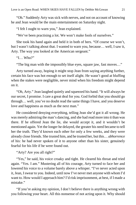"Oh." Suddenly Arty was sick with nerves, and not on account of knowing he and Jean would be the main entertainment on Saturday night.

"I felt I ought to warn you," Jean explained.

"We've been practising a lot. We won't make fools of ourselves."

She took his hand again and held it in both of hers. "Of course we won't, but I wasn't talking about that. I wanted to warn you, because… well, I saw it, Arty. The way you looked at the American sergeant."

"I… Who?"

"The big man with the impossibly blue eyes, square jaw, fast moves…"

Arty turned away, hoping it might stop Jean from saying anything further, certain his face was hot enough to set itself alight. He wasn't good at bluffing when the stakes were negligible, never mind when his freedom might depend on it.

"Oh, Arty." Jean laughed quietly and squeezed his hand. "It will always be our secret, I promise. I care a great deal for you. God forbid that you should go through… well, you've no doubt read the same things I have, and you deserve love and happiness as much as the next man."

He considered denying everything, telling Jean she'd got it all wrong. He was merely admiring the man's dancing, and she had read more into it than was there. If he offered Jean the lie, she would accept it, and it wouldn't be mentioned again. Yet the longer he delayed, the greater his need became to tell her the truth. They'd known each other for only a few weeks, and they were already close friends. She trusted him, and he trusted her, but this… *abhorrence* of his: he had never spoken of it to anyone other than his sister, genuinely fearful for his life if he were found out.

"Arty? Are you all right?"

"Yes," he said, his voice croaky and tight. He cleared his throat and tried again. "Yes. I am." Mustering all of his courage, Arty turned to face her and lowered his voice to a volume barely above a whisper. "I've never acted upon it, Jean, I swear to you. Indeed, until now I've never met anyone with whom I'd want to. How would I approach him? I'd risk imprisonment, at best, if I made a mistake."

"If you're asking my opinion, I don't believe there is anything wrong with you following your heart. All this nonsense of not acting upon it. Why should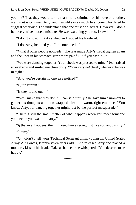you not? That they would turn a man into a criminal for his love of another, well, *that* is criminal, Arty, and I would say as much to anyone who dared to suggest otherwise. I do understand that one must be discreet. However, I don't believe you've made a mistake. He was watching you too. I saw him."

"I don't know…" Arty sighed and rubbed his forehead.

"I do. Arty, he liked you. I'm convinced of it."

"What if other people noticed?" The fear made Arty's throat tighten again and the knot in his stomach grew more painful. "If you saw it—"

"We were dancing together. Your cheek was pressed to mine." Jean raised an eyebrow and smiled mischievously. "Your very *hot* cheek, whenever he was in sight."

"And you're certain no one else noticed?"

"Quite certain."

"If they found out—"

"We'll make sure they don't," Jean said firmly. She gave him a moment to gather his thoughts and then wrapped him in a warm, tight embrace. "You know, Arty, our dancing together might just be the perfect masquerade."

"There's still the small matter of what happens when you meet someone you decide you want to marry."

"*If* that ever happens, then I'll keep him a secret, just like you and Jimmy."

"Jimmy?"

"Oh, didn't I tell you? Technical Sergeant Jimmy Johnson, United States Army Air Forces, twenty-seven years old." She released Arty and placed a motherly kiss on his head. "Take a chance," she whispered. "You deserve to be happy."

\*\*\*\*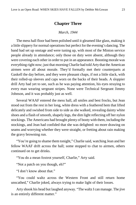#### **Chapter Three**

#### *March, 1944*

<span id="page-22-0"></span>The mess hall floor had been polished until it gleamed like glass, making it a little slippery for normal operations but perfect for the evening's dancing. The band had set up onstage and were tuning up, with most of the Minton service people already in attendance; only those on duty were absent, although they were covering each other in order to put in an appearance. Boosting morale was everything right now; just that morning Charlie had told Arty that the American airmen were all about morale. They'd formally met their counterparts at Gaskell the day before, and they were pleasant chaps, if not a little slack, with their rolled-up sleeves and caps worn on the backs of their heads. A sloppier drill Arty had yet to see, such as he was paying attention, his eyes straying to every man wearing sergeant stripes. None were Technical Sergeant Jimmy Johnson, and it was probably just as well.

Several WAAF entered the mess hall, all smiles and best frocks, but Jean stood out from the rest in her long, white dress with a feathered hem that lifted delicately and swished from side to side as she walked, revealing dainty white shoes and a flash of smooth, shapely legs, the dim light reflecting off her nylon stockings. The Americans had brought plenty of booty with them, including the stockings, and Jean had confided that she was delighted: no more drawing on seams and worrying whether they were straight, or fretting about rain making the gravy browning run.

"You're going to shame them tonight," Charlie said, watching Jean and her fellow WAAF drift across the hall; some stopped to chat to airmen, others continued on to get drinks.

"You do a mean foxtrot yourself, Charlie," Arty said.

"Not a patch on you though, eh?"

"I don't know about that."

"You could waltz across the Western Front and still return home unscathed," Charlie joked, always trying to make light of their losses.

Arty shook his head but laughed anyway. "The waltz I can manage. The jive is an entirely different matter."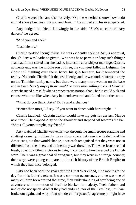Charlie waved his hand dismissively. "Oh, the Americans know how to do all that showy business, but you and Jean…" He smiled and his eyes sparkled.

Arty nudged his friend knowingly in the side. "She's an extraordinary dancer," he agreed.

"And you and she?"

"Just friends."

Charlie nodded thoughtfully. He was evidently seeking Arty's approval, though Arty was loathe to give it. Who was he to permit or deny such things? Jean had firmly stated that she had no interest in courtship or marriage; Charlie, at twenty-six, was the middle son of three, the youngest killed in Belgium, the eldest still fighting over there, hence his glib humour, for it tempered the reality. No doubt Charlie felt the loss keenly, and he was under duress to carry on the Tomkins family name, but there were many more women on the base and in town. *Surely any of those would be more than willing to court Charlie?* Arty chastised himself; what a preposterous notion, that Charlie could pick and choose whom to like when Arty had endeavoured and failed to do the same.

"What do you think, Arty? Do I stand a chance?"

"Better than most, I'd say. If you want to dance with her tonight—"

Charlie laughed. "Captain Taylor would have my guts for garters. Maybe next time." He clapped Arty on the shoulder and stepped off towards the bar. "She's all yours tonight, my friend."

Arty watched Charlie weave his way through the small groups standing and chatting casually, noticeably more floor space between the British and the Americans, but that would change, once each recognised that they were not so different from the other, and their enemy was the same. The Americans seemed brash, boastful of their victories to date, in contrast to how reserved the British were. There was a great deal of arrogance, but they were in a strange country; their ways were young compared to the rich history of the British Empire to which they had once belonged.

Arty had been born the year after the Great War ended, nine months to the day from his father's return. It was a common occurrence, and he was one of many children born around that time, their understanding of war being one of adventure with no notion of death to blacken its majesty. Their fathers and uncles did not speak of what they had endured, nor of the lives lost, until war broke out again, and Arty often wondered if a peaceful agreement might have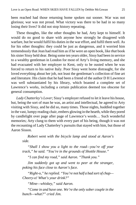been reached had those returning home spoken out sooner. War was not glorious; war was not proud. What victory was there to be had in so many losing their lives? It did not stop history repeating.

These thoughts, like the other thoughts he had, Arty kept to himself. It would do no good to share with anyone how strongly he disagreed with warfare, but he would fulfil his duties in the war effort, and fulfil them well. As for his other thoughts: they could be just as dangerous, and it worried him tremendously that Jean had read him as if he were an open book, like *that* book his sister Sissy held dear. Being some ten years older, Sissy had been in service to a wealthy gentleman in London for most of Arty's living memory, and she had evacuated with her employer to Kent, only to be ousted when he was forced to return to his native Italy. Poor Sissy went home distraught, for she loved everything about her job, not least the gentleman's collection of fine art and literature. His claim that he had been a friend of the author D H Lawrence was well substantiated by his library, which boasted a complete set of Lawrence's works, including a certain publication deemed too obscene for general consumption.

*Lady Chatterley's Lover*; Sissy's employer refused to let it leave his house, but, being the sort of man he was, an artist and intellectual, he agreed to Arty visiting with Sissy, and he did so, many times. Those nights, huddled together in the vast, lumpy reading chair, embers glowing in the hearth, while they pored by candlelight over page after page of Lawrence's words… Such wonderful memories; Arty clung to them with every part of his being, though it was not the recounting of Lady Chatterley's pursuits that stayed with him, but those of Aaron Sisson.

*Robert went with the bicycle lamp and stood at Aaron's side.*

*"Shall I show you a light to the road—you're off your track," he said. "You're in the grounds of Shottle House."*

*"I can find my road," said Aaron. "Thank you."*

*Jim suddenly got up and went to peer at the stranger, poking his face close to Aaron's face.*

*"Right-o," he replied. "You're not half a bad sort of chap— Cheery-o! What's your drink?"*

*"Mine—whiskey," said Aaron.*

*"Come in and have one. We're the only sober couple in the bunch—what?" cried Jim.*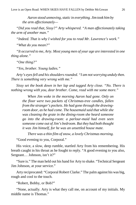*Aaron stood unmoving, static in everything. Jim took him by the arm affectionately—*

*"Did you read that, Sissy?" Arty whispered. "A man affectionately taking the arm of another man."*

*"Indeed. That is why I wished for you to read Mr. Lawrence's work."*

*"What do you mean?"*

*"It occurred to me, Arty. Most young men of your age are interested in one thing alone."*

*"One thing?"*

*"Yes, brother. Young ladies."*

*Arty's eyes fell and his shoulders rounded. "I am not worrying unduly then. There is something very wrong with me."*

*Sissy set the book down in her lap and tugged Arty close. "No. There is nothing wrong with you, dear brother. Come, read with me some more."*

*When Jim woke in the morning Aaron had gone. Only on the floor were two packets of Christmas-tree candles, fallen from the stranger's pockets. He had gone through the drawingroom door, as he had come. The housemaid said that while she was cleaning the grate in the dining-room she heard someone go into the drawing-room: a parlour-maid had even seen someone come out of Jim's bedroom. But they had both thought it was Jim himself, for he was an unsettled house mate.*

*There was a thin film of snow, a lovely Christmas morning.*

"Good evening to you, Corporal."

His voice, a slow, deep rumble, startled Arty from his remembering. His breath caught in his throat as he fought to reply. "A good evening to you also, Sergeant… Johnson, isn't it?"

"Sure is." The man held out his hand for Arty to shake. "Technical Sergeant Jim Johnson, at your service."

Arty reciprocated: "Corporal Robert Clarke." The palm against his was big, rough and cool to the touch.

"Robert, Bobby, or Bob?"

"None, actually. Arty is what they call me, on account of my initials. My middle name is Thomas."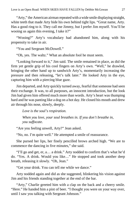"Arty," the American airman repeated with a wide smile displaying straight, white teeth that made Arty hide his own behind tight lips. "Great name, Arty. Has a good ring to it. They call me Jimmy, but I prefer Jim myself. You'll be wooing us again this evening, I take it?"

"Wooing?" Arty's vocabulary had abandoned him, along with his propensity to take in air.

"You and Sergeant McDowell."

"Oh, yes. The waltz." What an absolute fool he must seem.

"Looking forward to it," Jim said. The smile remained in place, as did the firm yet gentle grip of his cool fingers on Arty's own. "Well," he drawled, bringing the other hand up to sandwich Arty's, momentarily increasing the pressure and then releasing, "let's talk later." He looked Arty in the eye, capturing him with a piercing blue gaze.

Jim departed, and Arty quickly turned away, fearful that someone had seen their exchange. It was, to all purposes, an innocent introduction, but the look Jim had given him offered much more than words. Arty's heart was thumping hard and he was panting like a dog on a hot day. He closed his mouth and drew air through his nose, slowly, deeply.

*Love is the soul's respiration.*

*When you love, your soul breathes in. If you don't breathe in, you suffocate.*

"Are you feeling unwell, Arty?" Jean asked.

"No, no. I'm quite well." He attempted a smile of reassurance.

She pursed her lips, her finely pencilled brows arched high. "We are to commence the dancing in five minutes," she said.

"I'll go and get, er, a… a drink." Arty nodded to confirm that's what he'd do. "Yes. A drink. Would you like…" He stopped and took another deep breath, releasing it slowly. "Oh, Jean."

"Get your drink. You can tell me while we dance."

Arty nodded again and did as she suggested, blinkering his vision against Jim and his friends standing together at the end of the bar.

"Arty," Charlie greeted him with a clap on the back and a cheery smile. "Here." He handed him a pint of beer. "I thought you were on your way over, until I saw you talking with Sergeant Johnson."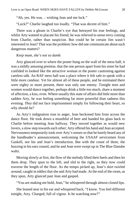"Ah, yes. He was… wishing Jean and me luck."

"Luck?" Charlie laughed too loudly. "That was decent of him."

There was a gleam in Charlie's eye that betrayed his true feelings, and whilst Arty wanted to placate his friend, he was relieved to sense envy coming from Charlie, rather than suspicion. But could he be certain Jim wasn't interested in Jean? That was the problem: how did one communicate about such dangerous matters?

#### *Keep mum, she's not so dumb.*

Arty glanced over to where the poster hung on the wall of the mess hall; it was a mildly amusing premise, that the one person apart from his sister he had confided in looked like the attractive woman in the poster cautioning against careless talk. An RAF mess hall was a place where it felt safe to speak with a little more candour. Yet for almost all of these people, and he estimated there were eighty or more present, there was only one enemy. Tonight men and women would dance together, perhaps drink a little too much, share a moment of affection, a kiss, even. Where usually this state of affairs did little more than sadden Arty, he was feeling something far more powerful than sadness this evening. *They* did not face imprisonment simply for following their heart, so why should he?

As Arty's indignation rose to anger, Jean beckoned him from across the dance floor. He took down a mouthful of beer and handed his glass back to Charlie before meeting Jean halfway. They moved together as would new lovers, a slow step towards each other; Arty offered his hand and Jean accepted. Nervousness temporarily took over Arty's senses so that he barely heard any of the bandleader's announcement, welcoming the USAAF servicemen from Gaskell, nor his and Jean's introduction. But with the count of three, the buzzing in his ears ceased, and he and Jean were swept up in The Blue Danube waltz.

Moving slowly at first, the flow of the melody lifted their heels and then let them drop. They spun to the left, and slid to the right, so they now could traverse the length of the floor. As the tempo picked up, Jean's skirt twirled around, caught in eddies that she and Arty had made. At the end of the room, as they spun, Arty glanced past Jean and gasped.

"You are making me bold, Jean," he whispered through almost closed lips.

She leaned near to his ear and whispered back, "I know. You feel different tonight, Arty. Charged, full of vigour. Is he watching now?"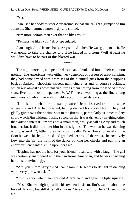"Yes."

Jean used her body to steer Arty around so that she caught a glimpse of Jim Johnson. She hummed knowingly and smiled.

"I'm more certain than ever that he likes you."

"Perhaps he likes you," Arty speculated.

Jean laughed and leaned back. Arty smiled at her. He was going to do it. He was going to take the chance, and if he landed in prison? Well at least he wouldn't have to be part of this blasted war.

\*\*\*\*

The night wore on, and people danced and drank and found their common ground. The Americans were either very generous or possessed great cunning; they had come armed with promises of the plentiful gifts from their supplies back at Gaskell—chocolate, sweets, gum, cigarettes and, of course stockings, which was almost as powerful an allure as them hailing from the land of movie stars. Even the most independent WAAFs were swooning at the fine young men, most of whom were also highly accomplished dancers.

"I think it's their more relaxed posture," Jean observed from the settee where she and Arty had crashed, having danced for a solid hour. They had gladly given over their prime spot to the jitterbug, particularly as it meant Arty could watch Jim without rousing suspicion that it was driven by anything other than artistic interest. Jim was not a small man, easily as tall as Arty and much broader, but it didn't hinder him in the slightest. The woman he was dancing with was an AC2, little more than a girl, really. When Jim slid her along the floor between his legs, turned and grabbed her around the waist, she positively flew into the air, the thrill of the dance pinking her cheeks and painting an enormous, enchanted smile upon her face.

"Daphne has got the hots for your friend," Jean said with a laugh. The girl was certainly enamoured with the handsome American, and he was charming her most convincingly.

"Are you sure?" Arty asked Jean again. "He seems to delight in dancing with every girl who asks."

"Just like you, eh?" Jean grasped Arty's hand and gave it a tight squeeze.

"Yes." She was right; just like his own enthusiasm, Jim's was all about the love of dancing, but still Arty felt anxious. "Are you all right here? I need some air."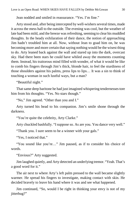Jean nodded and smiled in reassurance. "Yes. I'm fine."

Arty stood and, after being intercepted by well-wishers several times, made it across the mess hall to the outside. The evening was cool, but the weather of late had been mild, and the breeze was refreshing, seeming to clear his muddled thoughts. In the heady exhilaration of their dance, the notion of approaching Jim hadn't troubled him at all. Now, without Jean to goad him on, he was becoming more and more certain that saying nothing would be the wisest thing to do. Arty leaned back against the wall and stared up into the dark, overcast sky. Had there been stars he could have whiled away the moments counting them. Instead, his traitorous mind filled with wonder, of what it would be like to comb his fingers through Jim's thick, blonde hair, to feel the sturdiness of those shoulders against his palms, press lips to lips… It was a sin to think of touching a woman in such lustful ways, but a man?

"Beautiful night."

That same deep baritone he had just imagined whispering tendernesses tore him from his thoughts. "Yes. No stars though."

"No," Jim agreed. "Other than you and I."

Arty turned his head to his companion. Jim's smile shone through the darkness.

"You're quite the celebrity, Arty Clarke."

Arty chuckled bashfully. "I suppose so. As are you. You dance very well."

"Thank you. I sure seem to be a winner with your gals."

"Yes, I noticed that."

"You sound like you're…" Jim paused, as if to consider his choice of words.

"Envious?" Arty suggested.

Jim laughed quietly, and Arty detected an underlying tremor. "Yeah. That's a good word for it."

The air next to where Arty's left palm pressed to the wall became slightly warmer. He spread his fingers to investigate, making contact with skin. He decided bravely to leave his hand where it was and see what happened.

Jim continued, "So, would I be right in thinking your envy is not of my jitterbug?"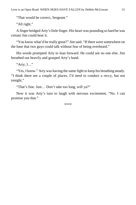"That would be correct, Sergeant."

"All right."

A finger bridged Arty's little finger. His heart was pounding so hard he was certain Jim could hear it.

"You know what'd be really great?" Jim said. "If there were somewhere on the base that two guys could talk without fear of being overheard."

His words prompted Arty to lean forward. He could see no one else. Jim breathed out heavily and grasped Arty's hand.

"Arty, I…"

"Yes, I know." Arty was having the same fight to keep his breathing steady. "I think there are a couple of places, I'd need to conduct a reccy, but not tonight."

"That's fine. Just… Don't take too long, will ya?"

Now it was Arty's turn to laugh with nervous excitement. "No. I can promise you that."

\*\*\*\*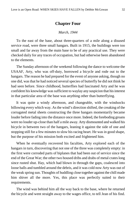#### **Chapter Four**

#### *March, 1944*

<span id="page-31-0"></span>To the east of the base, about three-quarters of a mile along a disused service road, were three small hangars. Built in 1915, the buildings were too small and far away from the main base to be of any practical use. They were checked daily for any traces of occupation, but had otherwise been abandoned to the elements.

The Sunday afternoon of the weekend following the dance to welcome the USAAF, Arty, who was off-duty, borrowed a bicycle and rode out to the hangars. The reason he had prepared for the event of anyone asking, though no one did, was that he had noticed several species of butterfly he did not think he had seen before. Since childhood, butterflies had fascinated Arty and he was confident his knowledge was sufficient to waylay any suspicion that his interest in that particular area of the base was anything other than butterflying.

It was quite a windy afternoon, and changeable, with the windsocks billowing every which way. As the wind's direction shifted, the creaking of the corrugated metal sheets constructing the three hangars momentarily became louder before fading into the distance once more. Indeed, the foreboding groans were no louder up-close than half a mile away. Arty dismounted and walked his bicycle in between two of the hangars, leaning it against the side of one and stopping still for a few minutes to slow his racing heart. He was in good shape, but the purpose of his mission both excited and frightened him.

When he eventually recovered his faculties, Arty explored each of the hangars in turn, discovering that not one of the three was completely empty: in the first were corroded parts of biplanes that had been out of service since the end of the Great War; the other two housed dribs and drabs of metal crates long since rusted shut. Hay, which had blown in through the gaps, coalesced into loose balls and tumbled around the debris, and it was cold now Arty was out of the weak spring sun. Thoughts of huddling close together against the chill made him shiver all the more. Yes, this place was perfectly suited to their requirements.

The wind was behind him all the way back to the base, where he returned the bicycle and went straight away to the wages office, to tell Jean of his find.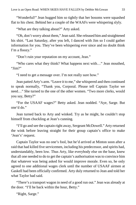"Wonderful!" Jean hugged him so tightly that her bosoms were squashed flat to his chest. Behind her a couple of the WAAFs were whispering slyly.

"What are they talking about?" Arty asked.

"Oh, don't worry about them," Jean said. She released him and straightened his shirt. "Last Saturday, after you left, I danced with Jim so I could gather information for you. They've been whispering ever since and no doubt think I'm a floozy."

"Don't ruin your reputation on my account, Jean."

"Who cares what they think? What happens next with…" Jean mouthed, "Jim?"

"I need to get a message over. I'm not really sure how."

Jean patted Arty's arm. "Leave it to me," she whispered and then continued to speak normally, "Thank you, Corporal. Please tell Captain Taylor we need…" She turned to the one of the other women. "Two more clerks, would you say, Betty?"

"For the USAAF wages?" Betty asked. Jean nodded. "Aye, Sarge. But one'd do."

Jean turned back to Arty and winked. Try as he might, he couldn't stop himself from chuckling at Jean's cunning.

"I'll go and see the captain right away, Sergeant McDowell." Arty returned the wink before leaving straight for their group captain's office to make 'Jean's' request.

Captain Taylor was no one's fool, but he'd arrived at Minton soon after a raid that had killed five servicemen, including his predecessor, and spirits had, understandably, been low. Thus Arty, like everybody else on the base, knew that all one needed to do to get the captain's authorisation was to convince him that whatever was being asked for would improve morale. Even so, he only agreed to one additional wages clerk until the number of USAAF airmen at Gaskell had been officially confirmed. Arty duly returned to Jean and told her what Taylor had said.

"There's a transport wagon in need of a good run out." Jean was already at the door. "I'll be back within the hour, Betty."

"Right, Sarge."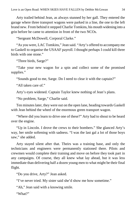Arty trailed behind Jean, as always stunned by her gall. They entered the garage where three transport wagons were parked in a line, the one to the left brand new. From behind it stepped Charlie Tomkins, his mouth widening into a grin before he came to attention in front of the two NCOs.

"Sergeant McDowell, Corporal Clarke."

"As you were, LAC Tomkins," Jean said. "Arty's offered to accompany me to Gaskell to organise the USAAF payroll. I thought perhaps I could kill three birds with one stone."

"Three birds, Sarge?"

"Take your new wagon for a spin and collect some of the promised supplies."

"Sounds good to me, Sarge. Do I need to clear it with the captain?"

"All taken care of."

Arty's eyes widened. Captain Taylor knew nothing of Jean's plans.

"No problem, Sarge," Charlie said.

Ten minutes later, they were out on the open lane, heading towards Gaskell with Jean behind the wheel of the enormous green transport wagon.

"Where did you learn to drive one of these?" Arty had to shout to be heard over the engine.

"Up in Lincoln. I drove the crews to their bombers." She glanced Arty's way, her smile softening with sadness. "I was the last gal a lot of those boys saw," she added.

Arty stayed silent after that. Theirs was a training base, and only the technicians and engineers were permanently stationed there. Pilots and crewmen would complete their training and move on before they took part in any campaigns. Of course, they all knew what lay ahead, but it was less immediate than delivering half a dozen young men to what might be their final flight.

"Do you drive, Arty?" Jean asked.

"I've never tried. My sister said she'd show me how sometime."

"Ah," Jean said with a knowing smile.

"What?"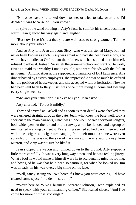"Not once have you talked down to me, or tried to take over, and I'd decided it was because of… you know."

In spite of the wind blowing in Arty's face, he still felt his cheeks becoming warm. Jean glanced his way again and laughed.

"But now I see it's just that you are well used to strong women. Tell me more about your sister."

And so Arty told Jean all about Sissy, who was christened Mary, but had never been known as such. Sissy was smart and had she been born a boy, she would have studied at Oxford, but their father, who had studied there himself, refused to allow it. Instead, Sissy left the grammar school and went out to work, first as a maid to a wealthy London couple, who were friends with the Italian gentleman, Antonio Adessi: the supposed acquaintance of D H Lawrence. At a dinner hosted by Sissy's employers, she impressed Adessi so much he offered her the position of housekeeper, and she accepted without hesitation. Now he had been sent back to Italy, Sissy was once more living at home and loathing every single second.

"She and your father don't see eye to eye?" Jean asked.

Arty chortled. "To put it mildly."

They had arrived at Gaskell and as soon as their details were checked they were ushered straight through the gate. Jean, who knew the base well, took a shortcut to the main barracks, which was hidden behind two enormous hangars, both wide open. At the far end of the runway a bomber landed and a group of men started walking to meet it. Everything seemed so laid back: men worked with pipes, cigars and cigarettes hanging from their mouths; some were even sprawled on the grass at the side of the runway. It was a world away from Minton, and Arty wasn't sure he liked it.

Jean stopped the wagon and jumped down to the ground. Arty stepped a little more carefully. It was a very long way down, and he was feeling jittery. What a fool he would make of himself were he to accidentally miss his footing, and how glad he was that he'd been so cautious, for when he looked up, Jim was already on his way over, a big smile on his face.

"Well, fancy seeing you two here! If I knew you were coming, I'd have cleared some space for a demonstration."

"We're here on WAAF business, Sergeant Johnson," Jean explained. "I need to speak with your commanding officer." She leaned closer. "And I've come for more of those stockings."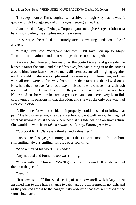The deep boom of Jim's laughter sent a shiver through Arty that he wasn't quick enough to disguise, and Jim's eyes fleetingly met his.

Jean turned to Arty. "Perhaps, Corporal, you could give Sergeant Johnson a hand with loading the supplies onto the wagon?"

"Yes, Sarge," he replied, not entirely sure his sweating hands would be of any use.

"Great," Jim said. "Sergeant McDowell, I'll take you up to Major Johnson—no relation—and then we'll get those supplies together."

Arty watched Jean and Jim march to the control tower and go inside. He leaned against the truck and closed his eyes, his ears tuning in to the sounds around him, American voices, so many different accents all mingling together until he could not discern a single word they were saying. These men, and they were all men, were so far away from home, their families, their loved ones. How hard that must be. Arty had always insisted he would never marry, though not for that reason. He much preferred the prospect of a life alone to one of lies. Not even Jean, for whom he cared a great deal and considered very beautiful, could tempt his passions in that direction, and she was the only one who had ever come close.

A life alone. Now he considered it properly, could he stand to follow that path? He felt so uncertain, afraid, and yet he could not walk away. He imagined what Sissy would say if she were here now, at his side, waiting on Jim's return. She would be with Jean; *take a chance*, she'd say. *Follow your heart*.

"Corporal R. T. Clarke is a thinker and a dreamer."

Arty opened his eyes, squinting against the sun. Jim stood in front of him, still smiling, always smiling, his blue eyes sparkling.

"And a man of his word," Jim added.

Arty nodded and found he too was smiling.

"Come with me," Jim said. "We'll grab a few things and talk while we load them on the jeep."

"Jeep?"

"It's new, isn't it?" Jim asked, setting off at a slow stroll, which Arty at first assumed was to give him a chance to catch up, but Jim seemed in no rush, and as they walked across to the hangar, Arty observed that they all moved at the same slow pace.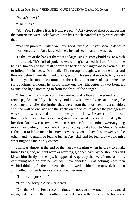"What's new?"

"The truck"

"Ah! Yes. I believe it is. Is it always so…" Arty stopped short of suggesting the Americans were lackadaisical, but by British standards they were exactly that.

"We can jump to it when we have good cause. Ain't you seen us dance?" Jim tormented, and Arty laughed. Yes, he had seen that this was true.

To the left of the hangar there was a large, single-storey building, to which Jim indicated. "It's full of junk, so everything's stashed in here for the time being." Jim opened the small door in the back of the hangar and beckoned Arty to follow him inside, which he did. The through draught was tremendous and the door behind them slammed loudly, echoing for several seconds. Arty's eyes had not yet become accustomed to the relative darkness of his immediate surroundings, although he could make out the silhouettes of two bombers against the light streaming in from the front of the hangar.

"This way," Jim instructed. Arty turned and followed the sound of Jim's footsteps, deadened by what Arty could now see were boxes and crates, the stacks getting taller the further they were from the door, creating a corridor, with the wall on one side and the stacks on the other. In places the passageway was so narrow Arty had to turn sideways, all the while aware of his heart thudding harder and faster as he registered the partial privacy afforded by their location. But he was a coward with no assurance Jim's intentions were anything more than loading him up with American swag to take back to Minton. Surely if the man failed to make his move now, Arty would have his answer. On the other hand, he might be feeling just as Arty did, and for fear they would miss what might be their only chance.

Jim was almost at the end of the narrow clearing when he drew to a halt, turned back, and, without word or warning, grabbed Arty by the shoulders and kissed him firmly on the lips. It happened so quickly that were it not for Jim's continuing hold on him he may well have decided it was nothing more than wishful thinking. In the moments that followed, neither man moved, but then Jim pulled his hands away and coughed nervously.

"I… er… I guess I—"

"Don't be sorry," Arty whispered.

"Oh, thank God. For a second I thought I got you all wrong." Jim advanced again, and this time their mouths connected in a kiss that was like the hunger of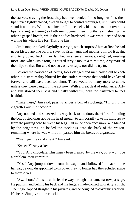the starved, craving the feast they had been denied for so long. At first, their lips stayed tightly closed, as each fought to control their urges, until Arty could stand it no more. With his palms on Jim's cheeks, his instincts took over, his lips relaxing, softening as both men opened their mouths, each stealing the other's gasped breath, while their bodies hardened. It was what Arty had been waiting his whole life for. This one kiss.

Jim's tongue poked playfully at Arty's, which surprised him at first; he had never kissed anyone before, save his sister, aunt and mother. Jim did it again, and Arty poked back. They laughed in silence, nervous, delighted, needing more, and when Jim's tongue entered Arty's mouth a third time, Arty married their lips so that Jim could not so easily escape; nor did he try to.

Beyond the barricade of boxes, tools clanged and men called out to each other, a distant reality blurred by this stolen moment that could have lasted forever and still have been too short. There would be many more to come, unless they were caught in the act now. With a great deal of reluctance, Arty and Jim slowed their kiss and finally withdrew, both too frustrated to feel bashful.

"Take these," Jim said, passing across a box of stockings. "I'll bring the cigarettes out in a second."

Arty nodded and squeezed his way back to the door, the effort of holding the box of stockings above his head enough to temporarily take his mind away from the pulsing ache between his legs. Out in the open once more, and blinded by the brightness, he loaded the stockings onto the back of the wagon, remaining where he was while Jim passed him the boxes of cigarettes.

"We'll get the candy next," Jim said.

"Sweets?" Arty asked.

"Yup. And chocolate. This hasn't been cleared, by the way, but it won't be a problem. You comin'?"

"Yes." Arty jumped down from the wagon and followed Jim back to the hangar, beyond disappointed to discover they no longer had the secluded space to themselves.

"Aw, shoot," Jim said as he led the way through that same narrow passage. He put his hand behind his back and his fingers made contact with Arty's thigh. The tingle zapped straight to his privates, and he coughed to cover his reaction. He heard Jim give a low chuckle.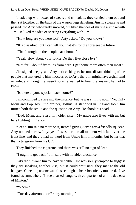Loaded up with boxes of sweets and chocolate, they carried them out and then sat together on the back of the wagon, legs dangling. Jim lit a cigarette and passed it to Arty, who rarely smoked, but liked the idea of sharing a smoke with Jim. He liked the idea of sharing everything with Jim.

"How long are you here for?" Arty asked. "Do you know?"

"It's classified, but I can tell you that it's for the foreseeable future."

"That's tough on the people back home."

"Yeah. How about your folks? Do they live close by?"

"Not far. About fifty miles from here. I get home more often than most."

Jim sighed deeply, and Arty noticed his gaze become distant, thinking of the people that mattered to him. It occurred to Arty that Jim might have a girlfriend or wife, and though he wasn't sure he wanted to hear the answer, he had to know.

"Is there anyone special, back home?"

Jim continued to stare into the distance, but he was smiling now. "No. Only Mom and Pop. My little brother, Joshua, is stationed in England too." Jim turned both the smile and the question on Arty. He shook his head.

"Dad, Mum, and Sissy, my older sister. My uncle also lives with us, but he's fighting in France."

"Jeez." Jim said no more on it, instead giving Arty's arm a friendly squeeze. Arty nodded sorrowfully: yes. It was hard on all of them with family at the front line, and they'd had no word from Uncle Bill in months, but better that than a telegram from his CO.

They finished the cigarette, and there was still no sign of Jean.

"I ought to get back," Jim said with notable reluctance.

Arty didn't want Jim to leave yet either. He was sorely tempted to suggest they try sneaking another kiss, but it could wait until they met at the old hangars. Checking no one was close enough to hear, he quickly muttered, "I've found us somewhere. Three disused hangars, three-quarters of a mile due east of Minton."

"When?"

"Tuesday afternoon or Friday morning."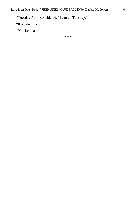"Tuesday." Jim considered. "I can do Tuesday."

"It's a date then."

"You betcha."

\*\*\*\*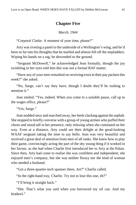# **Chapter Five**

## *March, 1944*

"Corporal Clarke. A moment of your time, please?"

Arty was riveting a panel to the underside of a Wellington's wing, and he'd been so far into his thoughts that he startled and almost fell off the stepladders. Wiping his hands on a rag, he descended to the ground.

"Sergeant McDowell," he acknowledged Jean formally, though the joy twinkling in her eyes told him this was not a formal RAF matter.

"Have any of your men remarked on receiving extra in their pay packets this week?" she asked.

"No, Sarge, can't say they have, though I doubt they'll be rushing to mention it."

Jean smiled. "Yes, indeed. When you come to a suitable pause, call up to the wages office, please?"

"Yes, Sarge."

Jean nodded once and marched away, her heels clacking against the asphalt. She stopped to briefly converse with a group of young airmen who puffed their chests and stood tall in her presence, only relaxing when she continued on her way. Even at a distance, Arty could see their delight at the good-looking WAAF sergeant taking the time to say hello. Jean was very beautiful and received a great deal of attention from men of all ranks. She knew how to play their game, convincingly acting the part of the shy young thing if it worked in her favour, as she had when Charlie first introduced her to Arty at the Palais. Since then, Arty had come to realise she was confident and independent; she enjoyed men's company, but she was neither floozy nor the kind of woman who needed a husband.

"Got a three-quarter-inch spanner there, Art?" Charlie called.

"In the right-hand tray, Charlie. Try not to lose this one, eh?"

"I'll bring it straight back."

"Hm. That's what you said when you borrowed my oil can. And my bradawl."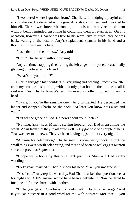"I wondered where I got that from," Charlie said, dodging a playful cuff around the ear. He departed with a grin. Arty shook his head and chuckled to himself. Charlie was forever borrowing his tools and rarely returned them without being reminded, assuming he could find them to return at all. On this occasion, however, Charlie was true to his word: five minutes later he was back, waiting at the base of Arty's stepladders, spanner in his hand and a thoughtful frown on his face.

"Just stick it in the toolbox," Arty told him.

"Hm?" Charlie said without moving.

Arty continued tapping rivets along the left edge of the panel, occasionally glancing unnoticed at his friend.

"What's on your mind?"

Charlie shrugged his shoulders. "Everything and nothing. I received a letter from my brother this morning with a bloody great hole in the middle so all it said was 'Dear Charlie, love Walter'. I'm sure our mother dropped him on his head."

"Twice, if you're the sensible one," Arty tormented. He descended the ladder and clapped Charlie on the back. "At least you know he's alive and well."

"But for the grace of God. No news about your uncle?"

"Nothing. Sissy says Mum is staying hopeful, but Dad is assuming the worst. Apart from that they're all quite well. Sissy got hold of a couple of hens. That was her main news. They've been having eggs for tea every night."

"A cause for celebration," Charlie said, his tone partly mocking, but the small things were worth celebrating, and there had been no real eggs at Minton since the previous September.

"I hope we're home by this time next year. It's Mum and Dad's ruby wedding."

"Forty years married." Charlie shook his head. "Can you imagine it?"

"Yes, I can," Arty replied wistfully. Had Charlie asked that question even a fortnight ago, Arty's answer would have been a definite no. Now he dared to imagine a lifetime shared with another.

"I'll let you get on," Charlie said, already walking back to the garage. "And if you can squeeze in a good word for me with Sergeant McDowell—you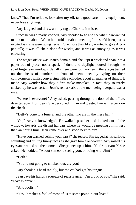know? That I'm reliable, look after myself, take good care of my equipment, never lose anything…"

Arty laughed and threw an oily rag at Charlie. It missed.

Since he was already stopped, Arty decided to go and see what Jean wanted to talk to him about. When he'd told her about meeting Jim, she'd been just as excited as if she were going herself. She more than likely wanted to give Arty a pep talk; it was all she'd done for weeks, and it was as annoying as it was endearing.

The wages office was Jean's domain and she kept it spick and span, not a paper out of place, not a speck of dust, and daylight poured through the sparkling-clean windows. Usually there were four women in there, eyes trained on the sheets of numbers in front of them, speedily typing on their comptometers whilst conversing with each other about all manner of things. It made Arty wonder how they didn't make mistakes. In fact, they so rarely cocked up he was certain Jean's remark about the men being overpaid was a ruse.

"Where is everyone?" Arty asked, peering through the door of the office, deserted apart from Jean. She beckoned him in and greeted him with a peck on the cheek.

"Betty's gone to a funeral and the other two are in the mess hall."

"Oh," Arty acknowledged. He walked past her and looked out of the window, towards the distant hangars where he would be meeting Jim in less than an hour's time. Jean came over and stood next to him.

"Have you washed behind your ears?" she teased. She tugged at his earlobe, squinting and pulling funny faces as she gave him a once-over. Arty raised his eyes and waited out the moment. She grinned up at him. "You're nervous?" she asked. He nodded. "About someone seeing you, or being with Jim?"

"Both."

"You're not going to chicken out, are you?"

Arty shook his head rapidly, but the cat had got his tongue.

Jean gave his hands a squeeze of reassurance. "I'm proud of you," she said. "Love is brave."

"And foolish."

"Yes. It makes a fool of most of us at some point in our lives."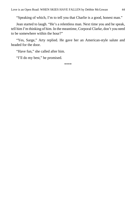"Speaking of which, I'm to tell you that Charlie is a good, honest man."

Jean started to laugh. "He's a relentless man. Next time you and he speak, tell him I'm thinking of him. In the meantime, Corporal Clarke, don't you need to be somewhere within the hour?"

"Yes, Sarge," Arty replied. He gave her an American-style salute and headed for the door.

"Have fun," she called after him.

"I'll do my best," he promised.

\*\*\*\*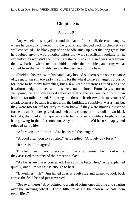# **Chapter Six**

## *March, 1944*

Arty wheeled his bicycle around the back of the small, deserted hangars, where he carefully lowered it to the ground and stepped back to check it was well concealed. The black grip of one handle stuck up over the long grass, but he doubted anyone would notice unless they were specifically looking for it; certainly they wouldn't see it from a distance. The entire area was overgrown: the low, barbed wire fence was hidden under the brambles, and stray wheat spilled from the farm fields beyond the perimeter of the base.

Shielding his eyes with his hand, Arty looked out across the open expanse of green: it was still too early in spring for the wheat to have changed colour, or for there to be many butterflies, but a few keen brimstones flitted along the hawthorn hedge and red admirals were out in force. From Arty's current viewpoint, the farmhouse stood almost central on the horizon, the only civilian building for miles around. Squinting into the sun, he observed the movement of a dark form as it became isolated from the buildings. Possibly, it was a man, but they were too far off for Arty to even know if they were moving closer or further away. Minutes passed, and their attire changed from a dull brown-black to khaki, their gait and shape came into focus: broad shoulders, bright blonde hair glowing in the afternoon sun. Arty didn't think he'd been so happy and relieved in his life.

"Afternoon, sir," Jim called as he neared the hangars.

"A good afternoon to you also," Arty replied. "A lovely day for it."

"It sure is," Jim agreed.

This first meeting would be a pantomime of politeness, playing out whilst they assessed the safety of their meeting place.

"As far as anyone is concerned, I'm spotting butterflies," Arty explained quietly, once Jim was close enough to hear.

"Butterflies, huh?" Jim halted at Arty's left side and turned to look back across the field he had just traversed.

"See over there?" Arty pointed to a pair of brimstones dipping and soaring over the swaying wheat. "Those little fellas are the reason we call them *butter*flies."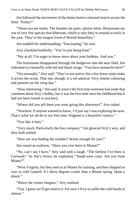Jim followed the movement of the dainty butter-coloured insects across the field. "Fellas?"

"Those two are males. The females are paler, almost white. Brimstones are one of very few species that hibernate, which is why they're around so early in the year. They're the longest lived of British butterflies."

Jim nodded his understanding. "Fascinating," he said.

Arty chuckled bashfully. "You're just being kind."

"Not at all. I'm eager to know more about your hobbies. And you."

The brimstones disappeared through the hedgerow into the next field. Jim indicated to a butterfly with red and black wings. "You have monarchs here?"

"Occasionally," Arty said. "They're not native, but a few brave souls make it across the ocean. That one, though, is a red admiral. Very similar colouring and patterns on the wing tips."

"How interesting," Jim said. It wasn't the first time someone had made that comment about Arty's hobby, but it was the first time since his childhood that it had not been issued in mockery.

"Where did you tell them you were going this afternoon?" Arty asked.

"Nowhere. If anyone wanted to know, I'd just say I was exploring the area. That's what we all do in our free time. England is a beautiful country."

"You like it here."

"Very much. Particularly the fine company." Jim glanced Arty's way, and they both smiled.

"How are you finding the weather? Warm enough for you?"

Jim raised an eyebrow. "Have you ever been to Miami?"

"No, can't say I have," Arty said with a laugh. "The farthest I've been is Cornwall." At Jim's frown, he explained, "South-west coast. Are you from Miami?"

"West Virginia, but they sent us to Miami for training, and then shipped us over to cold Gaskell. It's thirty degrees cooler than a Miami spring. Quite a shock."

"Hence the winter fatigues," Arty realised.

"Yep. I guess we'll get used to it. For now I'll try to suffer the cold hands in silence."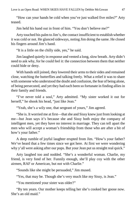"How can your hands be cold when you've just walked five miles?" Arty teased.

Jim held his hand out in front of him. "You don't believe me?"

Arty touched his palm to Jim's, the contact insufficient to establish whether it was cold or not. He glanced sideways, noting Jim doing the same. He closed his fingers around Jim's hand.

"It is a little on the chilly side, yes," he said.

Jim laughed quietly in response and vented a long, slow breath. Arty didn't need to ask why, for he could feel it: the connection between them that neither could hide or deny.

With hands still joined, they lowered their arms to their sides and remained close, watching the butterflies and talking freely. What a relief it was to share with someone who understood the doubt and confusion, the fear of being alone, of being persecuted, and yet they had each been so fortunate in finding allies in their family and friends.

"I've never told a soul," Arty admitted. "My sister worked it out for herself," he shook his head, "just like Jean."

"Yeah, she's a wily one, that sergeant of yours," Jim agreed.

"She is. It worried me at first—that she and Sissy knew just from looking at me—but Jean says it's because she and Sissy both enjoy the company of intelligent men, yet they have no interest in marriage. They can tell apart the men who will accept a woman's friendship from those who are after a bit of how's your father."

A deep rumble of joyful laughter erupted from Jim. "How's your father? We've heard that a few times since we got here. At first we were wondering why y'all were asking after our pops. But your Jean put us straight real quick."

Arty laughed too and nodded. "She's a wonderful woman. Charlie, my friend, is very fond of her. Funnily enough, she'll play coy with the other airmen, RAF or American, but not with Charlie."

"Sounds like she might be persuaded," Jim mused.

"Yes, that may be. Though she's very much like my Sissy, is Jean."

"You mentioned your sister was older?"

"By ten years. Our mother keeps telling her she's cooked her goose now. She's an old maid."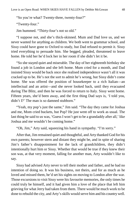"So you're what? Twenty-three, twenty-four?"

"Twenty-four."

Jim hummed. "Thirty-four's not so old."

"I suppose not, and she's thick-skinned. Mum and Dad love us, and we never wanted for anything as children. We both went to grammar school, and Sissy could have gone to Oxford to study, but Dad refused to permit it. Sissy tried everything to persuade him. She begged, pleaded, threatened to leave home. He told her he'd lock her in her room if she didn't let it be.

"So she stayed quiet and miserable. The day of her eighteenth birthday she found a job in London and she left home. Mum cried for a month, and Dad insisted Sissy would be back once she realised independence wasn't all it was cracked up to be. He's not the sort to admit he's wrong, but Sissy didn't come home. She was offered the position of housekeeper to a rich Italian—an intellectual and an artist—and she never looked back, until they evacuated during The Blitz, and then he was forced to return to Italy. Sissy went home. Fifteen years, she'd been away, and the first thing Dad says is, 'I told you, didn't I?' The man is so damned stubborn."

"Yeah, my pop's just the same," Jim said. "The day they came for Joshua and me, Mom cried buckets, but Pop? He just went off to work as usual. The last thing he said to us was, 'Guess I won't get to be a grandaddy after all,' like Joshua and me wouldn't be coming home."

"Oh, Jim," Arty said, squeezing his hand in sympathy. "I'm sorry."

After that, Jim remained quiet and thoughtful, and Arty thanked God for his own parents; however stern and distant they might be, and in spite of sharing Jim's father's disappointment for the lack of grandchildren, they didn't intentionally hurt him or Sissy. Whether that would be true if they knew their son was, at that very moment, falling for another man, Arty wouldn't like to say.

Sissy had advised Arty never to tell their mother and father, and he had no intention of doing so. It was his business, not theirs, and for as much as he loved and missed them, he'd set his sights on moving to London after the war. Those excursions to visit Sissy were his favourite memories, the only times he could truly be himself, and it had given him a love of the place that left him grieving for what Jerry had taken from them. There would be much work to be done to rebuild the city, and Arty's skills would serve him and his country well.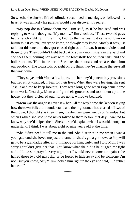So whether he chose a life of solitude, succumbed to marriage, or followed his heart, it was unlikely his parents would ever discover his secret.

"My pop doesn't know about me," Jim said, as if he had read and was replying to Arty's thoughts. "My mom…" Jim chuckled. "These two old guys had a ranch right up in the hills, kept to themselves, just came to town on business. Of course, everyone knew, or *thought* they knew. Mostly it was just talk, but this one time they got chased right out of town. It turned violent and those guys? They couldn't fight back. And so my mom, she's in the yard and she sees them coming her way with the townsfolk hot on their tails, and she hollers to 'em, 'Hide in the barn!' She takes their horses and releases them into our paddock. The townsfolk go right on by, think they're chasing the guys all the way home.

"They stayed with Mom a few hours, told her they'd gone to buy provisions but fled empty-handed, in fear for their lives. When they were leaving, she sent Joshua and me to keep lookout. They were long gone when Pop came home from work. Next day, Mom and I got their groceries and took them up to the house, but they'd cleared out, horses gone, windows boarded.

"Mom was the angriest I ever saw her. All the way home she kept on saying how the townsfolk didn't understand and their ignorance had chased off two of their own. I thought she knew them, maybe they were friends of Grandpa, but when I asked she said she'd never talked to them before that day. I wanted to know why she'd helped them. She said she'd explain when I was old enough to understand. I think I was about eight or nine years old at the time.

"She didn't need to tell me in the end. She'd seen it in me when I was a youngster and she loved me just the same. Joshua's got a girl now, so Pop will get to be a grandaddy after all. I'm happy for him, truly, and I told Mom I was sorry I couldn't give her that. You know what she did? She hugged me tight and told me she prayed every night that I would never come up against the hatred those two old guys did, or be forced to hide away and be someone I'm not. But you know, Arty?" Jim looked him right in the eye and said, "I'd rather be dead."

\*\*\*\*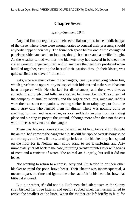# **Chapter Seven**

#### *Spring–Summer, 1944*

Arty and Jim met regularly at their secret liaison point, in the middle hangar of the three, where there were enough crates to conceal their presence, should anybody happen their way. The four-inch space below one of the corrugated panels provided an excellent lookout, though it also created a terrific draught. As the weather turned warmer, the blankets they had stowed in between the crates were no longer required, and in any case the heat they produced when huddled together, venting the heat of their passion through their kisses, was quite sufficient to stave off the chill.

Arty, who was much closer to the hangars, usually arrived long before Jim, which gave him an opportunity to inspect their hideout and make sure it had not been tampered with. He checked for disturbances, and there was always something, although thankfully never caused by human beings. They often had the company of smaller rodents, and the bigger ones: rats, mice and rabbits were their constant companions, seeking shelter from rainy days, or from the many stray cats who fancied them for dinner. There was nothing quite so startling, for man and beast alike, as a cat suddenly leaping from its hiding place and pinning its prey to the ground, although more often than not the cats would flee as Arty entered the hangar.

There was, however, one cat that did not flee. At first, Arty and Jim thought the animal had come to the hangar to die. Its dull fur rippled over its bony spine and ribcage, and it was listless, turning circles on the blanket they had spread on the floor for it. Neither man could stand to see it suffering, and Arty immediately set off back to the base, returning twenty minutes later with scraps of meat and a canister of water. The animal ate hungrily, but still it did not leave.

Not wanting to return to a corpse, Arty and Jim settled in on their other blanket to mind the poor, brave beast. Their chatter was inconsequential, a means to pass the time and ignore the ache each felt in his heart for how that little cat endured.

But it, or rather, *she* did not die. Both men shed silent tears as the skinny stray birthed her three kittens, and openly sobbed when her nursing failed to revive the smallest of the litter. When the mother cat left briefly to hunt for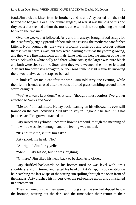food, Jim took the kitten from its brothers, and he and Arty buried it in the field behind the hangars. For all the human tragedy of war, it was the loss of this one tiny beast that seemed to hurt the most, at the same time strengthening the bond between the two men.

Over the weeks that followed, Arty and Jim always brought food scraps for their cat family, rightly proud of their role in assisting the mother to care for her kittens. Now young cats, they were typically boisterous and forever putting themselves in harm's way, but they were learning as fast as they were growing, and they were fine, handsome animals. Like their mother, the smaller of the two was black with a white belly and three white socks; the larger was pure black and both were sleek as silk. Soon after they were weaned, the mother left, and Arty and Jim never saw her again, but her sons came to visit regularly, knowing there would always be scraps to be had.

"Think I'll get me a cat after the war," Jim told Arty one evening, while their feline friends chased after the balls of dried grass tumbling around in the warm draughts.

"We've always kept dogs," Arty said, "though I must confess I've grown attached to Socks and Soot."

"Me too," Jim admitted. He lay back, leaning on his elbows, his eyes still trained on the cats' activities. "I'd like to stay in England," he said. "It's not just the cats I've grown attached to."

Arty raised an eyebrow, uncertain how to respond, though the meaning of Jim's words was clear enough, and the feeling was mutual.

"It's not just me, is it?" Jim asked.

Arty shook his head. "No."

"All right!" Jim fairly yelled.

"Shhh!" Arty hissed, but he was laughing.

"C'mere." Jim tilted his head back to beckon Arty closer.

Arty shuffled backwards on his bottom until he was level with Jim's shoulders, and Jim turned and rested his head on Arty's lap, his golden-blonde hair catching the last wisps of the setting sun spilling through the open front of the hangar. Arty brushed his fingers over the red-orange glow, and Jim sighed in contentment.

They remained just as they were until long after the sun had dipped below the horizon, waiting out the dark and the time when their return to their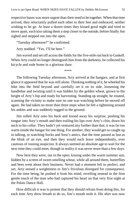respective bases was more urgent than their need to be together. When that time arrived, they reluctantly pulled each other to their feet and embraced, neither wishing to let go. At least a dozen times they kissed good night and tried to move apart, each kiss taking them a step closer to the outside, before finally Jim sighed and stepped out into the open.

"Tuesday afternoon?" he confirmed.

Arty nodded. "Yes. I'll be here."

Jim waved and set off across the fields for the five-mile run back to Gaskell. When Arty could no longer distinguish him from the darkness, he collected his bicycle and rode home in a glorious daze.

\*\*\*\*

The following Tuesday afternoon, Arty arrived at the hangars, and at first glance it appeared that he was still alone. Thinking nothing of it, he wheeled his bike into the field beyond and carefully set it on its side, loosening the handlebar and twisting until it was hidden by the golden wheat, grown to the height of Arty's hip and ready for harvesting. Standing up straight, he rotated, scanning the vicinity to make sure no one was watching before he moved off again. He had taken no more than three steps when he felt a tightening around his ankles and was suddenly tugged to the ground.

Jim rolled Arty onto his back and kissed away his surprise, pushing his tongue into Arty's mouth and then trailing his lips over Arty's chin, down his neck to his collar. They hadn't yet ventured any further than that; it was far too warm inside the hangar for one thing. For another, they would get so caught up in talking, or watching Socks and Soot's antics, that the time passed as fast as the blink of an eye, and then they would each leave independently, ever cautious of rousing suspicion. It always seemed an absolute age to wait for the next time they could meet, though in reality it was never more than a few days.

Now here they were, out in the open, kissing under the warm summer sun, hidden by a screen of sweet-smelling wheat, while all around them, butterflies and bees went about their business. Never had a moment felt so perfect, and yet, Arty sensed a weightiness to Jim's frivolous disregard for consequence. For the time being, he pushed it from his mind, revelling instead in the firm gentle touch of the man who had captured his heart on that very first night at the Palais Dance Hall.

How difficult it was to protest that they should refrain from doing this, for each time Arty drew breath to do so, Jim's mouth stole it. His shirt was now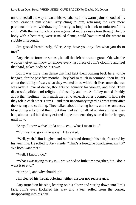unbuttoned all the way down to his waistband; Jim's warm palms smoothed his sides, drawing him closer. Arty clung to him, returning the ever more passionate kisses, withdrawing for only as long as it took to unfasten Jim's shirt. With the first touch of skin against skin, the desire tore through Arty's body with a heat that, were it naked flame, could have turned the wheat to stubble in seconds.

Jim gasped breathlessly, "Gee, Arty, have you any idea what you do to me?"

Arty tried to form a response, but all that left him was a groan. Oh, what he wouldn't give right now to remove every last piece of Jim's clothing and feel that hard, naked body on his own.

But it was more than desire that had kept them coming back here, to the hangars, for the past five months. They had so much in common: their beliefs about the futility of war, what they wanted to do with their lives once the war was over, a love of dance, thoughts on equality for women, and God. They discussed politics and religion, philosophy and art. And they talked frankly about their feelings—how much they enjoyed each other's company, how safe they felt in each other's arms—and their uncertainty regarding what came after the kissing and cuddling. They talked about missing home, and the romances blossoming all around them, but they had yet to talk of whatever it was they had, almost as if it had only existed in the moments they shared in the hangar, until now.

"Arty, I know we've kinda not… er… what I mean is…"

"You want to go all the way?" Arty asked.

"Well, yeah." Jim laughed and ran his hand through his hair, flustered by his yearning. He rolled to Arty's side. "That's a foregone conclusion, ain't it? We both want that."

"Well, I know I do."

"What I was trying to say is… we've had so little time together, but I don't want it to end."

"Nor do I, and why should it?"

Jim cleared his throat, offering neither answer nor reassurance.

Arty turned on his side, leaning on his elbow and staring down into Jim's face. Jim's eyes flickered his way and a tear rolled from the corner, disappearing into his hair.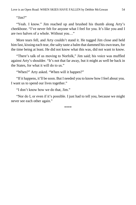"Jim?"

"Yeah. I know." Jim reached up and brushed his thumb along Arty's cheekbone. "I've never felt for anyone what I feel for you. It's like you and I are two halves of a whole. Without you…"

More tears fell, and Arty couldn't stand it. He tugged Jim close and held him fast, kissing each tear, the salty taste a balm that dammed his own tears, for the time being at least. He did not know what this was, did not want to know.

"There's talk of us moving to Norfolk," Jim said; his voice was muffled against Arty's shoulder. "It's not that far away, but it might as well be back in the States, for what it will do to us."

"When?" Arty asked. "When will it happen?"

"If it happens, it'll be soon. But I needed you to know how I feel about you. I want us to spend our lives together."

"I don't know how we do that, Jim."

"Nor do I, or even if it's possible. I just had to tell you, because we might never see each other again."

\*\*\*\*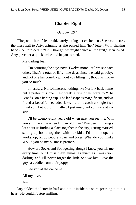# **Chapter Eight**

## *October, 1944*

"The post's here!" Jean said, barely hiding her excitement. She raced across the mess hall to Arty, grinning as she passed him 'her' letter. With shaking hands, he unfolded it. "Oh, I thought we might dance a little first," Jean joked. Arty gave her a quick smile and began to read.

My darling Jean,

I'm counting the days now. Twelve more until we see each other. That's a total of fifty-nine days since we said goodbye and not one has gone by without you filling my thoughts. I love you so much.

I must say, Norfolk here is nothing like Norfolk back home, but I prefer this one. Last week a few of us went to "The Broads" on a fishing trip. The landscape is magnificent, and we found a beautiful secluded lake. I didn't catch a single fish, mind you, but it didn't matter. I just imagined you were at my side.

I'll be twenty-eight years old when next you see me. Will you still have me when I'm an old man? I've been thinking a lot about us finding a place together in the city, getting married, setting up home together with our kids. I'd like to open a workshop, fix up people's cars and bikes. What do you think? Would you be my business partner?

How are Socks and Soot getting along? I know you tell me every time, but I miss them almost as much as I miss you, darling, and I'll never forget the little one we lost. Give the guys a cuddle from their poppy.

See you at the dance hall.

All my love,

Jim

Arty folded the letter in half and put it inside his shirt, pressing it to his heart. He couldn't stop smiling.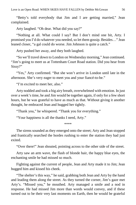"Betty's told everybody that Jim and I are getting married," Jean complained.

Arty laughed. "Oh dear. What did you say?"

"Nothing at all. What could I say? But I don't mind one bit, Arty. I promised you I'd do whatever you needed, so let them gossip. Besides…" Jean leaned closer, "a gal could do worse. Jim Johnson is quite a catch."

Arty pushed her away, and they both laughed.

"So we'll travel down to London on Wednesday morning," Jean continued. "Jim's going to meet us at Tottenham Court Road station. Did you hear from Sissy?"

"Yes," Arty confirmed. "But she won't arrive in London until late in the afternoon. She's very eager to meet you and your fiancé-to-be."

"I'm excited to meet her, also."

Arty nodded and took a big airy breath, overwhelmed with emotion. In just over a week's time, he and Jim would be together again, if only for a few short hours, but he was grateful to have as much as that. Without giving it another thought, he embraced Jean and hugged her tightly.

"Thank you," he whispered. "Thank you for everything."

"Your happiness is all the thanks I need, Arty."

\*\*\*\*

The sirens sounded as they emerged onto the street; Arty and Jean stopped and frantically searched the hordes rushing to enter the station they had just exited.

"Over there!" Jean shouted, pointing across to the other side of the street.

Arty saw an arm wave, the flash of blonde hair, the happy blue eyes, the enchanting smile he had missed so much.

Fighting against the current of people, Jean and Arty made it to Jim; Jean hugged him and kissed his cheek.

"The shelter's this way," he said, grabbing both Jean and Arty by the hand and leading them along the street. As they turned the corner, Jim's gaze met Arty's. "Missed you," he mouthed. Arty managed a smile and a nod in response. He had missed Jim more than words would convey, and if these turned out to be their very last moments on Earth, then he would be grateful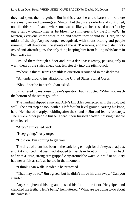they had spent them together. But in this chaos he could barely think; there were many air raid warnings at Minton, but they were orderly and controlled, not like this riot of panic, where one was as likely to be crushed underfoot by one's fellow countrymen as be blown to smithereens by the *Luftwaffe*. In Minton, everyone knew what to do and where they should be. Here, in the midst of the city Arty no longer recognised, with sirens blaring and people running in all directions, the shouts of the ARP wardens, and the distant *ackack* of anti-aircraft guns, the only thing keeping him from falling to his knees in fear, was Jim.

Jim led them through a door and into a dark passageway, pausing only to warn them of the stairs ahead that fell steeply into the pitch-black.

"Where is this?" Jean's breathless question resounded in the darkness.

"An underground installation of the United States Signal Corps."

"Should we be in here?" Jean asked.

Jim offered no response to Jean's question, but instructed, "When you reach the bottom of the stairs go left."

The handrail slipped away and Arty's knuckles connected with the cold, wet wall. The next step he took with his left foot hit level ground, jarring his knee, hard. He inhaled sharply, hobbling after the sound of Jim and Jean's footsteps. There were other people further ahead, their hurried chatter indistinguishable from its echo.

"Arty?" Jim called back.

"Keep going," Arty urged.

"Hold on. I'm coming to get you."

The three of them had been in the dark long enough for their eyes to adjust, and Arty noticed that Jean had stopped ten yards in front of him. Jim ran back and with a large, strong arm gripped Arty around the waist. Air raid or no, Arty had never felt as safe as he did in that moment.

"I think I can walk unaided," he protested.

"That may be so," Jim agreed, but he didn't move his arm away. "Can you stand?"

Arty straightened his leg and pushed his foot to the floor. He yelped and clenched his teeth. "Hell's bells," he muttered. "What are we going to do about the contest?"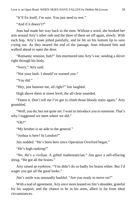"It'll fix itself, I'm sure. You just need to rest."

"And if it doesn't?"

Jean had made her way back to the men. Without a word, she hooked her arm around Arty's other side and the three of them set off again, slowly. With each hop, Arty's knee jolted painfully, and he bit on his bottom lip to save crying out. As they neared the end of the passage, Jean released him and walked ahead to open the door.

"Romantic reunion, huh?" Jim murmured into Arty's ear, sending a shiver right through his body.

"Sorry," Arty said.

"Not your fault. I should've warned you."

"You did."

"Hey, just humour me, all right?" Jim laughed.

High above them at street level, the all-clear sounded.

"Damn it. Don't tell me I've got to climb those bloody stairs again," Arty grumbled.

"Well, you do, but not quite yet. I want to introduce you to someone. That's why I suggested we meet where we did."

" $Oh$ ?"

"My brother is an aide to the general."

"Joshua is here? In London?"

Jim nodded. "He's been here since Operation Overlord began."

"He's high-ranking?"

"No. He's a civilian. A gifted mathematician." Jim gave a self-effacing shrug. "He got all the brains."

Arty raised an eyebrow. "You didn't do so badly for brains either. But I'd wager you got all the good looks."

Jim's smile was unusually bashful. "Are you ready to move on?"

With a nod of agreement, Arty once more leaned on Jim's shoulder, grateful for his support, and the chance to be in his arms, albeit in far from ideal circumstances.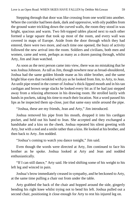Stepping through that door was like crossing from one world into another. Where the corridor had been dank, dark and oppressive, with oily puddles from the ground water trickling down the curved walls, the room they stood in was bright, spacious and warm. Two felt-topped tables placed next to each other formed a large square that took up most of the room, and every wall was covered in maps of Europe. Aside from the door through which they had entered, there were two more, and each time one opened, the buzz of activity followed the new arrival into the room. Soldiers and civilians, both men and women, came and went, perhaps as many as a dozen passing through, whilst Arty, Jim and Jean watched.

As soon as the next person came into view, there was no mistaking that he was Joshua Johnson. As tall as Jim, though nowhere near as broad-shouldered, Joshua had the same golden blonde mane as his older brother, and the same bright blue eyes that twinkled with joy as he looked from Jim, to Arty, to Jean. An unlit pipe rested in the corner of Joshua's thick-lipped mouth and in his tan cardigan and brown serge slacks he looked every bit as if he had just stepped away from a relaxing afternoon in his drawing room. He strolled lazily with hands in pockets, taking his time to reach their location. Not a word passed his lips as he inspected them up-close, just that same easy smile around the pipe.

"Joshua, these are my friends, Jean and Arty," Jim introduced.

Joshua removed his pipe from his mouth, dropped it into his cardigan pocket, and held out his hand to Jean. She accepted and they exchanged a handshake and a kiss on the cheek. Joshua repeated his silent greeting with Arty, but with a nod and a smile rather than a kiss. He looked at his brother, and then back to Arty. Jim nodded.

"Joshua's coming to watch you dance tonight," Jim said.

Even though the words were directed at Arty, Jim continued to face his brother as he spoke. Joshua looked at Arty and Jean and nodded enthusiastically.

"If I can still dance," Arty said. He tried shifting some of his weight to his left leg and winced in pain.

Joshua's brow immediately creased in sympathy, and he beckoned to Arty, at the same time pulling a chair out from under the table.

Arty grabbed the back of the chair and hopped around the side, gingerly bending his right knee whilst trying not to bend his left. Joshua pulled out a second chair, positioning it close enough for Arty to rest his injured leg on.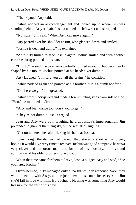"Thank you," Arty said.

Joshua nodded an acknowledgement and looked up to where Jim was standing behind Arty's chair. Joshua tapped his left wrist and shrugged.

"Not sure," Jim said. "When Arty can move again."

Arty peered over his shoulder at Jim, who glanced down and smiled.

"Joshua is deaf and dumb," he explained.

"Ah." Arty turned to face Joshua again. Joshua smiled and with another carefree shrug pointed at his ears.

"Dumb," he said, the word only partially formed in sound, but very clearly shaped by his mouth. Joshua pointed at his head: "Not dumb."

Arty laughed. "Jim said you got all the brains," he confided.

Joshua nodded again and pointed at his brother. "He's a dumb hoofer."

"Oh, here we go," Jim groaned.

Joshua went slack-jawed and made a few shuffling steps from side to side. "You," he mouthed at Jim.

"Arty and Jean dance too, don't you forget."

"They're not dumb," Joshua argued.

Jean and Arty were both laughing hard at Joshua's impersonation. Jim pretended to glare at them angrily, but he was also laughing.

"Get outta here," he said, flicking his hand at Joshua.

Even though the danger had passed, they stayed a short while longer, hoping it would give Arty time to recover. Joshua was good company: he was a very clever and humorous man, and for all of his mockery, his love and admiration of his older brother shone through.

When the time came for them to leave, Joshua hugged Arty and said, "See you later, brother."

Overwhelmed, Arty managed only a tearful smile in response. Soon they would meet up with Sissy, and he just knew the second she set eyes on Jim she'd fall in love with him. But Joshua's blessing was something Arty would treasure for the rest of his days.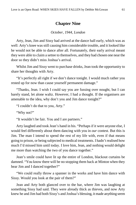# **Chapter Nine**

### *October, 1944, London*

Arty, Jean, Jim and Sissy had arrived at the dance hall early, which was as well: Arty's knee was still causing him considerable trouble, and it looked like he would not be able to dance after all. Fortunately, their early arrival meant they were able to claim a settee to themselves, and they had chosen one near the door so they didn't miss Joshua's arrival.

Whilst Jim and Sissy went to purchase drinks, Jean took the opportunity to share her thoughts with Arty.

"It's perfectly all right if we don't dance tonight. I would much rather you rested up for now than cause yourself permanent damage."

"Thanks, Jean. I wish I could say you are fussing over nought, but I can barely stand, let alone waltz. However, I had a thought. If the organisers are amenable to the idea, why don't you and Jim dance tonight?"

"I couldn't do that to you, Arty."

"Why not?"

"It wouldn't be fair. You and I are partners."

Arty laughed and took Jean's hand in his. "Perhaps if it were anyone else, I would feel differently about them dancing with you in *our* contest. But this is Jim. The man I intend to spend the rest of my life with, even if that means going to prison, or being subjected to medical treatments. I hadn't realised how much I'd missed him until today. I love him, Jean, and nothing would delight me more than watching the two of you dance together."

Jean's smile could have lit up the entire of London, blackout curtains be damned. "You know there will be no stopping them back at Minton when they hear Jim and I danced together?"

"We could really throw a spanner in the works and have him dance with Sissy. Would you look at the pair of them?"

Jean and Arty both glanced over to the bar, where Jim was laughing at something Sissy had said. They were already thick as thieves, and now Arty knew he and Jim had both Sissy's and Joshua's blessing, it made anything seem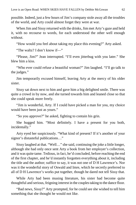possible. Indeed, just a few hours of Jim's company stole away all the troubles of the world, and Arty could almost forget they were at war.

When Jim and Sissy returned with the drinks, Jim met Arty's gaze and held it, with no recourse to words, for each understood the other well enough without.

"How would you feel about taking my place this evening?" Arty asked.

"The waltz? I don't know if—"

"Please, Jim?" Jean interrupted. "I'll even jitterbug with you later." She blew him a kiss.

"Who ever could refuse a beautiful woman?" Jim laughed. "I'll go talk to the judges."

Jim temporarily excused himself, leaving Arty at the mercy of his older sister.

Sissy sat down next to him and gave him a big delighted smile. There was quite a crowd in by now, and she turned towards him and leaned close so that she could speak more freely.

"Jim is wonderful, Arty. If I could have picked a man for you, my choice would have been just as yours."

"So you approve?" he asked, fighting to contain his grin.

She hugged him. "Most definitely. I have a present for you both, incidentally."

Arty eyed her suspiciously. "What kind of present? If it's another of your signor's distasteful publications…"

Sissy laughed at that. "Well…" she said, continuing the joke a little longer, although she had only once sent Arty a book from her employer's collection, and it was quite tame. Tedious, in fact, he'd concluded, before reaching the end of the first chapter, and he'd instantly forgotten everything about it, including the title and the author; suffice to say, it was not one of D H Lawrence's. Nor was it the wonderful story of Oswald and Imre, which he secretly preferred to all of D H Lawrence's works put together, though he dared not tell Sissy that.

While Arty had been musing literature, his sister had become quite thoughtful and serious, feigning interest in the couples taking to the dance floor.

"Bad news, Sissy?" Arty prompted, for he could see she wished to tell him something that she thought he would not like.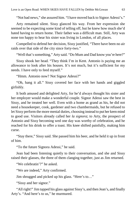"Not bad news," she assured him. "I have moved back to Signor Adessi's."

Arty remained silent. Sissy glanced his way. From her expression she seemed to be expecting some kind of telling off, but he knew how much she'd hated having to return home. Their father was a difficult man. Still, Arty was none too happy to hear his sister was living in London, of all places.

Compelled to defend her decision, Sissy justified, "There have been no air raids over that side of the city since forty-two."

"Well that's something," Arty said. "Do Mum and Dad know you're here?"

Sissy shook her head. "They think I'm in Kent. Antonio is paying me an allowance to look after his houses. It's not much, but it's sufficient for my needs. I have only to feed myself."

"Hmm. Antonio now? Not Signor Adessi?"

"Oh, hang it all." Sissy covered her face with her hands and giggled girlishly.

It both amused and delighted Arty, for he'd always thought his sister and her employer would make a wonderful couple. Signor Adessi saw the best in Sissy, and he treated her well. Even with a home as grand as his, he did not need a housekeeper, cook, gardener and two chambermaids, but he refused to let Sissy perform the more menial duties, choosing instead to put her keen mind to good use. Visitors already called her *la signora*; to Arty, the prospect of Antonio and Sissy becoming wed one day was worthy of celebration, and he reached for his drink to offer a toast. His knee shifted painfully, making him curse.

"Stay there," Sissy said. She passed him his beer, and he held it up in front of him.

"To the future Signora Adessi," he said.

Jean had been listening quietly to their conversation, and she and Sissy raised their glasses, the three of them clanging together, just as Jim returned.

"We celebratin'?" he asked.

"We are indeed," Arty confirmed.

Jim shrugged and picked up his glass. "Here's to…"

"Sissy and her signor."

"All right!" Jim tapped his glass against Sissy's, and then Jean's, and finally Arty's. "And here's to us," he murmured.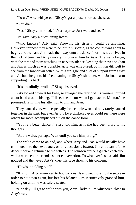"To us," Arty whispered. "Sissy's got a present for us, she says."

"You do?"

"Yes," Sissy confirmed. "It's a surprise. Just wait and see."

Jim gave Arty a questioning frown.

"Who knows?" Arty said. Knowing his sister it could be anything. However, for now they were to be left in suspense, as the contest was about to begin, and Jean and Jim made their way onto the dance floor. Joshua arrived in the nick of time, and Arty quickly introduced him to Sissy. The waltz began, with the three of them watching in nervous silence, keeping their eyes on Jean and Jim as much as was possible. Arty was enraptured, but it was difficult to see from the low-down settee. With a struggle and a lot of support from Sissy and Joshua, he got to his feet, leaning on Sissy's shoulder, with Joshua's arm supporting his back.

"It's dreadfully swollen," Sissy observed.

Arty looked down at his knee, so enlarged the fabric of his trousers formed a taut band around his leg. "I'll see the doctor when I get back to Minton," he promised, returning his attention to Jim and Jean.

They danced very well, especially for a couple who had only rarely danced together in the past, but even Arty's love-blinkered eyes could see there were others far more accomplished out on the dance floor.

"You're a better dancer," Sissy told him, as if she had been privy to his thoughts.

"At the waltz, perhaps. Wait until you see him jiving."

The waltz came to an end, and where Arty and Jean would usually have continued into the next dance, on this occasion a foxtrot, Jim and Jean left the dance floor and returned to the settees. The Johnson brothers greeted each other with a warm embrace and a silent conversation. To whatever Joshua said, Jim nodded and then eyed Arty's knee, his face showing his concern.

"How's it holding out?"

"It's not." Arty attempted to hop backwards and get closer to the settee in order to sit down again, but lost his balance. Jim instinctively grabbed him, holding on until he was safely seated.

"One day I'll get to waltz with you, Arty Clarke," Jim whispered close to Arty's ear.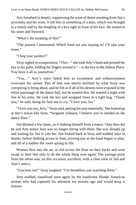Arty breathed in deeply, suppressing the wave of desire resulting from Jim's proximity and his scent. It left him in something of a daze, which was brought to a timely end by the dangling of a key right in front of his face. He turned to his sister and frowned.

"What's the meaning of this?"

"The present I mentioned. Which hotel are you staying in? I'll take your room."

"I beg your pardon?"

Sissy sighed in exasperation. "This—" she took Arty's hand and pressed the key to his palm, folding his fingers around it "—is the key to the Dalton Place. You have it all to yourselves."

"You…" Arty's voice failed him as excitement and embarrassment overcame his senses. Part of him was utterly terrified by what Sissy was conspiring to bring about, and he felt as if all of his desires were exposed to the entire patronage of the dance hall, but he wanted this. He wanted a night with Jim in his arms. He took the key and wrapped Sissy in a tight hug. "Thank you," he said, doing his best not to cry. "I love you, Sis."

"I love you too, Arty," Sissy said, patting his arm maternally. She looked up at Jim's statue-like form. "Sergeant Johnson, I believe you're needed on the dance floor."

Jim blinked a few times, as if shaking himself from a trance. Only then did he and Arty notice Jean was no longer sitting with them. She was already up and waiting for Jim to join her. Jim looked back at Sissy and nodded once in thanks, before dashing across to Jean, arriving just as the band began to play, and all of a sudden the room sprang to life.

Women flew into the air, or slid across the floor on their backs and were swept to their feet only to do the whole thing over again. The vantage point from the settee was, on this occasion, excellent, with a clear view of Jim and Jean's antics.

"Gracious me!" Sissy laughed. "I'm breathless just watching them."

Arty nodded, transfixed once again by the handsome blonde American airman who had captured his attention ten months ago and would keep it forever.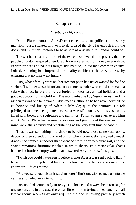# **Chapter Ten**

### *October, 1944, London*

Dalton Place—Antonio Adessi's residence—was a magnificent three-storey mansion house, situated in a well-to-do area of the city, far enough from the docks and munitions factories to be as safe as anywhere in London could be.

The war had cast in stark relief the extremes of wealth and poverty that the people of Britain enjoyed or endured, for war cared not for money or privilege. In war, princes and paupers fought side by side, united by a common enemy. Indeed, rationing had improved the quality of life for the very poorest by ensuring that no man went hungry.

Arty, whose family were neither rich nor poor, had never wanted for food or shelter. His father was a historian, an esteemed scholar who could command a salary that had, before the war, afforded a motor car, annual holidays and a good education for his children. The world inhabited by Signor Adessi and his associates was one far beyond Arty's means, although he had never coveted the exuberance and luxury of Adessi's lifestyle; quite the contrary. He felt privileged to have been granted access to Adessi's house, with its vast rooms filled with books and sculptures and paintings. To his young eyes, everything about Dalton Place had seemed enormous and grand, and the images in his mind were still as vivid and breathtaking as the very first time he saw it.

Thus, it was something of a shock to behold now those same vast rooms, devoid of their splendour, blackout blinds where previously heavy red damask drapes had framed windows that extended from floor to picture rail, and the sparse remaining furniture cloaked in white sheets. Pale rectangular ghosts haunted colourless empty walls that answered Arty's sorrowful sighs.

"I wish you could have seen it before Signor Adessi was sent back to Italy," he said to Jim, a step behind him as they traversed the halls and rooms of the enormous, lifeless manse.

"Are you sure your sister is staying here?" Jim's question echoed up into the ceiling and faded away to nothing.

Arty nodded soundlessly in reply. The house had always been too big for one person, and in any case there was little point in trying to heat and light all twelve rooms when Sissy only required the one. Knowing precisely which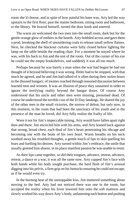room she'd choose, and in spite of how painful his knee was, Arty led the way upstairs to the first floor, past the master bedroom, sitting room and bathroom, to the library. He braced himself, turned the door knob and entered.

The warm air welcomed the two men into the small room, dark but for the gentle orange glow of embers in the hearth. Arty hobbled across and gave them a prod, breaking the shell of smouldering coals to release small yellow flames. Next, he checked the blackout curtains were fully closed before lighting the lamp on the table beside the reading chair. For a moment he stayed where he was, with his back to Jim and the rest of the room. Out of the corner of his eye he could see the empty bookshelves, and suddenly it was all too much.

Perhaps because he was barely a man when the war had begun he had not thought of it beyond believing it was wrong. Hitler had to be stopped, with that much he agreed, and he and Jim had talked of it often during their stolen hours in the disused hangars: of treaties reached through reasoned discussion between learnéd men and women. It was an illusion of peace they sustained in order to ignore the terrifying reality beyond the hangar doors. Of course Arty understood that his uncle and other men were missing, presumed dead. Of course he understood the terrible cost of the D-Day landings. He shared the joy of the other men in the small victories, the sorrow of defeat, but only now, in this moment, in the room that had been the sanctuary of his youth and in the presence of the man he loved, did Arty fully realise the frailty of life.

Were it not for Jim's impeccable timing, Arty would have fallen apart right then and there. Jim encircled him with his arms, and Arty leaned back against that strong, broad chest, each thud of Jim's heart penetrating his ribcage and becoming one with the beats of his own heart. Warm breaths on his neck soothed away his troubled thoughts, a gentle touch of lips to skin quelling his fears and fuelling his desires. Arty turned within Jim's embrace, the smile that usually greeted him absent, in its place manifest passion he was unable to resist.

As their lips came together, so did their tongues, advance, retreat, advance, retreat, a dance or a war, it was all the same now. Arty cupped Jim's face with both hands while his body sought purchase, the hard flesh of Jim's arousal digging into his pelvis, a firm grip on his buttocks ensuring he could not escape, as if he would even try.

In the burning heat of the unstoppable kiss, Jim muttered something about moving to the bed. Arty had not noticed there was one in the room, but accepted the reality when his lover lowered him onto the soft mattress and slowly worked his way down Arty's body, unfastening each button and pushing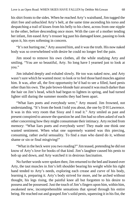his shirt fronts to the sides. When he reached Arty's waistband, Jim tugged the shirt free and unbuckled Arty's belt, at the same time ascending his torso and despatching a trail of kisses from his belly to his chest, across from one nipple to the other, before descending once more. With the care of a mother tending her infant, Jim eased Arty's trouser leg past his damaged knee, pausing to look upon it, his eyes softening in concern.

"It's not hurting me," Arty assured him, and it was the truth. His now naked body was so overwhelmed with desire he could no longer feel the pain.

Jim stood to remove his own clothes, all the while studying Arty and smiling. "You are so beautiful, Arty. So long have I yearned just to look at you."

Jim inhaled deeply and exhaled slowly. He too was naked now, and Arty wasn't sure which he wanted most: to look or to feel those hard muscles against him. It was, after all, the first opportunity he'd had to see a filled, hard penis other than his own. The pale brown-blonde hair around it was much darker than the hair on Jim's head, which had begun to lighten in spring, and had turned lighter still during the summer months they had been apart.

"What liars poets and everybody were," Arty mused. Jim frowned, not understanding. "It's from the book I told you about, the one by D H Lawrence. It was in this very room that Sissy and I read it." Arty smiled as past and present conspired to answer the question he and Jim had so often asked of each other concerning how they might consummate their intimacy. Arty recited from memory: "What liars poets and everybody were! They made one think one wanted sentiment. When what one supremely wanted was this piercing, consuming, rather awful sensuality. To find a man who dared do it, without shame or sin or final misgiving!"

"What in the heck were you two reading?" Jim teased, pretending he did not know of Arty's love for books of that kind. Jim's laughter caused his penis to bob up and down, and Arty watched it in desirous fascination.

No further words were spoken then; Jim returned to the bed and leaned over Arty, the taut muscles in Jim's left shoulder bearing his weight while his right hand tended to Arty's needs, exploring each crease and curve of his body, learning it, preparing it. Arty's body strived for more, and he arched without thought, his legs rising, the painful knee all but forgotten to his desire to possess and be possessed. Just the touch of Jim's fingers upon him, within him, awakened new, incomprehensible sensations that spread through his entire being. He reached out and grasped Jim's solid penis, squeezing it in his fist, the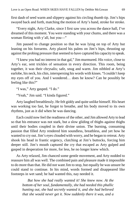first daub of seed warm and slippery against his circling thumb tip. Jim's hips swayed back and forth, matching the motion of Arty's hand, stroke for stroke.

"Every night, Arty Clarke, since I first saw you across the dance hall, I've dreamed of this moment. You were standing with your chums, and there was a woman flirting with y'all, but you—"

Jim paused to change position so that he was lying on top of Arty but leaning on his forearms. Arty placed his palms on Jim's hips, thrusting up against the probing pressure that seemed to have captured his capacity to speak.

"I knew you had no interest in that gal," Jim murmured. His voice, close to Arty's ear, sent trickles of sensation in every direction. This room, being together, it was their chrysalis; safe, snug and warm. Jim nibbled at Arty's earlobe, his neck, his chin, interspersing his words with kisses. "I couldn't keep my eyes off of you. And I wondered… does he know? Can he possibly be feeling like this?"

"I was," Arty gasped. "I do."

"Yeah," Jim said. "I kinda figured."

Arty laughed breathlessly. He felt giddy and quite unlike himself. His heart was working too fast, he forgot to breathe, and his body moved to its own rhythms, just as it did when he was dancing.

Each could now feel the readiness of the other, and Jim allowed Arty to lead so that his entrance was not stark, but a slow gliding of thighs against thighs until their bodies coupled in their divine union. The burning, consuming passion that filled Arty rendered him soundless, breathless, and yet how he wanted to cry out. Jim's eyes clouded with worry, and he began to retreat. Arty shook his head in frantic urgency, clutching at Jim's buttocks, forcing him deeper still. Jim's mouth captured the cry that escaped as Arty gulped and gasped in desperation for more, for less, he no longer knew which.

As Arty relaxed, Jim chanced some gentle movement, and Arty nodded to reassure him all was well. The combined pain and pleasure made it impossible to do more than that. He did not want Jim to stop, but equally he was unsure he could stand to continue. In his mind, words formed and disappeared like footsteps in wet sand; he had wanted this, nay needed it.

*But how she had really wanted it! She knew now. At the bottom of her soul, fundamentally, she had needed this phallic hunting out, she had secretly wanted it, and she had believed that she would never get it. Now suddenly there it was, and a*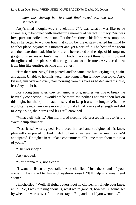*man was sharing her last and final nakedness, she was shameless.*

Arty's final thought was a revelation. *This* was what it was like to be shameless, to be joined with another in a moment of perfect intimacy. *This* was love, pure, unspoiled, instinctual. For the first time in his life he was complete, but as he began to wonder how that could be, the ecstasy carried his mind to another place, beyond this moment and yet a part of it. The heat of the room and their exertion made him febrile, and he teetered on the edge of his orgasm, gorging his senses on Jim's gleaming body: the violent thrust of his hips, and the ugliness of pure pleasure distorting his handsome features. Arty's seed burst from him like gunfire, striking Jim's chest.

"I'm there too, Arty," Jim panted, and he came into him, crying out, again, and again. Unable to hold his weight any longer, Jim fell down on top of Arty, kissing him over and over, tears pouring from his eyes as he declared his love, lest Arty doubt it.

For a long time after, they remained as one, neither wishing to break the heavenly connection. It would not be their last, perhaps not even their last on this night, but their joint inaction served to keep it a while longer. When the world came into view once more, Jim found a final reserve of strength and slid to Arty's side, their arms and legs still entwined.

"What a gift this is," Jim murmured sleepily. He pressed his lips to Arty's sweat-damp shoulder.

"Yes, it is," Arty agreed. He braced himself and straightened his knee, pleasantly surprised to find it didn't hurt anywhere near as much as he'd anticipated. He sighed in relief and contentment. "Tell me more about this idea of yours."

"The workshop?"

Arty nodded.

"You wanna talk, not sleep?"

"I want to listen to you talk," Arty clarified. "Just the sound of your voice…" He turned to Jim with eyebrow raised. "It'll help my knee mend sooner."

Jim chortled. "Well, all right. I guess I got no choice, if it'll help your knee, an' all. So, I was thinking about us, what we're good at, how we're gonna get by when the war is over. I'd like to stay in England, but if you wanted…"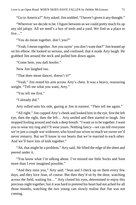"Go to America?" Arty asked. Jim nodded. "I haven't given it any thought."

"Wherever we decide to be, I figure between us we could pretty much fix up any old jalopy. All we need's a box of tools and a yard. We find us a place to live…"

"You do mean together, don't you?"

"Yeah, I mean together. Are you sayin' you don't want that?" Jim leaned up on his elbow. He looked so serious, and confused, that it made Arty laugh. He grabbed Jim around the neck and pulled him down again.

"Come here, you daft hoofer."

Now Jim laughed too.

"That does mean dancer, doesn't it?"

"Yeah." Jim rested his arm across Arty's chest. It was a heavy, reassuring weight. "Tell me what you want, Arty."

"You tell me first."

"I already did."

Arty rolled onto his side, gazing at Jim in earnest. "Then tell me again."

"All right." Jim cupped Arty's cheek and looked him in the eye, first the left eye, then the right, then the left… Arty smiled and then started to laugh. Jim stopped fooling around and took a deep breath. "I want us to be together. I want you to wear my ring and I'll wear yours. Nothing fancy—we can tell everyone we're just a couple war widowers who loved our wives so much we swore we'd never remarry. But we'll know in our hearts that we're married to each other. And we'll have lots of kids together."

"Ah, that might be a problem," Arty said. He lifted the edge of the sheet and peered under it.

"You know what I'm talking about. I've missed our little Socks and Soot more than I ever imagined possible."

"And they miss you," Arty said. "Jean and I check up on them every few days, and they love Jean, of course. But then they'd sit by the door, watching across the field, waiting for…" Arty closed his eyes, determined to enjoy this precious night together, but it was hard to pretend his heart had not ached for all those months, watching the two young cats slowly realise that Jim was not coming.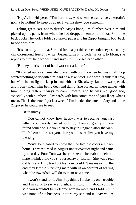"Hey," Jim whispered. "I'm here now. And when the war is over, there ain't gonna be nothin' to keep us apart. I wanna show you somethin'."

Taking great care not to disturb Arty's knee, Jim climbed over him and picked up his pants from where he had dropped them on the floor. From the back pocket, he took a folded square of paper and his Zippo, bringing both back to bed with him.

"It's from my momma. She and Joshua got this clever code they use so they can correspond freely. I write, Joshua turns it to code, sends it to Mom, she replies to him, he decodes it and saves it till we see each other."

"Blimey, that's a lot of hard work for a letter."

"It started out as a game she played with Joshua when he was small. Pop wanted nothing to do with him, said he was an idiot. He doesn't think that now, but Mom had to fight to keep Joshua with her. She always knew he was special, and I don't mean him being deaf and dumb. She played all these games with him, finding different ways to communicate, and he was real good too, 'specially with numbers. Play cards with him sometime and you'll see what I mean. This is the letter I got last week." Jim handed the letter to Arty and lit the Zippo so he could see to read.

Dear Jimmy,

You cannot know how happy I was to receive your last letter. Your words carried such joy. I am so glad you have found someone. Do you plan to stay in England after the war? If it's better there for you, then you must realize you have my blessing.

You'll be pleased to know that the two old coots are back home. They returned in August under cover of night and came by next day. Poor Tom was heartbroken to hear about their old mare. I think I told you she passed away last fall. She was a real old lady and Billy tried but his Tom wouldn't see reason. In the end they left the surviving mare with us on account of fearing what the townsfolk will do to them next time.

I won't stand for it, Jim. Pop thinks I make my own trouble and I'm sorry to say we fought and I told him about you. He said you wouldn't be welcome here no more and I told him it was none of his business. You're my son and if I say you're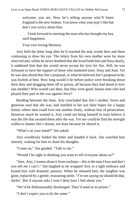welcome, you are. Now he's telling anyone who'll listen England is the new Sodom. You know what your pop's like but don't you worry about him.

I look forward to meeting the man who has brought my boy such happiness.

Your ever loving Momma

Arty held the letter long after he'd reached the end, words here and there continuing to draw his eye. The letters from his own mother were far more reserved and, whilst he never doubted that she loved both him and Sissy dearly, it saddened him that she would never accept his love for Jim. Still, he was fortunate to have the support of those who mattered most: Sissy and Jean. Yet he was also afraid that Jim's proposal, or what he believed Jim's proposal to be, was foolish at best. How long would it be before police were breaking down their door and dragging them off to prison, all because they had dared to love one another? Who would care then, that they were good, honest men who had played their part in the war against Jerry?

Reading between the lines, Arty concluded that Jim's mother, brave and generous soul that she was, had instilled in her son false hopes for a happy future, where men could love one another freely, without fear of persecution. However much he wanted it, Arty could not bring himself to truly believe it was the life that awaited them after the war. Yet nor could he find the strength within to shatter Jim's dream, not least because he shared it.

"What's on your mind?" Jim asked.

Arty wordlessly folded the letter and handed it back. Jim watched him intently, waiting for him to share his thoughts.

"Come on," Jim goaded. "Talk to me."

"Would I be right in thinking you want to tell everyone about us?"

"Jeez, Arty, I wanna shout it from rooftops—this is the man I love and don't you tell me I can't." Jim laughed as he wrapped Arty in a tight embrace and kissed him with dramatic passion. When he released him, the laughter was gone, replaced by a gentle, reassuring smile. "I'm not saying we should do that, darlin'. But if anyone asks I won't deny how I feel about you."

"We'd be dishonourably discharged. They'd send us to prison."

"I don't expect you to do the same."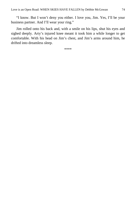"I know. But I won't deny you either. I love you, Jim. Yes, I'll be your business partner. And I'll wear your ring."

Jim rolled onto his back and, with a smile on his lips, shut his eyes and sighed deeply. Arty's injured knee meant it took him a while longer to get comfortable. With his head on Jim's chest, and Jim's arms around him, he drifted into dreamless sleep.

\*\*\*\*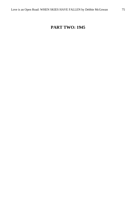# **PART TWO: 1945**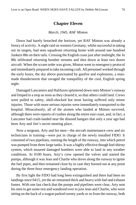### **Chapter Eleven**

#### *March, 1945, RAF Minton*

Dawn had barely breached the horizon, yet RAF Minton was already a frenzy of activity. A night raid on western Germany, whilst successful in taking out its targets, had seen squadrons returning home with around one hundred Junkers 88s on their tails. Crossing the English coast just after midnight, the Ju 88s infiltrated returning bomber streams and shot down at least two dozen aircraft. When the scram order was given, Minton went to emergency protocol and immediately prepared to take incoming craft. All personnel worked through the early hours, the sky above punctuated by gunfire and explosions, a manmade thunderstorm that ravaged the tranquillity of the cool, English spring night.

Damaged Lancasters and Halifaxes spluttered down onto Minton's runway and limped to a stop as soon as they cleared it, so that others could land. Crews were pulled to safety, shell-shocked but most having suffered only minor injuries. Those with more serious injuries were immediately transported to the hospital. Miraculously, all of the airmen who landed at Minton survived, although there were reports of crashes along the entire east coast, and, in fact, a Lancaster had crash-landed near the disused hangars that only a year ago had been Arty and Jim's secret meeting place.

Now a sergeant, Arty and his men—the aircraft maintenance crew and six technicians in training—were put in charge of the newly installed FIDO. It consisted of two pipelines, running the length of the runway, into which petrol was pumped from three large tanks. It was a highly effective though fuel-thirsty system, which ensured damaged bombers were able to land in any weather conditions. At 0100 hours, Arty's crew opened the valves and started the pumps, although it was Jean and Charlie who drove along the runway to ignite the fuel pipes, and then remained close by in case they burned out at any point during the three-hour emergency landing operation.

By first light the FIDO had long been extinguished and there had been no landings since 0415, yet the air remained thick and heavy with fuel and exhaust fumes. With one last check that the pumps and pipelines were clear, Arty sent his men to get some rest and wandered over to join Jean and Charlie, who were sitting on the back of a wagon parked twenty yards or so from the runway, both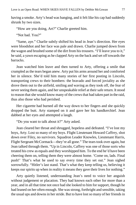having a smoke. Arty's head was banging, and it felt like his cap had suddenly shrunk by two sizes.

"How are you doing, Art?" Charlie greeted him.

"Not bad. You?"

"Same, aye." Charlie subtly shifted his head in Jean's direction. Her eyes were bloodshot and her face was pale and drawn. Charlie jumped down from the wagon and brushed some of the dirt from his trousers. "I'll leave you to it," he said, a yawn escaping as he clapped Arty on the back and set off towards the barracks.

Jean watched him leave and then turned to Arty, offering a smile that crumpled as the tears began anew. Arty put his arms around her and comforted her in silence. She'd told him many stories of her first posting in Lincoln, transporting crews to their bombers: the bravado and forced joviality as she drove them out to the airfield, smiling and waving as they took off, the fear of never seeing them again, and her unspeakable relief at their safe return. It stood to reason that she would know many of the crews that had taken part in the raid, thus also those who had perished.

Her cigarette had burned all the way down to her fingers and she quickly dropped the butt. Arty stamped on it and gave her his handkerchief. Jean dabbed at her eyes and attempted a laugh.

"Do you want to talk about it?" Arty asked.

Jean cleared her throat and shrugged, hopeless and defeated. "I've lost my boys, Arty. Lost so many of my boys. Flight Lieutenant Howard Caffrey, shot down over Filey, no survivors. Squadron Leader Knowles, Lieutenant Harris, Flight Sergeant McCormack—they're all gone." The tears took over again, but Jean talked through them. "Up in Lincoln, Caffrey was one of those sorts who treated his crew as equals and they worshipped him. To the end he'd have been cheering them on, telling them they were almost home. 'Come on, lads. Final push!' That's what he used to say every time they set out." Jean sighed sorrowfully. "Hitler's last stand. That's what they keep telling us, believing it keeps our spirits up when in reality it means they gave their lives for nothing."

Arty quietly listened, understanding Jean's need to voice her anguish without judgement or placation. They had known each other for more than a year, and in all that time not once had she looked to him for support, though he had leaned on her often enough. She was strong, forthright and sensible, taking the usual ups and downs in her stride. But to have lost so many of her friends in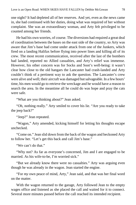one night? It had depleted all of her reserves. And yet, even as the news came in, she had continued with her duties, doing what was required of her without complaint. She was an extraordinary woman, and Arty felt privileged to be counted among her friends.

He had his own worries, of course. The diversions had required a great deal of coordination between the bases on the east side of the country, so Arty was aware that Jim's base had come under attack from one of the Junkers, which fired on a landing Halifax before flying into power lines and killing all of its crew. The most recent communication, received after the last of the bombers had landed, reported no Allied casualties, and Arty's relief was immense. However, his other concern was for Socks and Soot's well-being: it wasn't clear how close to the old hangars the Lancaster had crash-landed and Arty couldn't think of a pertinent way to ask the question. The Lancaster's crew were alive and well; their aircraft was damaged but salvageable. In a few hours' time, his men would go to retrieve the wreckage and he would have a reason to search the area. In the meantime all he could do was hope and pray the cats were safe.

"What are you thinking about?" Jean asked.

"Oh, nothing really." Arty smiled to cover his lie. "Are you ready to take the jeep back?"

"Jeep?" Jean repeated.

"Wagon," Arty amended, kicking himself for letting his thoughts escape unchecked.

"Come on." Jean slid down from the back of the wagon and beckoned Arty to follow her. "Let's get this back and call Jim's base."

"We can't do that."

"Why not? As far as everyone's concerned, Jim and I are engaged to be married. As his wife-to-be, I'm worried sick."

"But we already know there were no casualties." Arty was arguing even though he was already in the wagon. Jean started the engine.

"For *my* own peace of mind, Arty," Jean said, and that was her final word on the matter.

With the wagon returned to the garage, Arty followed Jean to the empty wages office and listened as she placed the call and waited for it to connect. Several more minutes passed before the call reached its intended recipient.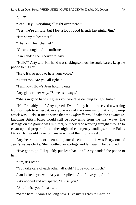"Jim?"

"Jean. Hey. Everything all right over there?"

"Yes, we're all safe, but I lost a lot of good friends last night, Jim."

"I'm sorry to hear that."

"Thanks. Clear channel?"

"Clear enough," Jim confirmed.

Jean handed the receiver to Arty.

"Hello?" Arty said. His hand was shaking so much he could barely keep the phone to his ear.

"Hey. It's so good to hear your voice."

"Yours too. Are you all right?"

"I am now. How's Jean holding out?"

Arty glanced her way. "Same as always."

"She's in good hands. I guess you won't be dancing tonight, huh?"

"No. Probably not," Arty agreed. Even if they hadn't received a warning from on high to expect it, everyone was of the same mind that a follow-up attack was likely. It made sense that the *Luftwaffe* would take the advantage, knowing British bases would still be recovering from the first wave. The damage on the ground was minimal, but they'd be working straight through to clean up and prepare for another night of emergency landings, so the Palais Dance Hall would have to manage without them for a week.

Arty heard the door open and glanced behind him; it was Betty, one of Jean's wages clerks. She mouthed an apology and left again. Arty sighed.

"I've got to go. I'll quickly put Jean back on." Arty handed the phone to her.

"Jim, it's Jean."

"You take care of each other, all right? I love you so much."

Jean locked eyes with Arty and replied, "And I love you, Jim."

Arty nodded and whispered, "I miss you."

"And I miss you," Jean said.

"Same here. It won't be long now. Give my regards to Charlie."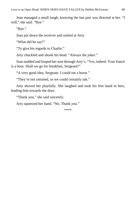Jean managed a small laugh, knowing the last part was directed at her. "I will," she said. "Bye."

"Bye."

Jean put down the receiver and smiled at Arty.

"What did he say?"

"To give his regards to Charlie."

Arty chuckled and shook his head. "Always the joker."

Jean nodded and looped her arm through Arty's. "Yes, indeed. Your fiancé is a hoot. Shall we go for breakfast, Sergeant?"

"A very good idea, Sergeant. I could eat a horse."

"They're not rationed, so we could certainly ask."

Arty shoved her playfully. She laughed and took his free hand in hers, leading him towards the door.

"Thank you," she said sincerely.

Arty squeezed her hand. "No. Thank *you*."

\*\*\*\*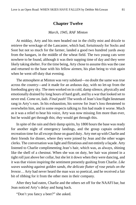### **Chapter Twelve**

#### *March, 1945, RAF Minton*

At midday, Arty and his men headed out in the chilly mist and drizzle to retrieve the wreckage of the Lancaster, which had, fortuitously for Socks and Soot but not so much for the farmer, landed a good two hundred yards away from the hangars, in the middle of the wheat field. The two young cats were nowhere to be found, although it was their napping time of day and they were likely taking shelter. For the time being, Arty chose to assume this was the case and returned to the base with his fellow airmen, his plan being to visit again when he went off-duty that evening.

The atmosphere at Minton was very subdued—no doubt the same was true across the country—and it made for an arduous day, with no let-up from the foreboding grey sky. The men worked on in cold, damp silence, physically and emotionally drained by long hours of hard graft, and by a war that looked set to never end. *Come on, lads. Final push!* The words of Jean's lost flight lieutenant rang in Arty's ears. In his exhaustion, his sorrow for Jean's loss threatened to overwhelm him, and in some respects talking to Jim had made it worse. Much as it was a relief to hear his voice, Arty was now missing Jim more than ever, but he would get through this; *they* would get through this.

In spite of the rain and their damp spirits, by 1800 hours the base was ready for another night of emergency landings, and the group captain ordered recreation time for all except those on guard duty. Arty met up with Charlie and their friends for dinner, where they were joined by Jean and the other wages clerks. The conversation was light and flirtatious and not entirely a façade. Arty listened to Charlie complimenting Jean's hair, which was, as always, shining like the shell of a chestnut. When she was on duty, her hair was pinned in a tight roll just above her collar, but she let it down when they were dancing, and it was that vision inspiring the sentiment presently gushing from Charlie. *Like waves washing against golden sands, the delicate flutter of rose petals on the breeze...* Arty had never heard the man wax so poetical, and he received a fair bit of ribbing for it from the other men in their company.

After they had eaten, Charlie and the others set off for the NAAFI bar, but Jean noticed Arty's delay and hung back.

"Don't you fancy a beer?" she asked.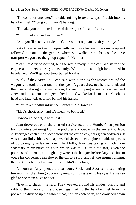"I'll come for one later," he said, stuffing leftover scraps of rabbit into his handkerchief. "You go on. I won't be long."

"I'll take you out there in one of the wagons," Jean offered.

"You'll get yourself in bother."

"And you'll catch your death. Come on, let's go and visit your boys."

Arty knew better than to argue with Jean once her mind was made up and followed her out to the garage, where she walked straight past the three transport wagons, to the group captain's Humber.

"Jean…" Arty beseeched, but she was already in the car. She started the engine and looked at Arty expectantly. With a reluctant sigh he climbed in beside her. "We'll get court-martialled for this."

"Only if they catch us," Jean said with a grin as she steered around the wagons and took the car out into the open. A guard drew to a halt, saluted, and then peered through the windscreen, his jaw dropping when he saw Jean and Arty inside. Jean put her finger to her lips and winked at the man. He shook his head and laughed. Arty hid behind his hands.

"You're a dreadful influence, Sergeant McDowell."

"Life's short, Arty, and it's meant to be lived."

How could he argue with that?

Jean drove out onto the disused service road, the Humber's suspension taking quite a battering from the potholes and cracks in the ancient surface. Arty cringed each time a loose stone hit the car's sleek, dark green bodywork. It was a beautiful vehicle, with a powerful six-cylinder engine, capable of speeds of up to eighty miles an hour. Thankfully, Jean was taking a much more sedentary thirty miles an hour, which was still a little too fast, given the poorness of the road, although they were at the hangars before Arty had time to voice his concerns. Jean slowed the car to a stop, and left the engine running; the light was fading fast, and they couldn't stay long.

As soon as Arty opened the car door, Socks and Soot came sauntering towards him, their hungry, gravelly mews bringing tears to his eyes. He was so glad to see them alive and well.

"Evening, chaps," he said. They weaved around his ankles, purring and rubbing their faces on his trouser legs. Taking the handkerchief from his pocket, he divvied up the rabbit meat, half on each palm, and crouched down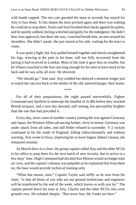with hands cupped. The two cats guzzled the meat in seconds but stayed for Arty to fuss them. To his shame the tears pricked again and there was nothing he could do to stop them. Socks and Soot brushed their backs against his palms, and he quietly sobbed, feeling wretched and guilty for the indulgence. He didn't hear Jean approach, but there she was, crouched beside him, an arm around his shoulders. She didn't speak; she just stayed at his side, waiting for the tears to cease.

It was quite a fight, but Arty pulled himself together and slowly straightened his legs, wincing at the pain in his knee, still not fully recovered from the jarring it had received in London. Most of the time it gave him no trouble, but he'd been crouched in the fine rain long enough for his shirt to have stuck to his back and he was achy all over. He shivered.

"We should go," Jean said. Arty nodded but delayed a moment longer just to watch the cats trot back to the shelter of the old, tattered hangar: their home.

\*\*\*\*

For all of their preparations, the night passed uneventfully. Fighter Command sent Spitfires to intercept the handful of Ju 88s before they reached British airspace, and a new day dawned, still raining, but perceptibly brighter than the one that had preceded it.

Every day, news came of another country joining the war against Germany and Japan, the Western Allies advancing further, Jerry in retreat. Germany was under attack from all sides, and still Hitler refused to surrender. V-2 rockets continued to hit the south of England, killing indiscriminately and without warning. Arty wrote to Sissy, imploring her to leave Signor Adessi's house; she remained resolute.

As March drew to a close, the group captain called Arty and the other NCOs to his office to prep them for the next batch of new recruits, due to arrive in a few days' time. High Command had decided that Minton would no longer train air crew, and the captain's dismay was palpable as he explained that from there on, the base would provide technical training only.

"What that means, men," Captain Taylor said stiffly as he rose from his chair, "is that all those of you who are not ground technicians and engineers will be transferred by the end of the week, which leaves us with you lot." The captain peered down his nose at Arty, Charlie and the other NCOs who were ground crew. He exhaled sharply. "But never fear, the Yanks are here."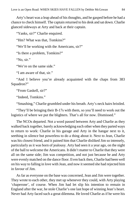Arty's heart was a leap ahead of his thoughts, and he gasped before he had a chance to check himself. The captain returned to his desk and sat down. Charlie glanced sideways at Arty and back at their captain.

"Yanks, sir?" Charlie enquired.

"Hm? What was that, Tomkins?"

"We'll be working with the Americans, sir?"

"Is there a problem, Tomkins?"

"No, sir."

"We're on the same side."

"I am aware of that, sir."

"And I believe you're already acquainted with the chaps from 383 Squadron?"

"From Gaskell, sir?"

"Indeed, Tomkins."

"Smashing," Charlie grumbled under his breath. Arty's neck hairs bristled.

"They'll be bringing their B-17s with them, so you'll need to work out the logistics of where we put the blighters. That's all for now. Dismissed."

The NCOs departed. Not a word passed between Arty and Charlie as they walked back together, barely acknowledging each other when they parted ways to return to work: Charlie in his garage and Arty in the hangar next to it, seething in silence but powerless to do a thing about it. Next to Jean, Charlie was his closest friend, and it pained him that Charlie disliked Jim so intensely, particularly as it was born of jealousy. Arty had seen it a year ago, on the night of the ball to welcome the Americans. It didn't matter to Charlie that they were all on the same side; Jim was competition, and not just because he and Arty were evenly matched on the dance floor. Even back then, Charlie had been well on his way to falling in love with Jean, and now it seemed she had rejected him in favour of Jim.

As far as everyone on the base was concerned, Jean and Jim were together. They wrote to each other, they met up whenever they could, with Arty playing 'chaperone', of course. When Jim had let slip his intention to remain in England after the war, he stole Charlie's one last hope of winning Jean's heart. Never had Arty faced such a great dilemma. He loved Charlie as if he were his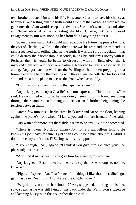own brother, trusted him with his life. He wanted Charlie to have his chance at happiness, and telling him the truth would give him that, although there was no guarantee that Jean would accept his advances. She didn't want a husband, after all. Nevertheless, Arty had a feeling she liked Charlie, but her supposed engagement to Jim was stopping her from doing anything about it.

So on the one hand, Arty could not reconcile his future happiness being at the cost of Charlie's, while on the other, there was his fear, and the tremendous risk associated with telling Charlie the truth. It was the sort of revelation that could destroy their friendship in seconds, taking his and Jim's liberty with it. Perhaps, then, it would be better to discuss it with Jim first, given that it involved them both and they were partners. Relieved to have a reason to delay acting, Arty got back to work on the Wellington he'd been prepping for a training exercise before the meeting with the captain. He collected his tools and slid underneath the plane to access the front wheel assembly.

"Don't suppose I could borrow that spanner again?"

Arty briefly peered up at Charlie's solemn expression. "In the toolbox," he said. He continued with what he was doing, listening to his friend searching through the spanners, each clang of steel on steel further heightening the tension between them.

After a few minutes, Charlie came back over and sat on the floor, leaning against the plane's front wheel. "I know you and him are friends…" he said.

Arty waited for more, but there didn't seem to be any. "But?" he prompted.

"There isn't one. No doubt Jimmy Johnson's a marvellous fellow. He knows his job, that's for sure. I just wish I could be a man about this. Mind, I don't have any choice, do I? Seeing as he's my oppo."

"True enough," Arty agreed. "I think if you give him a chance you'll be pleasantly surprised."

"And find it in my heart to forgive him for stealing my woman?"

Arty laughed. "Best not let Jean hear you say that. She belongs to no one, Charlie."

"Figure of speech, Art. That's one of the things I like about her. She's got gall, has Jean. Real fight. And she's a great little mover."

"Why don't you talk to her about it?" Arty suggested, thinking on his feet, so to speak, as he was still lying on his back under the Wellington's fuselage and keeping his eyes on the task rather than Charlie.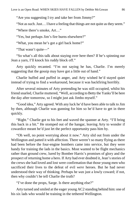"Are you suggesting I try and take her from Jimmy?"

"Not as such. Just… I have a feeling that things are not quite as they seem."

"Where there's smoke, Art…"

"Yes, but perhaps Jim's fire burns elsewhere?"

"What, you mean he's got a girl back home?"

"That wasn't quite—"

"So what's all this talk about staying over here then? If he's spinning our Jean a yarn, I'll knock his ruddy block off."

Arty quickly recanted. "I'm not saying he has, Charlie. I'm merely suggesting that the gossip may have got a little out of hand."

Charlie huffed and puffed in anger, and Arty wished he'd stayed quiet instead of trying to find a workaround, because it was backfiring horribly.

After several minutes of Arty pretending he was still occupied, whilst his friend snarled, Charlie muttered, "Well, according to Betty the Yanks'll be here the day after tomorrow, so I might just ask Jimbo myself."

"Good idea," Arty agreed. With any luck he'd have been able to talk to Jim by then, although Charlie was gunning for him so he'd have to get in there quickly.

"Right." Charlie got to his feet and waved the spanner at Arty. "I'll bring this back in a bit." He stomped out of the hangar, leaving Arty to wonder if cowardice meant he'd just let the perfect opportunity pass him by.

"Oh well, no point worrying about it now." Arty slid out from under the Wellington and patted it with affection. There weren't so many flying as there had been before the four-engine bombers came into service, but they were handy for training the lads in the basics. Most wanted to be flight mechanics rather than ground crew, lured by Bomber Harris's promises of glory and the prospect of returning home a hero. If Arty had ever doubted it, Jean's stories of the crews she had loved and lost were confirmation that those young men who sacrificed their lives to the defeat of evil *were* heroes. But he had never understood their way of thinking. Perhaps he *was* just a lowly coward; if not, then why couldn't he tell Charlie the truth?

"I've done the props, Sarge. Is there anything else?"

Arty turned and smiled at the eager young AC2 standing behind him: one of his six lads who would be training in the tethered Wellington.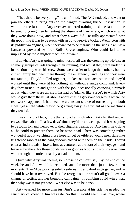"That should be everything," he confirmed. The AC2 nodded, and went to join the others loitering outside the hangar, awaiting further instruction. It would be the last time Arty oversaw tethered training, and the last time he listened to young men lamenting the absence of Lancasters, which was what they were doing now, and what they always did. He fully appreciated how disappointing it was to be stuck with an out-of-service Vickers Wellington with its piddly two engines, when they wanted to be marauding the skies in an Avro Lancaster powered by four Rolls Royce engines. Who could fail to be impressed by those mighty machines of war?

But what Arty was going to miss most of all was the crewing up. He'd seen so many groups of lads through their training, and whilst they were under his instruction they were his crew. Some were easier to let go than others, but his current group had been there through the emergency landings and they were outstanding. They'd pulled together, looked out for each other, and they'd worked until they were fit for nothing, all without a single complaint. Every day they turned up and got on with the job, occasionally chancing a remark about when they were air crew instead of 'planks like Sarge', to which Arty would give them the usual ribbing about chasing glory and forgetting where the real work happened. It had become a constant source of tormenting on both sides, yet all the while they'd be grafting away, as efficient as the machines they tended.

It was this lot of lads, more than any other, with whom Arty felt the bond air crews talked about. In a few days' time they'd be crewed up, and it was going to be tough to hand them over to their flight sergeants, but Arty knew he'd done all he could to prepare them, so he wasn't sad. There was something rather wonderful about watching those hopeful yet bewildered young men stare like frightened rabbits as the hangar doors closed with them on the inside. They'd enter as individuals—brave, lone adventurers at the start of their voyage—and leave as brothers, for those bonds were as good as blood and would serve them well through the ordeal that lay ahead of them.

Quite why Arty was feeling so morose he couldn't say. By the end of the week he and Jim would be reunited, and for more than just a few stolen moments. They'd be working side by side, eating and drinking together, and he should have been overjoyed. But the reorganisation wasn't all good news: a change of tactics, another bombing campaign—if bombing could win a war, then why was it not yet won? What else was to be done?

Arty yearned for more than just Jim's presence at his side; he needed the sanctuary of knowing Jim was safe. So this it would seem, was love, where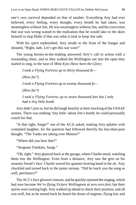one's very survival depended on that of another. Everything Arty had ever believed, every feeling, every thought, every breath he had taken, was meaningless without Jim. *He* was meaningless without Jim, and his conviction that war was wrong waned in the realisation that he would take to the skies himself to stop Hitler if that was what it took to keep Jim safe.

With his spirit replenished, Arty strode to the front of the hangar and shouted, "Right, lads. Let's get this war won!"

The young heroes-in-the-making answered Arty's call to action with a resounding cheer, and as they walked the Wellington out into the open they started to sing, to the tune of *Mine Eyes Have Seen the Glory*:

*I took a Flying Fortress up to thirty thousand fe— (How far?) I took a Flying Fortress up to twenty thousand fe— (How far?) I took a Flying Fortress up to seven thousand feet but I only had a tiny little bomb.*

Arty didn't join in, but he did laugh heartily at their mocking of the USAAF airmen. There was nothing 'tiny little' about Jim's bomb; he could personally vouch for that.

"Is that right, Sarge?" one of the AC2s asked, making Arty splutter with contained laughter, for the question had followed directly his less-than-pure thought. "The Yanks are taking over Minton?"

"Where did you hear that?"

"Sergeant Tomkins, Sarge."

"Oh, right." Arty glanced back at the garage, where Charlie stood, watching them tow the Wellington. Even from a distance, Arty saw the grin on his smarmy friend's face. Charlie waved his spanner-bearing hand in the air. Arty chuckled and turned back to the junior airman. "Did he teach you the song as well, perchance?"

The AC2's face glowed crimson, and he quickly rejoined the singing, which had now become *We're flying Vickers Wellingtons at zero zero feet*, but their spirits were soaring high. Arty walked up ahead to check their position, and all was well, but as he turned back he heard the drone of engines, flying low and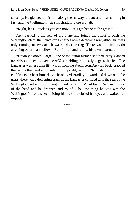close by. He glanced to his left, along the runway: a Lancaster was coming in fast, and the Wellington was still straddling the asphalt.

"Right, lads. Quick as you can now. Let's get her onto the grass."

Arty dashed to the rear of the plane and joined the effort to push the Wellington clear, the Lancaster's engines now a deafening roar, although it was only running on two and it wasn't decelerating. There was no time to do anything other than bellow, "Run for it!" and follow his own instruction.

"Bradley's down, Sarge!" one of the junior airmen shouted. Arty glanced over his shoulder and saw the AC2 scrabbling frantically to get to his feet. The Lancaster was less than fifty yards from the Wellington. Arty ran back, grabbed the lad by the hand and hauled him upright, yelling, "Run, damn it!" but he couldn't even hear himself. As he shoved Bradley forward and down onto the grass, there was a deafening crash as the Lancaster collided with the rear of the Wellington and sent it spinning around like a top. A tail fin hit Arty in the side of the head and he dropped and rolled. The last thing he saw was the Wellington's front wheel sliding his way; he closed his eyes and waited for impact.

\*\*\*\*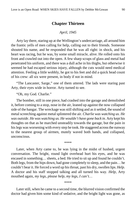### **Chapter Thirteen**

#### *April, 1945*

Arty lay there, staring up at the Wellington's undercarriage, all around him the frantic yells of men calling for help, calling out to their friends. Someone shouted his name, and he responded that he was all right: in shock, and his heart was racing, but he was, by some small miracle, alive. He rolled onto his front and crawled out into the open. A few sharp scraps of glass and metal had penetrated his uniform, and there was a dull ache in his thighs, but otherwise it seemed he had escaped serious injury, although the cuts would need medical attention. Feeling a little wobbly, he got to his feet and did a quick head count of his crew: all six were present, in body if not in mind.

"The Lancaster, Sarge," one of them uttered. The lads were staring past Arty, their eyes wide in horror. Arty turned to see.

"Oh, my God. Charlie."

The bomber, still in one piece, had crashed into the garage and demolished it, before coming to a stop, nose in the air, leaned up against the now collapsed side of the hangar. The wreckage was still shifting and as it settled, the sound of metal screeching against metal splintered the air. *Charlie was watching us. He was outside. He was watching us. He wouldn't have gone back in.* Arty kept his thoughts on that as he marched unsteadily towards the garage, but the pain in his legs was worsening with every step he took. He staggered across the runway to the nearest group of airmen, mutely waved both hands, and collapsed, unconscious.

\*\*\*\*

Later, when Arty came to, he was lying in the midst of hushed, urgent conversation. The bright, round light overhead hurt his eyes, and he was encased in something… sheets, a bed. He tried to sit up and found he couldn't. Both legs, from the hips down, had gone completely to sleep, and the pain… he couldn't bear it. He forced a word up his throat, past his dry, swollen lips. *Help.* A doctor and his staff stopped talking and all turned his way. *Help*, Arty mouthed again, *my legs, please help, my legs, I can't…*

\*\*\*\*

Later still, when he came to a second time, the blurred vision confirmed the doctor had given him some kind of sedative, and the bright light was gone, as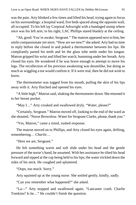was the pain. Arty blinked a few times and lifted his head, trying again to focus on his surroundings: a hospital ward, five beds spaced along the opposite wall, all occupied. To his left lay Corporal Arkwright with a bandaged stump where once was his left arm; to his right, LAC Phillips stared blankly at the ceiling.

"Ah, good. You're awake, Sergeant." The matron appeared next to him, her smile compassionate yet stern. "How are we now?" she asked. Arty had no time to reply before she closed in and poked a thermometer between his lips. He compliantly parted his teeth and let the glass tube settle under his tongue. Matron gripped his wrist and lifted her watch, humming under her breath. Arty closed his eyes. He wondered if he was brave enough to attempt to move his legs. The recollection of his previous awakening was dreamlike, but doing as much as wiggling a toe would confirm it. If it were real, then he did not wish to know.

The thermometer was tugged from his mouth, pulling the skin of his lips away with it. Arty flinched and opened his eyes.

"A little high," Matron said, shaking the thermometer down. She returned it to her breast pocket.

"May I…" Arty croaked and swallowed dryly. "Water, please?"

"Certainly, Sergeant." Matron moved off, looking to the end of the ward as she shouted, "Nurse Brownlow. Water for Sergeant Clarke, please, thank you."

"Yes, Matron," came a timid, rushed response.

The matron moved on to Phillips, and Arty closed his eyes again, drifting, remembering… *Charlie*…

"Here we are, Sergeant."

He felt something warm and soft slide under his head and the gentle pressure of the nurse's hand, he assumed. With her assistance he tilted his head forward and sipped at the cup being held to his lips; the water trickled down the sides of his neck. He coughed and spluttered.

"Oops, too much. Sorry."

Arty squinted up at the young nurse. She smiled gently, kindly, *sadly*.

"Can you remember what happened?" she asked.

"La—" Arty stopped and swallowed again. "Lancaster crash. Charlie Tomkins? Is he…" He couldn't finish the question.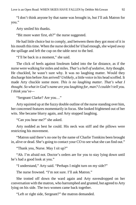"I don't think anyone by that name was brought in, but I'll ask Matron for you."

Arty smiled his thanks.

"Bit more water first, eh?" the nurse suggested.

He had little choice but to comply, and between them they got most of it in his mouth this time. When the nurse decided he'd had enough, she wiped away the spillage and left the cup on the table next to the bed.

"I'll be back in a moment," she said.

The click of heels against linoleum faded into the far distance, as if the nurse were walking for miles and miles. *That's a hell of sedative*, Arty thought. He chuckled, he wasn't sure why. It was no laughing matter. Would they discharge him before Jim arrived? *Unlikely*, a little voice in his head scoffed. It made Arty chuckle some more. *This is no laughing matter. That's what I thought. So what in God's name are you laughing for, man? I couldn't tell you. I think you've—*

"Sergeant Clarke? Are you…"

Arty squinted up at the fuzzy double outline of the nurse standing over him, her concerned features momentarily in focus. She looked frightened out of her wits. She became blurry again, and Arty stopped laughing.

"Can you hear me?" she asked.

Arty nodded as best he could. His neck was stiff and the pillows were restricting his movement.

"Matron said there's no one by the name of Charlie Tomkins been brought in, alive or dead. She's going to contact your CO to see what she can find out."

"Thank you, Nurse. May I sit up?"

"Ah. I'm afraid not. Doctor's orders are for you to stay lying down until he's had a good look at you."

"I understand," Arty said. "Perhaps I might turn on my side?"

The nurse frowned. "I'm not sure. I'll ask Matron."

She trotted off down the ward again and Arty eavesdropped on her conversation with the matron, who harrumphed and grunted, but agreed to Arty lying on his side. The two women came back together.

"Left or right side, Sergeant?" the matron demanded.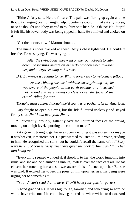"Either," Arty said. He didn't care. The pain was flaring up again and he thought changing position might help. It certainly couldn't make it any worse, or so he thought until they started to roll him onto his side. "Oh, no! No! Stop!" It felt like his lower body was being ripped in half. He vomited and choked on it.

"Get the doctor, now!" Matron shouted.

The nurse's shoes clacked at speed. Arty's chest tightened. He couldn't breathe. He was dying. He was dying…

*After the swingboats, they went on the roundabouts to calm down, he twisting astride on his jerky wooden steed towards her, and always seeming at his ease…*

*D H Lawrence is reading to me. What a lovely way to welcome a fellow.*

*…on the whirling carousal, with the music grinding out, she was aware of the people on the earth outside, and it seemed that he and she were riding carelessly over the faces of the crowd, riding for ever…*

*Though I must confess I thought he'd sound a lot posher… less… American.*

Arty fought to open his eyes, but the lids fluttered uselessly and stayed firmly shut. *Jim! I can hear you! Jim…*

"…buoyantly, proudly, gallantly over the upturned faces of the crowd, moving on a high level, spurning the common mass."

Arty gave up trying to get his eyes open, deciding it was a dream, or maybe it was heaven, it mattered not. He just wanted to listen to Jim's voice, reading to him. He recognised the story, but he couldn't recall the name of it. *If Sissy were here… of course, Sissy must have given the book to Jim. Can I think her into being too?*

"Everything seemed wonderful, if dreadful to her, the world tumbling into ruins, and she and he clambering unhurt, lawless over the face of it all. He sat close to her, touching her, and she was aware of his influence upon her. But she was glad. It excited her to feel the press of him upon her, as if his being were urging her to something."

"You…" *can't read that in here. They'll have your guts for garters.*

A hand grabbed his. It was big, rough, familiar, and squeezing so hard he would have cried out if he could have garnered the wherewithal to do so. And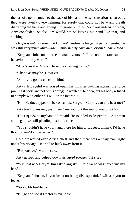then a soft, gentle touch to the back of his hand, the two sensations so at odds they were utterly overwhelming, for surely that could not be warm breath disturbing the hairs and giving him goose pimples? *So it was indeed a dream*, Arty concluded, or else Jim would not be kissing his hand like that, and sobbing.

*Or if it is not a dream, and I am not dead*—the lingering pain suggested he was still very much alive—*then I must nearly have died, or am I nearly dead?*

"Sergeant Johnson, please restrain yourself. I do not tolerate such… behaviour on my ward."

"Arty's awake, Molly. He said something to me."

"That's as may be. However—"

"Ain't you gonna check on him?"

Arty's left eyelid was prised open, his muscles battling against the force pinning it back, and not of his doing; he wanted it to open, but his body refused to comply with either his will or the matron's.

"Hm. He does appear to be conscious. Sergeant Clarke, can you hear me?"

Arty tried to answer, *yes, I can hear you*, but the sound would not form.

"He's squeezing my hand," Jim said. He sounded so desperate, like the man at the gallows still pleading his innocence.

"You shouldn't have your hand there for him to squeeze, Jimmy. I'd have thought you'd know better."

Cold air wafted over Arty's chest and then there was a sharp pain right under his ribcage. He tried to buck away from it.

"Responsive," Matron said.

Arty gasped and gulped down air. *Stop! Please, just stop!*

"Was that necessary?" Jim asked angrily. "I told ya he was squeezin' my hand."

"Sergeant Johnson, if you insist on being disrespectful, I will ask you to leave."

"Sorry, Mol—Matron."

"I'll go and see if Doctor is available."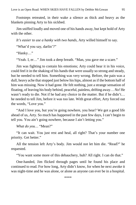Footsteps retreated, in their wake a silence as thick and heavy as the blankets pinning Arty to his sickbed.

Jim sniffed loudly and moved one of his hands away, but kept hold of Arty with the other.

*It's easier to use a hanky with two hands*, Arty willed himself to say.

"What'd you say, darlin'?"

"Hanky…"

"Yeah. I, er..." Jim took a deep breath. "Man, you gave me a scare."

Jim was fighting to contain his emotions; Arty could hear it in his voice, could feel it in the shaking of his hands that were usually so strong and steady, but he needed to tell him. Something was very wrong. Before, the pain was a dull, heavy ache that stopped just below his hips, almost as if the bottom half of him was missing. Now it had gone. He felt nothing, just a strange sensation of floating, of leaving his body behind, peaceful, painless, drifting away… *No!* He wasn't ready to die. Not if he had any choice in the matter. But if he didn't… he needed to tell Jim, before it was too late. With great effort, Arty forced out the words, "Love you."

"And I love you, but you're going nowhere, you hear? We got a good life ahead of us, Arty. So much has happened in the past few days, I can't begin to tell you. You ain't going nowhere, because I ain't letting you."

*What do you…* "Mean?"

"It can wait. You just rest and heal, all right? That's your number one priority. Get better."

All the tension left Arty's body. Jim would not let him die. "Read?" he requested.

"You want some more of this debauchery, huh? All right. I can do that."

One-handed, Jim flicked through pages until he found his place and continued to read. For how long, Arty didn't know, for when he next awoke it was night-time and he was alone, or alone as anyone can ever be in a hospital.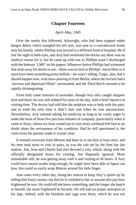### **Chapter Fourteen**

#### *April–May, 1945*

Over the weeks that followed, Arkwright, who had been trapped under hangar debris which mangled his left arm, was sent to a convalescent home near his family, whilst Phillips was moved to a different kind of hospital. He'd lost the sight in both eyes, and Arty had overheard the doctor say there was no medical reason for it, but he came up with one so Phillips wasn't discharged with the hideous 'LMF' on his papers. Whatever horror Phillips had witnessed that took away his desire to see—there was no lack in Phillips' moral fibre so it must have been something pretty hellish—he wasn't telling. Tragic, also, that it should happen now, with news pouring in from Berlin, where the Soviets had a 'nervous and depressed Hitler' surrounded, and the Third Reich seemed to be rapidly disintegrating.

From Italy came rumours of surrender, though Arty only caught snippets here and there; he was still sedated for most of the day, with a brief reprieve at visiting time. The doctor had told him the sedation was to help with the pain, and in truth the only time it didn't hurt was when he was unconscious. Nevertheless, Arty resisted asking for medicine as long as he could, eager to make the most of those few precious minutes of company, particularly when it came to Sissy, whose six-hour round trip to visit every weekend left him in no doubt about the seriousness of his condition. Had he still questioned it, the visits from his parents made it crystal clear.

It seemed everyone from Minton had been in to see him at least once, and his men took turns to visit in pairs, as was the rule set by the firm but fair matron. Jim, Jean and Charlie had also devised a rota, which, along with the officially designated hours for visiting, Jim flagrantly ignored. More remarkable still, he was getting away with it and visiting at all hours. If Arty could have stayed awake long enough, he might have been able to figure out how Jim could so easily wrap Matron around his little finger.

Jean came every other day, doing her utmost to keep Arty's spirits up by telling him funny stories, not that he'd confided to her or anyone else just how frightened he was. He could tell she knew something, and the longer she kept it to herself, the more frightened he became. He still had no proper sensation in his legs. Indeed, with the blankets and cage over them, which he was not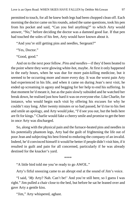permitted to touch, for all he knew both legs had been chopped clean off. Each morning the doctor came on his rounds, asked the same questions, took his pen from his pocket and said, "Can you feel anything?" to which Arty would answer, "No," before deciding the doctor was a damned good liar. If that pen had touched the soles of his feet, Arty would have known about it.

"And you're still getting pins and needles, Sergeant?"

"Yes, Doctor."

"Good, good."

And on to the next poor fellow. *Pins and needles*—if they'd been heated to the point where they were glowing white-hot, maybe. At first it only happened in the early hours, when he was due for more pain-killing medicine, but it seemed to be occurring more and more every day. It was the worst pain Arty had experienced in his life, and when it came on during Jean's next visit, he ended up screaming in agony and begging for her help to end his suffering. In that moment he'd meant it, but as the pain slowly subsided and he watched her break down, he realised just how hard it was on everyone else. Like Charlie, for instance, who would begin each visit by offering his excuses for why he couldn't stay long. After twenty minutes or so had passed, he'd rise to his feet and smile an apology, and Arty would joke, "I'd see you out, but the beds here are fit for kings." Charlie would fake a cheery smile and promise to get the beer in once Arty was discharged.

So, along with the physical pain and the furnace-heated pins and needles in his potentially phantom legs, Arty had the guilt of frightening the life out of poor Jean and subjecting his best friend to enduring the company of an invalid. Indeed, he'd convinced himself it would be better if people didn't visit him, if it resulted in guilt and pain for all concerned, particularly if he was already destined for the knacker's yard.

\*\*\*\*

"A little bird told me you're ready to go AWOL."

Arty's fitful snoozing came to an abrupt end at the sound of Jim's voice.

"I said, '*My* Arty? Nah. Can't be!' And you're still here, so I guess I was right." Jim pulled a chair close to the bed, but before he sat he leaned over and gave Arty a gentle kiss.

"Jim," Arty whispered, aghast.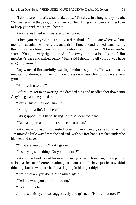"I don't care. If that's what it takes to…" Jim drew in a long, shaky breath. "No matter what they say, or how hard you beg, I'm gonna do everything I can to keep you with me. D'you hear?"

Arty's eyes filled with tears, and he nodded.

"I love you, Arty Clarke. Don't you dare think of goin' anywhere without me." Jim caught one of Arty's tears with his fingertip and rubbed it against his thumb, his eyes trained on that small motion as he continued. "I know you're scared. You got every right to be. And I know you're in a lot of pain..." Jim met Arty's gaze and smiled gently. "Jean said I shouldn't tell you, but you have a right to know."

Arty watched Jim carefully, waiting for him to say more. This was about his medical condition, and from Jim's expression it was clear things were very grim.

"Am I going to die?"

Before Jim got to answering, the dreaded pins and needles shot down into Arty's legs, and he yelled out.

"Jesus Christ! Oh God, Jim…"

"All right, darlin', I'm here."

Arty gripped Jim's hand, trying not to squeeze too hard.

"Take a big breath for me, real deep, come on."

Arty tried to do as Jim suggested, breathing in as deeply as he could, whilst Jim moved a little way down the bed and, with his free hand, reached under the blanket and cage.

"What are you doing?" Arty gasped.

"Just trying something. Do you trust me?"

Arty nodded and closed his eyes, focusing on each breath in, holding it for as long as he could before breathing out again. It might have just been wishful thinking, but he was sure he felt a tingling in his right thigh.

"Jim, what are you doing?" he asked again.

"Tell me what you think I'm doing."

"Tickling my leg."

Jim raised his eyebrows suggestively and grinned. "How about now?"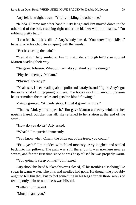Arty felt it straight away. "You're tickling the other one."

"Kinda. Gimme my other hand." Arty let go and Jim moved down to the other end of the bed, reaching right under the blanket with both hands. "I'm rubbing pretty hard."

"I can feel it, but it's still…" Arty's body tensed. "You know I'm ticklish," he said, a reflex chuckle escaping with the words.

"But it's easing the pain?"

"Yes, it is." Arty smiled at Jim in gratitude, although he'd also spotted Matron heading their way.

"Sergeant Johnson. What on Earth do you think you're doing?"

"Physical therapy, Ma'am."

"Physical therapy?"

"Yeah, see, I been reading about polio and paralysis and I figure Arty's got the same kind of thing going on here. The books say firm, smooth pressure helps stimulate the muscles and gets the blood flowing."

Matron grunted. "A likely story. I'll let it go—this time."

"Thanks, Mol, you're a peach." Jim gave Matron a cheeky wink and her nostrils flared, but that was all; she returned to her station at the end of the ward.

"How do you do it?" Arty asked.

"What?" Jim queried innocently.

"You know what. Charm the birds out of the trees, you could."

"Er… yeah." Jim nodded with faked modesty. Arty laughed and settled back into his pillows. The pain was still there, but it was nowhere near as severe, and for the first time since he was hospitalised he was properly warm.

"You going to sleep on me?" Jim teased.

Arty shook his head but kept his eyes closed, all his troubles dissolving like sugar in warm water. The pins and needles had gone. He thought he probably ought to tell Jim that, but to feel something in his legs after all those weeks of feeling only pain or numbness was blissful.

"Better?" Jim asked.

"Much, thank you."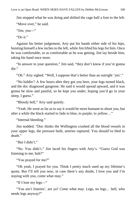Jim stopped what he was doing and shifted the cage half a foot to the left.

"Move over," he said.

"Jim, you—"

"Do it."

Against his better judgement, Arty put his hands either side of his hips, hoisting himself a few inches to the left, while Jim lifted his legs for him. Once he was comfortable, or as comfortable as he was getting, Jim lay beside him, taking his hand once more.

"In answer to your question," Jim said, "they don't know if you're gonna die."

"Oh." Arty sighed. "Well, I suppose that's better than an outright 'yes'."

"No kiddin'! A few hours after they got you here, your legs turned black, and the doc diagnosed gangrene. He said it would spread upward, and it was gonna be slow and painful, so he kept you under, hoping you'd go in your sleep, I guess."

"Bloody hell," Arty said quietly.

"Yeah. He went as far as to say it would be more humane to shoot you, but after a while the black started to fade to blue, to purple, to yellow…"

"Internal bleeding."

Jim nodded. "Doc thinks the Wellington crushed all the blood vessels in your upper legs, the pressure built, arteries ruptured. You should've bled to death."

"But I didn't."

"No. You didn't." Jim laced his fingers with Arty's. "Guess God was listening to me, huh?"

"You prayed for me?"

"Oh yeah, I prayed for you. Think I pretty much used up my lifetime's quota. But I'll tell you now, in case there's any doubt, I love you and I'm staying with you, come what may."

"If I lose my legs—"

"You ain't listenin', are ya? *Come what may*. Legs, no legs… hell, who needs legs anyway?"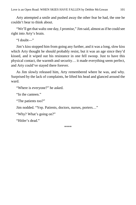Arty attempted a smile and pushed away the other fear he had, the one he couldn't bear to think about.

"We'll get that waltz one day, I promise," Jim said, almost as if he could see right into Arty's brain.

"I doubt—"

Jim's kiss stopped him from going any further, and it was a long, slow kiss which Arty thought he should probably resist, but it was an age since they'd kissed, and it wiped out his resistance in one fell swoop. Just to have this physical contact, the warmth and security… it made everything seem perfect, and Arty could've stayed there forever.

As Jim slowly released him, Arty remembered where he was, and why. Surprised by the lack of complaints, he lifted his head and glanced around the ward.

"Where is everyone?" he asked.

"In the canteen."

"The patients too?"

Jim nodded. "Yep. Patients, doctors, nurses, porters…"

"Why? What's going on?"

"Hitler's dead."

\*\*\*\*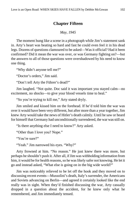## **Chapter Fifteen**

*May, 1945*

The moment hung like a scene in a photograph while Jim's statement sank in. Arty's heart was beating so hard and fast he could even feel it in his dead legs. Dozens of questions clamoured to be asked—Was it official? Had it been confirmed? Did it mean the war was over, or was Germany fighting on?—but the answers to all of those questions were overshadowed by his need to know one thing.

"Why didn't anyone tell me?"

"Doctor's orders," Jim said.

"Don't tell Arty the Führer's dead?"

Jim laughed. "Not quite. Doc said it was important you stayed calm—no excitement, no shocks—to give your blood vessels time to heal."

"So you're trying to kill me," Arty stated dryly.

Jim smiled and kissed him on the forehead. If he'd told him the war was over it would have been very different, but after more than a year together, Jim knew Arty would take the news of Hitler's death calmly. Until he saw or heard for himself that Germany had unconditionally surrendered, the war was still on.

"Is there anything else I need to know?" Arty asked.

"Other than I love you? Nope."

"You're sure?"

"Yeah." Jim narrowed his eyes. "Why?"

Arty frowned at him. "No reason." He just knew there was more, but perhaps he shouldn't push it. After all, if Jim was withholding information from him, it would be for health reasons, so he was likely safer not knowing. He let it go and instead asked, "What else is going on in the big wide world?"

Jim was noticeably relieved to be let off the hook and they moved on to discussing recent events—Mussolini's death, Italy's surrender, the Americans and Soviets advancing on Berlin—and agreed it certainly looked like the end really was in sight. When they'd finished discussing the war, Arty casually dropped in a question about the accident, for he knew only what he remembered, and Jim immediately tensed.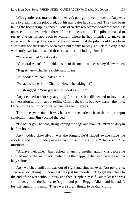With gentle reassurance that he wasn't going to bleed to death, Arty was able to glean that the pilot died, but his navigator had survived. They had been taking the bomber up to Lincoln—one of twelve replacement craft for those lost on recent missions—when three of the engines cut out. The pilot managed to restart one on his approach to Minton, where he had intended to make an emergency landing. There was no way of knowing if the pilot would have been successful had the runway been clear, but thanks to Arty's quick thinking there were only two fatalities and three casualties, including himself.

"Who else died?" Arty asked.

"Corporal Allan?" Jim said, unsure of the man's name as they'd never met.

"Reg Allan—Charlie's right-hand man?"

Jim nodded. "Yeah, that's him."

"What a shame. Poor Charlie. How's he taking it?"

Jim shrugged. "Your guess is as good as mine."

Arty decided not to say anything further, as he still needed to have that conversation with Jim about telling Charlie the truth, but now wasn't the time. Once he was out of hospital, whenever that might be…

The nurses were on their way back with the patients from their impromptu celebration, and Jim vacated the bed.

"I'd better go," he said, straightening the cage and blankets. "I'm on duty in half an hour."

Arty nodded drowsily; it was the longest he'd stayed awake since the accident and only made possible by Jim's ministrations. "Thank you," he murmured.

"Always welcome," Jim replied, chancing another quick kiss before he strolled out of the ward, acknowledging the happy, exhausted patients with a lazy salute.

Arty watched until Jim was out of sight and shut his eyes. *Not gangrene*. That was something. Of course it was just his bloody luck to get this close to the end of the war without injury and then cripple himself. But at least he was still alive, unlike the Lancaster's pilot and poor Reggie Allan, and he hadn't lost his sight or his mind. These were surely things to be thankful for.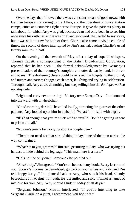Over the days that followed there was a constant stream of good news, with German troops surrendering to the Allies, and the liberation of concentration camps, cities and countries right across Europe. It gave the patients plenty to talk about, for which Arty was glad, because Jean had only been in to see him once since his outburst, and it was brief and awkward. He needed to say sorry, but it was still too raw for both of them. Charlie also came to visit a couple of times, the second of those interrupted by Jim's arrival, cutting Charlie's usual twenty minutes in half.

On the evening of the seventh of May, after a day of hopeful whispers, Thomas Cadett, a correspondent of the British Broadcasting Corporation, reported that he had seen '…the formal acknowledgement by Germany's present leaders of their country's complete and utter defeat by land, in the air and at sea.' The deafening cheers could have razed the hospital to the ground, and nurses and patients hugged each other, laughing and crying in celebration. Through it all, Arty could do nothing but keep telling himself, *don't get worked up, stay calm*.

Bright and early next morning—Victory over Europe Day—Jim bounced into the ward with a wheelchair.

"Good morning, darlin'," he called loudly, attracting the glares of the other patients. Arty looked up at him in disbelief. "What?" Jim said with a grin.

"It's bad enough that you're stuck with an invalid. Don't be getting us sent to prison and all."

"No one's gonna be worrying about a couple of—"

"There's no need for that sort of thing today," one of the men across the way complained.

"What's it to you, gramps?" Jim said, gesturing to Arty, who was trying his hardest to hide behind the leg cage. "This man here is a hero."

"He's not the only one," someone else pointed out.

"Absolutely," Jim agreed. "You're all heroes in my book. Every last one of you. Soon y'all gonna be demobbed, go back to your wives and kids, and I'm real happy for ya." Jim glanced back at Arty, who shook his head, silently beseeching Jim to shut his mouth. He just smiled and said, "I'm not ashamed of my love for you, Arty. Why should I hide it, today of all days?"

"Sergeant Johnson," Matron interjected. "If you're intending to take Sergeant Clarke on a jaunt, I recommend you hop to it."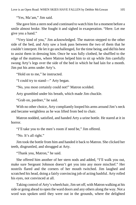"Yes, Ma'am," Jim said.

She gave him a stern nod and continued to watch him for a moment before a smile almost broke. She fought it and sighed in exasperation. "Here. Let me give you a hand."

"Very kind of you," Jim acknowledged. The matron stepped to the other side of the bed, and Arty saw a look pass between the two of them that he couldn't interpret. He let it go unchallenged, for the time being, and did his best to assist them in dressing him. Once he was fully clothed, he shuffled to the edge of the mattress, where Matron helped him to sit up while Jim carefully swung Arty's legs over the side of the bed in which he had lain for a month. Jim put his arms under Arty's.

"Hold on to me," he instructed.

"I could try to stand—" Arty began.

"No, you most certainly could not!" Matron scolded.

Arty grumbled under his breath, which made Jim chuckle.

"Grab on, pardner," he said.

With no other choice, Arty compliantly looped his arms around Jim's neck and became weightless as he was lifted from bed to chair.

Matron nodded, satisfied, and handed Arty a urine bottle. He stared at it in horror.

"I'll take you to the men's room if need be," Jim offered.

"No. It's all right."

Jim took the bottle from him and handed it back to Matron. She clicked her teeth, disgruntled, and shrugged at Arty.

"Thank you, Matron," he said.

She offered him another of her stern nods and added, "I'll walk you out, make sure Sergeant Johnson doesn't get you into any more mischief." Her nostrils flared and the corners of her mouth twitched. Jim laughed and scratched his head, doing a fairly convincing job of acting bashful. Arty rolled his eyes, not convinced at all.

Taking control of Arty's wheelchair, Jim set off, with Matron walking at his side or going ahead to open the ward doors and any others along the way. Not a word was spoken until they were out in the grounds, where the delighted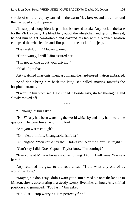shrieks of children at play carried on the warm May breeze, and the air around them exuded a joyful peace.

Jim stopped alongside a jeep he had borrowed to take Arty back to the base for the VE Day party. He lifted Arty out of the wheelchair and up onto the seat, helped him to get comfortable and covered his lap with a blanket. Matron collapsed the wheelchair, and Jim put it in the back of the jeep.

"Be careful, Jim," Matron warned.

"Don't worry, I will," Jim assured her.

"I'm not talking about your driving."

"Yeah, I got that."

Arty watched in astonishment as Jim and the hard-nosed matron embraced.

"And don't bring him back too late," she called, moving towards the hospital entrance.

"I won't," Jim promised. He climbed in beside Arty, started the engine, and slowly moved off.

\*\*\*\*

"…enough?" Jim asked.

"Hm?" Arty had been watching the world whizz by and only half heard the question. He gave Jim an enquiring look.

"Are you warm enough?"

"Oh! Yes, I'm fine. Changeable, isn't it?"

Jim laughed. "You could say that. Didn't you hear the storm last night?"

"Can't say I did. Does Captain Taylor know I'm coming?"

"Everyone at Minton knows you're coming. Didn't I tell you? You're a hero."

Arty returned his gaze to the road ahead. "I did what any one of us would've done."

"Maybe, but don't say I didn't warn you." Jim turned out onto the lane up to Minton, slowly accelerating to a steady twenty-five miles an hour. Arty shifted position and grimaced. "Too fast?" Jim asked.

"No. Just… stop worrying. I'm perfectly fine."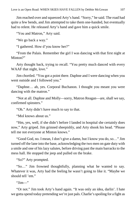Jim reached over and squeezed Arty's hand. "Sorry," he said. The road had quite a few bends, and Jim attempted to take them one-handed, but eventually had to relent. He released Arty's hand and gave him a quick smile.

"You and Matron," Arty said.

"We go back a way."

"I gathered. How d'you know her?"

"From the Palais. Remember the girl I was dancing with that first night at Minton?"

Arty thought back, trying to recall. "You pretty much danced with every WAAF that night, love."

Jim chortled. "You got a point there. Daphne and I were dancing when you went outside and I followed you."

"Daphne… ah, yes. Corporal Buchanon. I thought you meant you were dancing with the matron."

"Not at all. Daphne and Molly—sorry, Matron Reagan—are, shall we say, confirmed spinsters."

"Oh." Arty didn't have much to say to that.

"Mol knows about us."

"Hm, yes, well, if she didn't before I landed in hospital she certainly does now," Arty griped. Jim grinned sheepishly, and Arty shook his head. "Please tell me not everyone at Minton knows."

"Good God, no. I mean, I don't give a damn, but I know you do, so…" Jim turned off the lane into the base, acknowledging the two men on gate duty with a smile and one of his lazy salutes, before driving past the main barracks to the mess hall. He stopped the jeep and pulled on the brake.

"So?" Arty prompted.

"So…" Jim frowned thoughtfully, planning what he wanted to say. Whatever it was, Arty had the feeling he wasn't going to like it. "Maybe we should tell 'em."

" $\lim$ "

"Or not." Jim took Arty's hand again. "It was only an idea, darlin'. I hate we gotta spend today pretending we're just pals. Charlie's spoiling for a fight as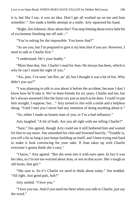it is, but like I say, it was an idea. Don't get all worked up on me and bust somethin'." Jim made a feeble attempt at a smile. Arty squeezed his hand.

"Right, Jim Johnson. How about this? You stop fretting about every little bit of excitement finishing me off and—"

"You're asking for the impossible. You know that?"

"As are you, but I'm prepared to give it my best shot if you are. However, I need to talk to Charlie first."

"I understand. He's your buddy."

"More than that, Jim. Charlie's mad for Jean. He always has been, which is why he can't stand the sight of you."

"Aw, jeez. I've seen 'em flirt, an' all, but I thought it was a bit of fun. Why didn't you say?"

"I was planning to talk to you about it before the accident, because I don't know how he'll take it. We've been friends for six years, Charlie and me, but he's always assumed I like the fairer sex just as much as he does. I could've put him straight, I suppose, but..." Arty turned to Jim with a smile and a helpless shrug. "Until I met you I never had any intention of doing anything about it."

"So, either I made an honest man of you, or I'm a bad influence."

Arty laughed. "A bit of both. Are you all right with me telling Charlie?"

"Sure," Jim agreed, though Arty could see it still bothered him and waited for him to say more. Jim smoothed his chin and frowned heavily. "Trouble is, you tell a lie so long it just keeps building on itself, and I been trying real hard to make it look convincing for your sake. If Jean takes up with Charlie everyone's gonna think she's easy."

"I know," Arty agreed. "But she went into it with eyes open. In fact it was her idea, so I'm not too worried about Jean, or not on that score. She's tough as old boots, that girl."

"She sure is. So it's Charlie we need to think about today." Jim nodded. "All right. Just good pals, huh?"

Arty smiled. "I love you."

"I love you too. And if you need me there when you talk to Charlie, just say the word."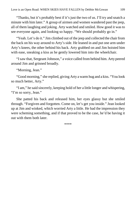"Thanks, but it's probably best if it's just the two of us. I'll try and snatch a minute with him later." A group of airmen and women wandered past the jeep, all of them laughing and joking. Arty watched and smiled. How good it was to see everyone again, and looking so happy. "We should probably go in."

"Yeah. Let's do it." Jim climbed out of the jeep and collected the chair from the back on his way around to Arty's side. He leaned in and put one arm under Arty's knees, the other behind his back. Arty grabbed on and Jim hoisted him with ease, sneaking a kiss as he gently lowered him into the wheelchair.

"I saw that, Sergeant Johnson," a voice called from behind him. Arty peered around Jim and grinned broadly.

"Morning, Jean."

"Good morning," she replied, giving Arty a warm hug and a kiss. "You look so much better, Arty."

"I am," he said sincerely, keeping hold of her a little longer and whispering, "I'm so sorry, Jean."

She patted his back and released him, her eyes glassy but she smiled through. "Forgiven and forgotten. Come on, let's get you inside." Jean looked up at Jim and winked, which worried Arty a little. He had the impression they were scheming something, and if that proved to be the case, he'd be having it out with them both later.

\*\*\*\*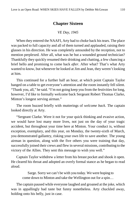# **Chapter Sixteen**

## *VE Day, 1945*

When they entered the NAAFI, Arty had to choke back his tears. The place was packed to full capacity and all of them turned and applauded, raising their glasses in his direction. He was completely astounded by the reception, not to mention perplexed. After all, what was he but a wounded ground technician? Thankfully they quickly resumed their drinking and chatting, a few chancing a brief hello and promising to come back *after*. After what? That's what Arty wanted to know, but whenever he looked at Jim and Jean, they weren't looking at him.

This continued for a further half an hour, at which point Captain Taylor banged on a table to get everyone's attention and the room instantly fell silent. "Thank you, all," he said. "I'm not going keep you from the festivities for long, however, I'd like to formally welcome back Sergeant Robert Thomas Clarke, Minton's longest serving airman."

The room buzzed briefly with mutterings of *welcome back*. The captain looked directly at Arty.

"Sergeant Clarke. Were it not for your quick thinking and evasive action, we would have lost many more lives, not just on the day of your tragic accident, but throughout your time here at Minton. Your conduct is, without exception, exemplary, and this year, on Monday, the twenty-sixth of March, you demonstrated gallantry, risking your own life to save another. The young airman in question, along with the five others you were training that day, successfully joined their crews and flew in several missions, contributing to the victory of the Allies. They sent this message to wish you well."

Captain Taylor withdrew a letter from his breast pocket and shook it open. He cleared his throat and adopted an overly formal stance as he began to read aloud.

Sarge. Sorry we can't be with you today. We were hoping to come down to Minton and take the Wellington out for a spin…

The captain paused while everyone laughed and groaned at the joke, which was in appallingly bad taste but funny nonetheless. Arty chuckled away, holding onto his belly, just in case.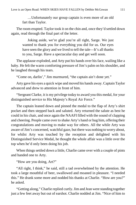…Unfortunately our group captain is even more of an old fart than Taylor.

The room erupted. Taylor took it on the chin and, once they'd settled down again, read through the final part of the letter.

Joking aside, we're glad you're all right, Sarge. We just wanted to thank you for everything you did for us. Our eyes have seen the glory and we lived to tell the tale—It's all thanks to you, Sarge. Have a spectacular day and get well soon.

The applause exploded, and Arty put his hands over his face, wailing like a baby. He felt the warm comforting pressure of Jim's palm on his shoulder, and he laughed through his tears.

"Come on, darlin'," Jim murmured, "the captain ain't done yet."

Arty gave his eyes a quick wipe and moved his hands away. Captain Taylor advanced and drew to attention in front of him.

"Sergeant Clarke, it is my privilege today to award you this medal, for your distinguished service to His Majesty's Royal Air Force."

The captain leaned down and pinned the medal to the flap of Arty's shirt pocket and then stepped back and saluted. Arty returned the salute as best he could in his chair, and once again the NAAFI filled with the sound of clapping and cheering. People came over to shake Arty's hand or hug him, offering their congratulations and moving to make way for others. All the while Arty was aware of Jim's concerned, watchful gaze, but there was nothing to worry about, for whilst Arty was touched by the reception and delighted with his Distinguished Service Medal, he thought the whole affair was a little over the top when he'd only been doing his job.

When things settled down a little, Charlie came over with a couple of pints and handed one to Arty.

"How are you doing, Art?"

"All right, I think," he said, still a tad overwhelmed by the attention. He took a large mouthful of beer, swallowed and moaned in pleasure. "I needed this." He drank some more and nodded his thanks at Charlie. "How are you?" he asked.

"Getting along," Charlie replied curtly. Jim and Jean were standing together just a few feet away but out of earshot. Charlie nodded at Jim. "Nice of him to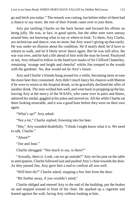go and fetch you today." The remark was cutting, but before either of them had a chance to say more, the rest of their friends came over to join them.

Arty put tackling Charlie on the back burner and focused his efforts on being jolly. He was, in fact, in good spirits, but the other men were uneasy around him, not knowing what to say or where to look. To them, Arty Clarke, ace technician and dancer, was no more, but Arty wasn't giving up that easily. He was under no illusion about his condition. He'd nearly died; he'd have to relearn to walk, and he'd likely never dance again. But he was still alive, the war was over, and he had a life ahead of him with the man he loved. Paralysed or not, Arty refused to follow in the fated tyre marks of Sir Clifford Chatterley, remaining 'strange and bright and cheerful' whilst Jim romped in the woods with the gardener. No, that would not be Arty's future.

Arty and Charlie's friends hung around for a while, becoming more at ease the more beer they consumed. Arty didn't much fancy his chances with Matron if he were to return to the hospital drunk, so he gracefully declined the offer of another drink. The men wished him well, and went back to propping up the bar, leaving Arty at the mercy of the WAAFs, who came over in pairs and threes, admired his medal, giggled at his jokes and moved on. All the while Charlie sat there looking miserable, and it was a good hour before they were on their own again.

"What's up?" Arty asked.

"Not a lot," Charlie replied, frowning into his beer.

"Hm," Arty sounded doubtfully. "I think I might know what it is. We need to talk, Charlie."

"About?"

"Jim and Jean."

Charlie shrugged. "Not much to say, is there?"

"Actually, there is. Look, can we go outside?" Arty set his pint on the table in anticipation. Charlie followed suit and pushed Arty's chair towards the door. As they passed Jim, Arty gave him a nod to confirm all was well.

"Will here do?" Charlie asked, stopping a few feet from the door.

"Bit further away, if you wouldn't mind."

Charlie obliged and steered Arty to the end of the building, put the brakes on and stepped around in front of the chair. He sparked up a cigarette and leaned against the wall, facing Arty without looking at him.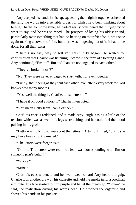Arty clasped his hands in his lap, squeezing them tightly together as he tried the rally the words into a sensible order, for whilst he'd been thinking about telling Charlie for some time, he hadn't really considered the nitty-gritty of what to say, and he was stumped. The prospect of losing his oldest friend, particularly over something that had no bearing on their friendship, was once again making a coward of him, but there was no getting out of it. It had to be done, for all their sakes.

"There's no easy way to tell you this," Arty began. He waited for confirmation that Charlie was listening. It came in the form of a fleeting glance. Arty continued, "First off, Jim and Jean are not engaged to each other."

"They've broken it off?"

"No. They were never engaged to start with, nor even together."

"Funny, that, seeing as they sent each other love letters every week for God knows how many months."

"Yes, well the thing is, Charlie, those letters—"

"I have it on good authority," Charlie interrupted.

"You mean Betty from Jean's office?"

Charlie's cheeks reddened, and it made Arty laugh, easing a little of the tension, which was as well; his legs were aching, and he could feel the blood pulsing in his groin.

"Betty wasn't lying to you about the letters," Arty confirmed, "but… she may have been slightly misled."

"The letters were forgeries?"

"Oh, no. The letters were real, but Jean was corresponding with Jim on someone else's behalf."

"Whose?"

"Mine."

Charlie's eyes widened, and he swallowed so hard Arty heard the gulp. Charlie took another draw on his cigarette and held the smoke in for a good half a minute. His face started to turn purple and he let the breath go. "You—" he said, the realisation cutting his words dead. He dropped the cigarette and shoved his hands in his pockets.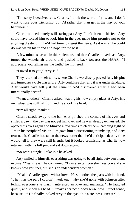"I'm sorry I deceived you, Charlie. I think the world of you, and I don't want to lose your friendship, but I'd rather that than get in the way of your happiness."

Charlie nodded mutely, still staring past Arty. If he'd been on his feet, Arty could have forced him to look him in the eye, made him promise not to do anything drastic until he'd had time to digest the news. As it was all he could do was watch his friend and hope for the best.

A few minutes passed in this stalemate, and then Charlie moved past Arty, turned the wheelchair around and pushed it back towards the NAAFI. "I appreciate you telling me the truth," he muttered.

"I owed it to you," Arty said.

They returned to their table, where Charlie wordlessly passed Arty his pint and turned away. He was angry, Arty could see that, and it was understandable. Arty would have felt just the same if he'd discovered Charlie had been intentionally deceitful.

"Want another?" Charlie asked, waving his now empty glass at Arty. His own glass was still half full, and he shook his head.

"I'm all right, thanks."

Charlie strode away to the bar. Arty pinched the corners of his eyes and stifled a yawn: the day was not yet half over and he was already exhausted. He opened his eyes again and blinked a few times to clear them, catching sight of Jim in his peripheral vision. Jim gave him a questioning thumbs up, and Arty returned it. Charlie had taken the news better than he'd anticipated; only time would tell if they were still friends, but it looked promising, as Charlie now returned with his full pint and sat down again.

"So Jean's single, I take it?" he asked.

Arty smiled to himself; everything was going to be all right between them, in time. "Yes, she is," he confirmed. "I can also tell you she likes you and she knows how you feel, but she's an independent woman."

"Yeah," Charlie agreed with a frown. He smoothed the glass with his hand. "That was the part I couldn't work out—why she'd gone with Johnson after telling everyone she wasn't interested in love and marriage." He laughed quietly and shook his head. "It makes perfect bloody sense now. Or not sense, because…" He finally looked Arty in the eye. "It's a sickness, isn't it?"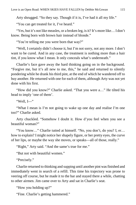Arty shrugged. "So they say. Though if it is, I've had it all my life."

"You can get treated for it, I've heard."

"Yes, but it's not like measles, or a broken leg, is it? It's more like… I don't know. Being born with brown hair instead of blonde."

"You're telling me you were born that way?"

"Well, I certainly didn't choose it, but I'm not sorry, not any more. I don't want to be cured. And in any case, the treatment is nothing more than a hair tint, if you know what I mean. It only conceals what's underneath."

Charlie's face gave away the hard thinking going on in the background. "Forgive me, but it's all new to me, this," he said and returned to silently pondering while he drank his third pint, at the end of which he wandered off to buy another. He returned with one for each of them, although Arty was not yet done with his first.

"How did you know?" Charlie asked. "That you were a…" He tilted his head to imply 'one of them'.

"Well, I—"

"What I mean is I'm not going to wake up one day and realise I'm one too?" Charlie asked.

Arty chuckled. "Somehow I doubt it. How d'you feel when you see a beautiful woman?"

"You know…" Charlie tutted at himself. "No, you don't, do you? I, er… how to explain? I might notice her shapely figure, or her pretty eyes, the curve of her lips, or maybe the way she moves, or speaks—all of those, really."

"Right," Arty said. "And the same's true for me."

"But not with beautiful women."

"Precisely."

Charlie returned to thinking and supping until another pint was finished and immediately went in search of a refill. This time his trajectory was prone to veering off course, but he made it to the bar and stayed there a while, chatting to other airmen. Jim came over to Arty and sat in Charlie's seat.

"How you holding up?"

"Fine. Charlie's getting hammered."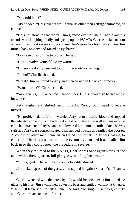"You told him?"

Arty nodded. "He's taken it well, actually, other than getting hammered, of course."

"He's not alone in that today." Jim glanced over to where Charlie and his friends were laughing loudly and eyeing up the WAAFs. Charlie looked over to where Jim and Arty were sitting and met Jim's gaze head-on with a glare. Jim turned back to Arty and raised an eyebrow.

"I can see this coming to blows," he said.

"Don't involve yourself," Arty warned.

"I'm gonna do my best not to, but if he starts something…"

"Jimbo!" Charlie shouted.

"Great," Jim muttered to Arty and then turned in Charlie's direction.

"Want a drink?" Charlie called.

"Sure, thanks," Jim accepted. "Jimbo. Jeez. Guess it could've been a whole lot worse."

Arty laughed and shifted uncomfortably. "Sorry, but I need to relieve myself."

"No problem, darlin'." Jim wheeled Arty out to the toilet block and stopped the wheelchair next to a cubicle. Arty held onto Jim as he walked him into the cubicle, unfastened Arty's pants and lowered him onto the toilet. Once he was satisfied Arty was securely seated, Jim stepped outside and pulled the door to. A couple of other men came in and used the urinals; Arty was having to concentrate hard to pass water, but he eventually managed it and called Jim back in so they could repeat the procedure in reverse.

When they returned to the NAAFI, Charlie was once again sitting at the table with a three-quarters-full pint glass, two full pints next to it.

"Yours, gents," he said, his voice noticeably slurred.

Jim picked up one of the glasses and tapped it against Charlie's. "Thanks, bud."

Charlie watched with the intensity of a would-be poisoner as Jim tipped the glass to his lips. Jim swallowed down his beer and smiled warmly at Charlie. "Think I'll leave y'all to talk awhile," he said, excusing himself to give Arty and Charlie space to speak further.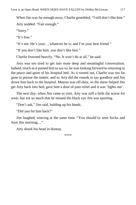When Jim was far enough away, Charlie grumbled, "I still don't like him." Arty nodded. "Fair enough."

"Sorry."

"It's fine."

"It's not. He's your… whatever he is, and I'm your best friend."

"If you don't like him, you don't like him."

Charlie frowned heavily. "No. It won't do at all," he said.

Arty was too tired to get into more deep and meaningful conversation. Indeed, much as it pained him to say so, he was looking forward to returning to the peace and quiet of his hospital bed. As it turned out, Charlie was too far gone to pursue the matter, and so Arty did the rounds to say goodbye and Jim drove him back to the hospital. Matron was off-duty, so the nurse helped Jim get Arty back into bed, gave him a dose of pain relief and it was 'lights out'.

The next day, when Jim came to visit, Arty was still a little the worse for wear, but not so much that he missed the black eye Jim was sporting.

"Don't ask," Jim said, holding up his hands.

"Did you hit him back?"

Jim laughed, wincing at the same time. "You should've seen Socks and Soot this morning…"

Arty shook his head in dismay.

\*\*\*\*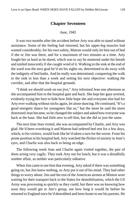## **Chapter Seventeen**

#### *June, 1945*

It was two months after the accident before Arty was able to stand without assistance. Some of the feeling had returned, but his upper-leg muscles had wasted considerably; for his own safety, Matron would only let him out of bed if she or Jim was there, and for a maximum of two minutes at a time. Arty fought her as hard as he dared, which was to say he muttered under his breath and smiled innocently if she caught wind of it. Walking to the sink at the end of the ward was the next goal he'd set his sights on, determined to do away with the indignity of bed baths. And he really was determined, conquering the walk to the sink in less than a week and setting his next objective: walking the corridor, and after that the hospital grounds.

"I think we should work on our jive," Arty informed Jean one afternoon as she accompanied him to the hospital gate and back. She kept her gaze averted, evidently trying her best to hide how little hope she and everyone else had for Arty ever walking without sticks again, let alone dancing. He continued, "It's a good energetic dance for youngsters like us," but the more he said the more distressed Jean became, so he changed the subject and asked how everyone was back at the base. She had little new to tell him, but she did so just the same.

The next time Jean visited, she was accompanied by Charlie, and Arty was glad. He'd been overdoing it and Matron had ordered bed rest for a few days, which, to his visitors, would look like he'd taken a turn for the worse. From his prone position in his hospital bed, Arty watched the flicker of anxiety in Jean's eyes, and Charlie was also back to being on edge.

The following week Jean and Charlie again visited together, the pair of them acting very cagily. They took Arty out for lunch, but it was a dreadfully sombre affair, as neither was particularly talkative.

When Jim came to see him that evening, Arty asked if there was something going on, but Jim knew nothing, so Arty put it out of his mind. They had other things to worry about: Jim and the rest of the American airmen at Minton were waiting for their transport back to the States for demobilisation, which the US Army was processing as quickly as they could, but there was no knowing how soon they would get to Jim's group, nor how long it would be before he returned to England once he'd demobbed and been home to see his parents. He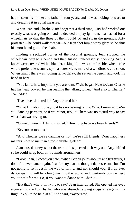hadn't seen his mother and father in four years, and he was looking forward to and dreading it in equal measure.

When Jean and Charlie visited together a third time, Arty had worked out exactly what was going on, and he decided to play ignorant. Jean asked for a wheelchair so that the three of them could go and sit in the grounds. Arty protested—he could walk that far—but Jean shot him a stony glare so he shut his mouth and got in the chair.

Finding a secluded corner of the hospital grounds, Jean stopped the wheelchair next to a bench and then fussed unnecessarily, checking Arty's knees were covered with a blanket, asking if he was comfortable, whether he would prefer a less sunny spot, a better view, more of a windbreak, and so on. When finally there was nothing left to delay, she sat on the bench, and took his hand in hers.

"You know how important you are to me?" she began. Next to Jean, Charlie had his head bowed; he was leaving the talking to her. "And also to Charlie," Jean added.

"I've never doubted it," Arty assured her.

"What I'm about to say… it has no bearing on us. What I mean is, we're still dancing partners, or if we're not, it's…" There was no tactful way to say what Jean was trying to.

"Come on now," Arty comforted. "How long have we been friends?"

"Seventeen months."

"And whether we're dancing or not, we're still friends. Your happiness matters more to me than almost anything else."

Jean closed her eyes, but the tears still squeezed their way out. Arty shifted so he could wrap both of his hands around hers.

"Look, Jean, I know you hate it when I crack jokes about it and truthfully, I doubt I'll ever dance again. I can't deny that the thought depresses me, but I'm not going to let it get in the way of living, and nor should you. If I do ever dance again, it will be a long way into the future, and I certainly don't expect you to wait for me. So, if you want to dance with Charlie…"

"But that's what I'm trying to say," Jean interrupted. She opened her eyes again and turned to Charlie, who was absently tapping a cigarette against his thigh. "You're no help at all," she said, exasperated.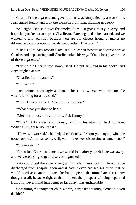Charlie lit the cigarette and gave it to Arty, accompanied by a wan smile. Jean sighed loudly and took the cigarette from him, drawing in deeply.

"All right," she said over the smoke, "I'm just going to say it, Arty, and hope that you're not too upset. Charlie and I are engaged to be married, and we wanted to tell you first, because you are our closest friend. It makes no difference to our continuing to dance together. That is all."

"That is all?" Arty repeated, amused. He leaned forward and stared hard at Charlie, and kept staring until Charlie looked his way. "You'd best give me one of those cigarettes."

"I just did," Charlie said, nonplussed. He put his hand in his pocket and Arty laughed at him.

"Charlie. I don't smoke."

"Oh, yeah."

Arty pointed accusingly at Jean. "This is the woman who told me she wasn't looking for a husband."

"Yes," Charlie agreed. "She told me that too."

"What have you done to her?"

"Me? I'm innocent in all of this. Ask Jimmy."

"Why?" Arty asked suspiciously, shifting his attention back to Jean. "What's Jim got to do with it?"

"He was… worried," she hedged cautiously. "About you coping when he goes back to America, so he, well, we… have been discussing arrangements."

"Come again?"

"Jim asked Charlie and me if we would look after you while he was away, and we were trying to get ourselves organised."

Arty could feel the anger rising within, which was foolish. He would be discharged from hospital soon and it hadn't even crossed his mind that he would need assistance. In fact, he hadn't given the immediate future any thought at all, because right at that moment the prospect of being separated from Jim, never mind him being so far away, was unthinkable.

Containing the indignant child within, Arty asked tightly, "What did you decide?"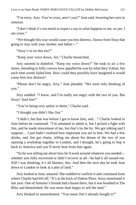"I'm sorry, Arty. You're cross, aren't you?" Jean said, lowering her eyes in remorse.

"I don't think it's too much to expect a say in what happens to me, so yes. I am cross."

"We thought this way would cause you less distress. I know from Sissy that going to stay with your mother and father—"

"Sissy's in on this too?"

"Keep your voice down, Art," Charlie beseeched.

Arty snorted in disbelief. "Keep my voice down?" He took in air a few times, intending to fully convey how appalled he was by what they'd done, but each time words failed him. How could they possibly have imagined it would cause him less distress?

"Please don't be angry, Arty," Jean pleaded. "We were only thinking of you."

Arty nodded. "I know, and I'm really not angry with the two of you. But Sissy? And Jim?"

"You're being very unfair to them," Charlie said.

"I thought *you* didn't like Jim."

"I didn't, but that was before I got to know him, and…" Charlie looked to Jean before he continued. "I'm ashamed to admit it, but I picked a fight with Jim, and he made mincemeat of me, but that's by the by. We got talking and I suppose… I just hadn't realised how important you are to him. We had a few drinks, and Jim got chatty, telling me about his dream of the two of you opening a workshop together in London, and I thought, he's going to hop it back to America and you'll never hear from him again.

"So he was telling me about how he'd work around whatever you needed whether you fully recovered or didn't recover at all—he had it all sussed out. Still I was thinking, it's all blarney, this. And then the next day he took Jean down to London to look at a plot of land."

Arty looked at Jean, amazed. She nodded to confirm it and continued from where Charlie had left off. "It's at the back of Dalton Place. Sissy mentioned it last year. One of Antonio's friends had a house there, but it was bombed in The Blitz and demolished. He was more than happy to sell the land."

Arty blinked in astonishment. "You mean Jim's already bought it?"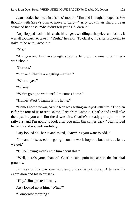Jean nodded her head in a 'so-so' motion. "Jim and I bought it together. We thought with Sissy's plan to move to Italy—" Arty took in air sharply. Jean wrinkled her nose. "She didn't tell you? Oh, darn it."

Arty flopped back in his chair, his anger dwindling to hopeless confusion. It was all too much to take in. "Right," he said. "To clarify, my sister is moving to Italy, to be with Antonio?"

"Yes."

"And you and Jim have bought a plot of land with a view to building a workshop."

"Correct."

"You and Charlie are getting married."

"We are, yes."

"When?"

"We're going to wait until Jim comes home."

"Home? West Virginia is his home."

"Comes home to you, Arty!" Jean was getting annoyed with him. "The plan is for the four of us to rent Dalton Place from Antonio. Charlie and I will take the upstairs, you and Jim the downstairs. Charlie's already got a job on the railways, and I'm going to look after you until Jim comes back." Jean folded her arms and nodded resolutely.

Arty looked at Charlie and asked, "Anything you want to add?"

"Jim and I discussed me going in on the workshop too, but that's as far as we got."

"I'll be having words with him about this."

"Well, here's your chance," Charlie said, pointing across the hospital grounds.

Jim was on his way over to them, but as he got closer, Arty saw his expression and his heart sank.

"Hey," Jim greeted bleakly.

Arty looked up at him. "When?"

"Tomorrow morning."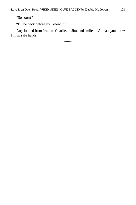"So soon?"

"I'll be back before you know it."

Arty looked from Jean, to Charlie, to Jim, and smiled. "At least you know I'm in safe hands."

\*\*\*\*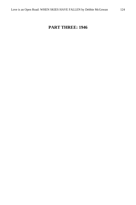# **PART THREE: 1946**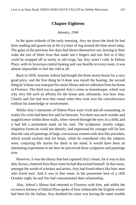## **Chapter Eighteen**

#### *January, 1946*

In the quiet solitude of the early morning, Arty set down the book he had been reading and gazed out at the icy haze of fog around the lone street lamp. The gales of the previous few days had blown themselves out, leaving in their wake the sort of bitter frost that made one's fingers and toes feel as if they could be snapped off as easily as old twigs, but Arty wasn't cold. In Dalton Place, with its luxurious central heating and vast hearths in every room, it was almost impossible to feel the cold at all.

Back in 1930, Antonio Adessi had bought the three-storey house for a very good price, and the first thing he'd done was install the heating; the second thing he'd done was transport his entire library and art collection from his home in Florence. The third was to appoint Arty's sister as housekeeper, which was why Arty felt such an affinity for the house and, ultimately, was how Jean, Charlie and Jim had won him round when they took over his convalescence without his knowledge or involvement.

Whilst Arty's memories of Dalton Place were vivid and all-consuming, in reality his visits had been few and far between. Yet there was such wonder and magnificence within those walls, when viewed through the eyes of a child, and it had left a permanent mark on his soul. The sculptures, mostly vulgar, shapeless forms he could not identify, had impressed his younger self far less than the vast oil paintings of large, curvaceous women with skin like porcelain, which would enchant him for hours, while he considered who the subjects were, conjuring life stories for them in his mind. It would have been an interesting experiment to see how he perceived those sculptures and paintings now.

However, it was the library that had captured Arty's heart, for it was in that dim, brown, cluttered first-floor room he had discovered himself. In that room, amongst the words of scholars and artists, Arty had found others like him: men who loved men. And it was in that room, in the passionate heat of a chill October night, he and Jim had consummated their relationship.

Alas, Adessi's library had returned to Florence with him, and whilst the excessive hotness of Dalton Place spoke of how unbearable the English winter had been for the Italian, Arty doubted his sister was having the same trouble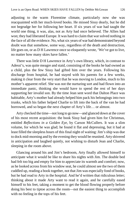adjusting to the warm Florentine climate, particularly now she was reacquainted with her much-loved books. He missed Sissy dearly, but he did not begrudge her for following her heart. If six years of war had taught the world one thing, it was, alas, not as Arty had once believed. The Allies had won; they had liberated Europe. It was hard to claim that war solved nothing in the face of all the evidence. No, what six years of war had demonstrated beyond doubt was that somehow, some way, regardless of the death and destruction, life goes on, or as D H Lawrence once so eloquently wrote, 'We've got to live, no matter how many skies have fallen.'

There was little D H Lawrence in Arty's own library, which, in contrast to Adessi's, was quite meagre and staid, consisting of the books he had owned as a child, plus the few Sissy had gifted him over the years. Following his discharge from hospital, he had stayed with his parents for a few weeks, making it clear from the very start that he was moving to London, much to his mother's apparent relief. She was not the nurturing sort and had flown into an immediate panic, thinking she would have to spend the rest of her days supporting her invalid son. By the time Jean sent word that Dalton Place was habitable, Arty's mother had already helped him pack his belongings into two trunks, which his father helped Charlie to lift into the back of the van he had borrowed, and so began the next chapter of Arty's life… or almost.

Arty checked the time—not long to go now—and glanced down at the cover of his most recent acquisition: the book Sissy had given him for Christmas, entitled *Reflections in a Golden Eye*, by Carson McCullers. It was a slim volume, for which he was glad; he found it flat and depressing, but it had at least filled the sleepless hours of this final night of waiting: Jim's ship was due to dock mid-morning and by the evening they would be reunited. Arty shivered in anticipation and laughed quietly, not wishing to disturb Jean and Charlie, sleeping in the room above.

Glancing around his and Jim's bedroom, Arty finally allowed himself to anticipate what it would be like to share his nights with Jim. The double bed had felt too big and empty for him to appreciate its warmth and comfort; now, as he looked across from his window seat, he could almost see the two of them cuddled up, reading a book together, not that Jim was especially fond of books, but he had read to Arty in the hospital. And he'd written that ridiculous letter; thinking about it made Arty want to read it again, and he carefully eased himself to his feet, taking a moment to get the blood flowing properly before doing his best to tiptoe across the room—not the easiest thing to accomplish with no feeling in the tops of his feet.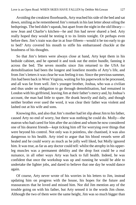Avoiding the creakiest floorboards, Arty reached his side of the bed and sat down, smiling as he remembered Jim's remark in his last letter about oiling the bedsprings. The bed didn't squeak, but apart from the night in the old library now Jean and Charlie's kitchen—he and Jim had never shared a bed. Arty really hoped they would be testing it to its limits tonight. Or perhaps even before then. Jim's train was due in at four-fifteen—would it be too early to go to bed? Arty covered his mouth to stifle his embarrassed chuckle at the brashness of his thoughts.

So that Jim's letters were always close at hand, Arty kept them in his bedside cabinet, and he opened it and took out the entire bundle, fanning it across the bed. The seven months since Jim returned to the USA for demobilisation had been the longest and loneliest months of Arty's life, and from Jim's letters it was clear he was feeling it too. Since the previous summer, Jim had been back in West Virginia, waiting for his paperwork to be processed, and all was far from well. Jim's younger brother, Joshua, who was a civilian and thus under no obligation to go through demobilisation, had remained in London with his girlfriend, leaving Jim at their father's mercy and, by Joshua's account, the man had little to spare. He drank heavily and daily, and though neither brother ever used the word, it was clear their father was violent and lashed out at his wife and sons.

Knowing this, and also that Jim's mother had let slip about Jim to his father, caused Arty no end of worry, but there was nothing he could do. Molly—the matron who had cared for him after the accident and whom he now considered one of his dearest friends—kept ticking him off for worrying over things that were beyond his control. Not only was it pointless, she chastised, it was also dangerous to his health. Arty tried to argue that his blood vessels were all healed and he could worry as much as he jolly well liked, but Molly ignored him. It was true, as far as any doctor could tell: whilst the atrophy in his upperleg muscles was a permanent debility and the drop foot could be a real nuisance, in all other ways Arty was back to full health. Indeed, he was confident that once the workshop was up and running he would be able to undertake the lighter jobs, and dared to believe that one day he would dance again.

Of course, Arty never wrote of his worries in his letters to Jim, instead updating him on progress with the house, his hopes for the future and reassurances that he loved and missed him. Nor did Jim mention any of the trouble going on with his father, but Arty sensed it in the words Jim chose. Although the two of them were the same height, Jim was so much bigger than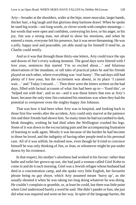Arty—broader at the shoulders, wider at the hips, more muscular, larger hands, thicker hair, a big laugh and that glorious deep baritone drawl. When he spoke he used big words—not long words, or clever words with complex meanings but words that were open and confident, conveying his love, or his anger, or his joy. Jim was a strong man, not afraid to show his emotions, and when he entered a room, everyone felt his presence, but it was never threatening. He was a jolly, happy soul and peaceable, yet able stand up for himself if need be, as Charlie could testify.

And so it was that through those thirty-one letters, Arty could trace the ups and downs of Jim's every waking moment. The good days were littered with *I love yous*, sentences that started 'I'm so excited about…' and hilarious observations of the mundane, or tall tales of practical jokes he and his friends played on each other, where everything was 'real funny'. The sad days still had plenty of *I love yous*, but the excitement was absent, in its place 'I cannot wait…' and 'Today I missed…'. Then there were the letters written on the bad days, filled with factual accounts of what Jim had been up to—'fixed this', or 'helped out with that', and so on—and it was those letters that tore at Arty's heart, because the only time Jim contained his emotions was when they had the potential to overpower even the mighty-happy Jim Johnson.

That was how it had been when Arty was in hospital, and looking back to those first few weeks after the accident, Arty could only marvel at the patience Jim and their friends had shown him. So many times he had succumbed to dark, bleak thoughts, wishing he had died when the Wellington crushed his legs. Some of it was down to the excruciating pain and the accompanying frustration of learning to walk again. Mostly it was because of the burden he had become to those he loved, and the indignity of having other people tend to his personal care. All of it was selfish, he realised now, even though he'd tried to convince himself he was only thinking of Jim, or Jean, or whomever might be put under duress by his existence.

In that respect, his mother's aloofness had worked in his favour: rather than bathe and toilet her grown-up son, she had paid a woman called Gitel Kohn to come in and do it each morning. Gitel was a Jewish refugee whose husband had died in a concentration camp, and she spoke very little English, her favourite phrase being *nu gay shoyn*, which Arty assumed meant 'hurry up', as she usually shouted it when he was taking too long doing whatever he was doing. He couldn't complain or grumble, or, at least he could, but there was little point when Gitel understood barely a word he said. She didn't pander or fuss, she just did what was required and went on her way. In spite of the language barrier, the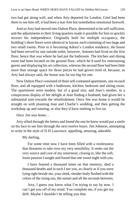two had got along well, and when Arty departed for London, Gitel had been there to see him off; it had been a tear-free but nonetheless emotional farewell.

And so Arty had moved into Dalton Place, determined to be self-sufficient, and the adjustments to their living quarters made it possible for him to quickly recover his independence. Originally built for multiple occupancy, the building's three floors were identical in layout, each consisting of two large and two small rooms. Prior to it becoming Adessi's London residence, the house had been served by one outside toilet; however, Antonio had lived on the first floor, hence that was where he had put the bathroom. The kitchen and dining room had been located on the ground floor, which he'd used for entertaining guests and displaying his art collection, whereas the second floor had been little more than storage space for those pieces he had grown tired of, because, as Arty had always said, the house was far too big for one.

Now Dalton Place consisted of three self-contained apartments, one on each floor, and all equipped with a bathroom, kitchen, bedroom and sitting room. The apartments were modest, but of a good size, and Jean's mother, in a conspicuous display of her delight at Jean finding a husband, had given her a substantial sum towards the refurbishment. Once Jim was home it would be straight on with planning Jean and Charlie's wedding, and then getting the workshop up and running, or else they'd have nothing to live on.

#### *Once Jim was home…*

Arty sifted through the letters and found the one he knew would put a smile on his face to see him through the next twelve hours. Jim Johnson, attempting to write in the style of D H Lawrence: appalling, amusing, adorable.

#### My darling,

For some time now I have been filled with a restlessness that threatens to take over my very sensibility. It seeks out the very source and core of my innermost, closing in, like the soft, loose passion I sought and found that one sweet night with you.

I have feasted a thousand times on that memory, died a thousand deaths and in each I see you, as clearly as if you were lying right beside me, your sleek, slender body flushed with the colors of the rising sun, the sunset and all the seconds between.

Arty, I guess you know what I'm trying to say by now. I can't get you off of my mind. You complete me, if you get my drift. Maybe I shouldn't be telling you that.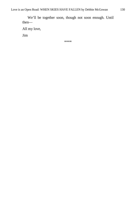We'll be together soon, though not soon enough. Until then—

All my love,

Jim

\*\*\*\*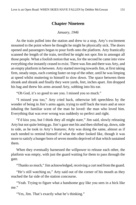## **Chapter Nineteen**

#### *January, 1946*

As the train pulled into the station and drew to a stop, Arty's excitement mounted to the point where he thought he might be physically sick. The doors opened and passengers began to pour forth onto the platform. Arty frantically scanned the length of the train, terrified he might not spot Jim in amongst all those people. What a foolish notion that was, for the second he came into view everything else instantly ceased to exist. There was Jim and there was Arty, and an empty platform in between. Arty started moving towards Jim, at first taking firm, steady steps, each coming faster on top of the other, until he was limping at speed whilst muttering to himself to slow down. The space between them shrank and shrank and finally they were yards, feet, inches apart. Jim dropped his bag and threw his arms around Arty, sobbing into his ear.

"Oh God, it's so good to see you. I missed you so much."

"I missed you too," Arty cried back, otherwise left speechless by the wonder of being in Jim's arms again, trying to sniff back the tears and at once inhaling the familiar scent of the man he loved: the man who loved him. Everything that was ever wrong was suddenly so perfect and right.

"I'd kiss you, but I think they all might stare," Jim said, slowly releasing Arty but not quite letting go. Jim's gaze met his and then shifted up, down, side to side, as he took in Arty's features; Arty was doing the same, almost as if each needed to remind himself of what the other looked like, though it was more to satisfy a hunger born of seven months deprived of that which sustained them.

When they eventually harnessed the willpower to release each other, the platform was empty, with just the guard waiting for them to pass through the gate.

"Thanks so much," Jim acknowledged, receiving a curt nod from the guard.

"He's still watching us," Arty said out of the corner of his mouth as they reached the far side of the station concourse.

"Yeah. Trying to figure what a handsome guy like you sees in a hick like me."

"Yes, Jim. That's exactly what he's thinking."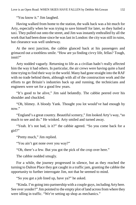"You know it." Jim laughed.

Having walked from home to the station, the walk back was a bit much for Arty, especially when he was trying to save himself for later, so they hailed a taxi. They pulled out onto the street, and Jim was instantly enthralled by all the work that had been done since he was last in London: the city was still in ruins, but clearance was well underway.

At the next junction, the cabbie glanced back at his passengers and grimaced out a toothless smile. "How are ya finding civvy life, fellas? Tough, innit?"

Arty nodded vaguely. Returning to life as a civilian hadn't really affected him the way it had others. In particular, the air crews were having quite a hard time trying to find their way in the world. Many had gone straight into the RAF with no trade behind them, although with all of the construction work and the efforts to get Britain's industries back up and running, the technicians and engineers were set for a good few years.

"It's good to be alive," Jim said belatedly. The cabbie peered over his shoulder and chuckled.

"Oh, blimey. A bloody Yank. Thought you lot would've had enough by now."

"England's a great country. Beautiful scenery," Jim looked Arty's way, "so much to see and do." He winked. Arty smiled and turned away.

"Yeah. It's not bad, is it?" the cabbie agreed. "So you come back for a girl?"

"Pretty much," Jim replied.

"You ain't got none over you way?"

"Oh, there's a few. But you got the pick of the crop over here."

The cabbie nodded smugly.

For a while, the journey progressed in silence, but as they reached the turning to Dalton Place they got caught in a traffic jam, granting the cabbie the opportunity to further interrogate Jim, not that he seemed to mind.

"So you got a job lined up, have ya?" he asked.

"Kinda. I'm going into partnership with a couple guys, including Arty here. See over yonder?" Jim pointed to the empty plot of land across from where they were idling in traffic. "We're setting up shop as mechanics."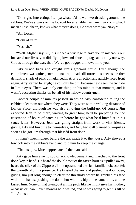"Oh, right. Interesting. I tell ya what, it'd be well worth asking around the cabbies. We're always on the lookout for a reliable mechanic, ya know what I mean? Fast, cheap, knows what they're doing. So what were ya? Navy?"

"Air forces."

"Both of ya?"

"Yes, sir."

"Well. Might I say, sir, it is indeed a privilege to have you in my cab. Your lot saved our lives, you did, flying low and chucking fags and candy our way. Got us through the war, that. We've got bugger all now, mind you."

Arty turned back and caught Jim's gracious smile. Even though the compliment was quite general in nature, it had still turned his cheeks a rather delightful shade of pink. Jim glanced in Arty's direction and quickly faced front again. Arty started to laugh; he couldn't help it, because he'd seen the twinkle in Jim's eyes. There was only one thing on his mind at that moment, and it wasn't accepting thanks on behalf of his fellow countrymen.

Another couple of minutes passed, in which Arty considered telling the cabbie to let them out where they were. They were within walking distance of Dalton Place, although he was also enjoying the build-up. Of course, Jim expected Jean to be there, waiting to greet him; he'd be preparing for the frustration of hours of catching up before he got what he'd hinted at in his saucy letter. However, Jean was going straight from work to visit friends, giving Arty and Jim time to themselves, and Arty had it all planned out—just as soon as he got Jim through that blesséd front door.

It wasn't much longer before the taxi made it to the house. Arty shoved a few bob into the cabbie's hand and told him to keep the change.

"Thanks, gov. Much appreciated," the man said.

Arty gave him a swift nod of acknowledgement and marched to the front door, key in hand. He heard the double toot of the taxi's horn as it pulled away, heard the click of the Zippo as Jim lit up, smelled the rich, familiar tobacco, felt the warmth of Jim's presence. He twisted the key and pushed the door open, giving Jim just long enough to clear the threshold before he grabbed his face with both hands, pushing the door shut with his hip at the same time, and he kissed him. None of that trying out a little peck like he might give his mother, or Sissy, or Jean. Seven months he'd waited, and he was going to get his fill of Jim Johnson.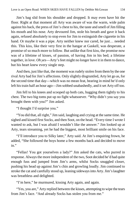Jim's bag slid from his shoulder and dropped. It may even have hit the floor. Right at that moment all Arty was aware of was the warm, wide palm against his back, the press of Jim's chest to his, the taste and smell of Jim filling his mouth and his nose. Arty devoured Jim, stole his breath and gave it back again, refused absolutely to stop even for Jim to extinguish the cigarette in his hand. Or maybe it was a pipe. Arty neither knew nor cared, he just... needed this. This kiss, like their very first in the hangar at Gaskell, was desperate, a promise of so much more to follow. But unlike that first kiss, the promise now was of a lifetime of kisses, of passion, of having Jim in his bed; a lifetime together, in love. *Oh yes*—Arty's feet might no longer have it in them to dance, but his heart knew every single step.

And then, just like that, the moment was rudely stolen from them by the one rival Arty had for Jim's affections. Only slightly disgruntled, Arty let go as, for the second time that day—which was no mean feat, bearing in mind he'd only left his train half an hour ago—Jim sobbed unabashedly, and it set Arty off too.

Jim fell to his knees and scooped up both cats, hugging them tightly to his chest. The two big toms put up no fight whatsoever. "Why didn't you say you brought them with you?" Jim asked.

"I thought I'd surprise you."

"You did that, all right," Jim said, laughing and crying at the same time. He sighed and kissed first Socks, and then Soot, on the head. "Every time I wrote I wanted to ask, but I was afraid I wouldn't like the answer." Jim looked up at Arty, tears streaming, yet he had the biggest, most brilliant smile on his face.

"I'll introduce you to Silky later," Arty said. At Jim's enquiring frown, he added, "She followed the boys home a few months back and decided to move in."

"Fellas! You got yourselves a lady?" Jim asked the cats, who purred in response. Always the more independent of the two, Soot decided he'd had quite enough fuss and jumped from Jim's arms, whilst Socks snuggled closer, pushing his head up against Jim's chin and growling loudly. Jim continued to stroke the cat and carefully stood up, leaning sideways into Arty. Jim's laughter was breathless and delighted.

"I'm here," he murmured, kissing Arty again, and again.

"Yes, you are," Arty replied between the kisses, attempting to wipe the tears from Jim's face. "And already Socks has stolen you from me."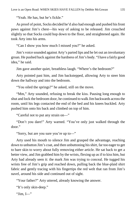"Yeah. He has, but he's fickle."

As proof of point, Socks decided he'd also had enough and pushed his front paws against Jim's chest—his way of asking to be released. Jim crouched slightly so that Socks could hop down to the floor, and straightened again. He took Arty into his arms.

"Can I show you how much I missed you?" he asked.

Jim's voice sounded against Arty's parted lips and he let out an involuntary groan. He pushed back against the hardness of Jim's body. "I have a fairly good idea," he said.

Jim gave another quiet, breathless laugh. "Where's the bedroom?"

Arty pointed past him, and Jim backstepped, allowing Arty to steer him down the hallway and into the bedroom.

"You oiled the springs?" he asked, still on the move.

"Mm," Arty sounded, refusing to break the kiss. Pausing long enough to shut and lock the bedroom door, he continued to walk Jim backwards across the room, until his legs contacted the end of the bed and his knees buckled. Arty pushed him onto his back and climbed on top of him.

"Careful not to put any strain on—"

"Don't you dare!" Arty warned. "You've only just walked through the door."

"Sorry, but are you sure you're up to—"

Arty used his mouth to silence Jim and grasped the advantage, reaching down to unbutton Jim's coat, and then unbuttoning his shirt, far too eager to get to bare skin to worry about fully removing either article. He sat back to get a better view, and Jim grabbed him by the wrists, flexing up as if to kiss him, but Arty had already seen it: the mark Jim was trying to conceal. He tugged his wrists free of Jim's grip and reached down, pulling back the blue-plaid shirt fabric and gently tracing with his fingertips the red welt that ran from Jim's navel, around his side and continued out of sight.

"Your father?" Arty uttered, already knowing the answer.

```
"It's only skin-deep."
```
"Jim, I—"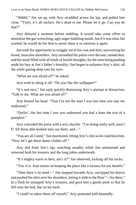"Shhhh." Jim sat up, with Arty straddled across his lap, and pulled him close. "Truly, it's all surface. He's dead to me. Please let it go. Can you do that?"

Arty delayed a moment before nodding. It would take some effort to neutralise the gut-wrenching, ugly anger bubbling inside, but if it was what Jim wanted, he would do his best to never show it or mention it again.

Jim took the opportunity to wriggle out of his coat and shirt, uncovering his broad, muscular shoulders. Arty smoothed his palms over the taut, tanned skin, and his mind filled with all kinds of lustful thoughts, for the time being pushing aside his fury at Jim's father's brutality. Jim began to unfasten Arty's shirt, all the while gazing deep into his eyes.

"What are you afraid of?" he asked.

Arty tried to shrug it off. "Do you like the wallpaper?"

"It's real nice," Jim said, quickly dismissing Arty's attempt at distraction. "Talk to me. What are you afraid of?"

Arty bowed his head. "That I'm not the man I was last time you saw me undressed."

"Darlin', the last time I saw you undressed you had a knee the size of a pumpkin."

Arty conceded the point with a wry chuckle. "I'm doing really well, aren't I? All those able-bodied men out there, and—"

"*You* are all I need," Jim murmured, lifting Arty's chin so he could kiss him. "Now let's get these damn clothes off."

Arty slid from Jim's lap, watching steadily while Jim unfastened and removed both his trousers and the long johns underneath.

"It's mighty warm in here, ain't it?" Jim observed, kicking off his socks.

"Yes, it is. Jean insists on keeping the place like a furnace for my benefit."

"Then there's no need—" Jim stepped towards Arty, unclipped his braces and pushed his shirt over his shoulders, letting it slide to the floor "—for these." In a flash he unzipped Arty's trousers, and gave him a gentle push so that he fell onto the bed, flat on his back.

"I could've taken them off myself," Arty protested half-heartedly.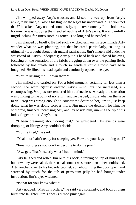Jim whipped away Arty's trousers and kissed his way up, from Arty's ankle, to his knee, all along his thigh to the leg of his underpants. "Can you feel that?" he asked. Arty nodded soundlessly, quite overcome by Jim's boldness, for now he was studying the sheathed outline of Arty's penis. It was painfully turgid, aching for Jim's soothing touch. Too long had he needed it.

Jim glanced up briefly. He had such a wicked grin on his face it made Arty wonder what he was planning, not that he cared particularly, so long as ultimately it brought about their mutual satisfaction. Jim's fingers slid under the waistband of Arty's underpants; Arty put his head back and closed his eyes, focusing on the sensation of the fabric dragging down over the pulsing flesh, followed by hot breath and a touch so gentle it could almost have been imagined. He lifted his head again and cautiously opened one eye.

"You're kissing me… down there?"

Jim smiled and carried on. For a brief moment, certainly far less than a second, the word 'germs' entered Arty's mind, but the increased, allencompassing, *hot* pressure rendered him defenceless. Already the sensation was building to the point of no return, and he gasped, unsure whether the urge to yell *stop* was strong enough to counter the desire to beg Jim to just keep doing what he was doing forever more. Jim made the decision for him; he withdrew, finished undressing Arty and lay beside him, running the tip of his index finger around Arty's lips.

"I been dreaming about doing that," he whispered. His eyelids were drooping, or lilting; Arty couldn't decide.

"You're tired," he said.

"Yeah, but I ain't ready for sleeping yet. How are your legs holding out?"

"Fine, so long as you don't expect me to do the jive."

"Aw, gee. That's exactly what I had in mind."

Arty laughed and rolled Jim onto his back, climbing on top of him again, but now they were naked, the sensual contact was more than either could stand. Arty reached over to his bedside cabinet, somehow flung the door open, and searched by touch for the tub of petroleum jelly he had bought under instruction. Jim's eyes widened.

"Is that for you-know-what?"

Arty nodded. "Matron's orders," he said very solemnly, and both of them burst into laughter. Jim's cheeks turned pink again.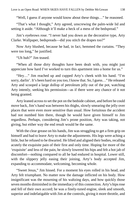"Well, I guess if anyone would know about these things…" he reasoned.

"That's what I thought," Arty agreed, unscrewing the palm-wide lid and setting it aside. "Although it'll make a heck of a mess of the bedspread."

Jim's eyebrows rose. "I never had you down as the decorative type, Arty Clarke. Wallpaper, bedspreads—did you stitch the drapes too?"

Now Arty blushed, because he had, in fact, hemmed the curtains. "They were too long," he justified.

"Uh huh?" Jim teased.

"When all those dirty thoughts have been dealt with, you might just appreciate how hard I've worked to turn this apartment into a home for us."

"Hey…" Jim reached up and cupped Arty's cheek with his hand. "I'm sorry, darlin'. It's been hard on you too, I know that. So, I guess…" He released Arty and scooped a large dollop of petroleum jelly out of the pot, watching Arty intently, seeking his permission—as if there were any chance of it not being granted.

Arty leaned across to set the pot on the bedside cabinet, and before he could move back, Jim's hand was between his thighs, slowly smearing the jelly over places that were even more sensitive than usual. How fortuitous the accident had not numbed him there, though he would have given himself to Jim regardless. Perhaps, considering Jim's prone position, Arty was taking, not giving, but either way the end result would be the same.

With the clear grease on his hands, Jim was struggling to get a firm grip on himself and had to leave Arty to make the adjustments. His legs were aching a little, but he refused to be thwarted. He lifted and aligned their bodies, recalling acutely the exquisite pain of their first and only time. Hoping for more of the 'exquisite' and less of the pain, he slowly lowered his hips and felt a hot jab of discomfort—nothing compared to all he had endured in hospital. Lower still, with the slippery jelly easing their joining, Arty's body accepted Jim, expanding to accommodate, welcoming, becoming whole.

"Sweet Jesus," Jim hissed. For a moment his eyes rolled in his head, and Arty felt triumphant. No matter now the damage inflicted on his body. How insignificant was the mourning of his waltzing days, and how quickly those seven months diminished in the immediacy of this connection. Arty's hips rose and fell of their own accord; he was a finely-tuned engine, sleek and smooth, superior and indefatigable with Jim at the controls, giving it more throttle, and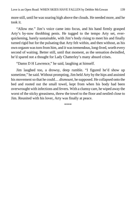more still, until he was soaring high above the clouds. He needed more, and he took it.

"Allow me." Jim's voice came into focus, and his hand firmly grasped Arty's by-now throbbing penis. He tugged to the tempo Arty set, everquickening, barely sustainable, with Jim's body rising to meet his and finally turned rigid but for the pulsating that Arty felt within, and then without, as his own orgasm was torn from him, and it was tremendous, long-lived, worth every second of waiting. Better still, until that moment, as the sensation dwindled, he'd spared not a thought for Lady Chatterley's many absurd crises.

"Damn D H Lawrence," he said, laughing at himself.

Jim laughed too, a drowsy, deep rumble. "I figured he'd show up sometime," he said. Without prompting, Jim held Arty by the hips and assisted his movement so that he could… *dismount*, he supposed. He collapsed onto the bed and rooted out the small towel, kept from when his body had been overwrought with infections and fevers. With a clumsy care, he wiped away the worst of the sticky greasiness, threw the towel to the floor and nestled close to Jim. Reunited with his lover, Arty was finally at peace.

\*\*\*\*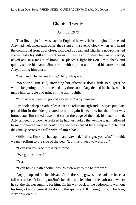# **Chapter Twenty**

#### *January, 1946*

That first night Jim was back in England he was fit for nought: after he and Arty had welcomed each other, they slept until seven o'clock, when Arty heard the communal front door close, followed by Jean and Charlie's not-so-hushed voices. Arty lay still and silent, or as still as he could when he was shivering, naked and in a tangle of limbs. He placed a light kiss on Jim's cheek and quietly spoke his name. Jim stirred with a groan and folded his arms around Arty, pulling him close.

"Jean and Charlie are home," Arty whispered.

"So soon?" Jim said, stretching but otherwise doing little to suggest he would be getting up from the bed any time soon. Arty tickled his back, which made him wriggle and grin; still he didn't shift.

"You at least need to go and say hello," Arty reasoned.

Jim took a deep breath, released it as a reluctant sigh and… stayed put. Arty poked him in the side, prepared to do it again if need be, but the effect was immediate. Jim rolled away and sat on the edge of the bed, his back turned. Arty cringed, for now he realised he had just poked the welt he wasn't allowed to mention—the welt he could now see was caused by a whip and extended diagonally across the full width of Jim's back.

Oblivious, Jim stretched again and yawned. "All right, you win," he said, wearily rolling to the side of the bed. "But first I need to wash up."

"I can run you a bath," Arty offered.

```
"We got a shower?"
```
" $Y_{PS}$ "

"I can have a bath another day. Which way to the bathroom?"

Arty got up and fetched his and Jim's dressing gowns—he had purchased a full wardrobe of clothing on Jim's behalf—and led him to the bathroom, where he set the shower running for him. On his way back to the bedroom to wait out his turn, a knock came at the door to the apartment. Knowing it would be Jean, Arty answered it.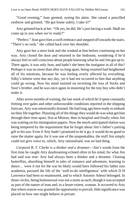"Good evening," Jean greeted, eyeing his attire. She raised a pencilled eyebrow and grinned. "He got home safely, I take it?"

Arty grinned back at her. "Oh yes, he did. He's just having a wash. Shall we come up to you when we're ready?"

"Perfect." Jean gave him a swift embrace and stepped off towards the stairs. "There's no rush," she called back over her shoulder.

Arty gave her a stern look and she winked at him before continuing on her way. Arty closed the door and returned to the bedroom, wondering if he'd always feel so self-conscious about people knowing what he and Jim got up to. There again, it was only Jean, and hadn't she been the instigator in all of this? Perhaps it was no more than after so long apart, being reunited had heightened all of his emotions, because he was feeling overly affected by everything. Silky's kittens were due any day, yet it had not occurred to him that anything could go wrong. Now his mind insisted on revisiting the loss of Socks and Soot's brother, and he was once again in mourning for the tiny boy who didn't make it.

After seven months of waiting, the last week of which he'd spent constantly fretting over gales and other unfavourable conditions reported in the shipping forecast, Arty was emotionally drained. He had long ago been ready to embark on their life together. Planning all of the things they would do was what got him through their time apart, first at Minton, then in hospital and finally when Jim was waiting on his immigration papers. Now the much-anticipated elation was being tempered by the requirement that he forget about Jim's father's parting gift to his son. Even if Arty hadn't promised to let it go, it would do no good to raise the matter again, for it was one of the unspeakables, the stuff Jim simply could not give voice to, which, Arty rationalised, was no bad thing.

*Corporal R. T. Clarke is a thinker and a dreamer*—Jim's words from the first time he caught Arty daydreaming echoed often in his mind, for what Jim had said was true: Arty had always been a thinker and a dreamer. Chasing butterflies, absorbing himself in tales of romance and adventure, learning to dance… were it not for the war he likely would have followed his father into academia, pursued the life of the 'well-to-do intelligentsia' with which D H Lawrence had been so enamoured, and to which Antonio Adessi belonged. In those circles, being homosexual was not a norm as such, though it was accepted as part of the nature of man and, to a lesser extent, woman. It occurred to Arty that where reason was granted the opportunity to prevail, little significance was placed on how one might behave in private.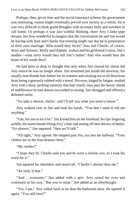Perhaps, then, given time and the social insurance scheme the government was instituting, reason might eventually prevail over society as a whole, for it was very difficult to think grand thoughts with an empty belly and nowhere to call home. Or perhaps it was just wishful thinking, more Arty Clarke pipe dreams, but how wonderful to imagine that the conversation he and Jim would be having with Jean and Charlie that evening might one day be in preparation of their own marriage. Who would they invite? Jean and Charlie, of course, Sissy and Antonio, Molly and Daphne, Joshua and his girlfriend Louisa, Jim's mother—what story would they tell Jim's father? And who would bear the brunt of his wrath then?

He had been so deep in thought that only when Jim cleared his throat did Arty notice he was no longer alone. Jim remained just inside the doorway, his usually neat blonde hair darker for its wetness and sticking out in all directions from being vigorously rubbed with a towel. His eyes, ringed by fatigue, studied Arty with a deep, probing intensity that had clearly seen past the heroic shield of indifference he had almost succeeded in raising. Jim shrugged and offered a defeated smile.

"Go take a shower, darlin', and I'll tell you what you need to know."

Arty walked over to Jim and took his hands. "You don't need to tell me anything."

"I do, for you to let it be." Jim kissed him on the forehead, his lips lingering awhile, his warm breath lifting Arty's hair and setting off new shivers of desire. "Go shower," Jim repeated, "then we'll talk."

"All right," Arty agreed. He stepped past Jim, out into the hallway. "Your clothes are in the four-drawer chest."

"*My* clothes?"

"I hope they fit. Charlie said you and he were a similar size, so I took his word for it."

Jim squared his shoulders and stood tall. "Charlie's shorter than me."

"An inch, if that."

"And… scrawnier," Jim added with a grin. Arty raised his eyes and continued on his way. "But you're mine," Jim added as an afterthought.

"Yes, I am," Arty called back as he shut the bathroom door. He opened it again. "You still here?"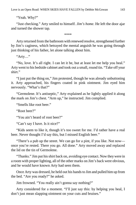"Yeah. Why?"

"Just checking." Arty smiled to himself. *Jim's home.* He left the door ajar and turned the shower tap.

\*\*\*\*

Arty returned from the bathroom with renewed resolve, strengthened further by Jim's caginess, which betrayed the mental anguish he was going through just thinking of his father, let alone talking about him.

"Arty…"

"No, love. It's all right. I can let it be, but at least let me help you heal." Arty went to his bedside cabinet and took out a small, round tin. "Take off your shirt."

"I just put the thing on," Jim protested, though he was already unbuttoning it. Arty approached, his fingers coated in pink ointment. Jim eyed him nervously. "What's that?"

"Germolene. It's antiseptic," Arty explained as he lightly applied it along the mark on Jim's chest. "Arm up," he instructed. Jim complied.

"Smells like root beer."

"Root beer?"

"You ain't heard of root beer?"

"Can't say I have. Is it nice?"

"Kids seem to like it, though it's too sweet for me. I'd rather have a real beer. Never thought I'd say this, but I missed English beer."

"There's a pub up the street. We can go for a pint, if you like. Not now once you're rested. There you go. All done." Arty moved away and replaced the lid on the tin of Germolene.

"Thanks." Jim put his shirt back on, avoiding eye contact. Now they were in a room with proper lighting, all of the other marks on Jim's back were obvious, and he would have known Arty had seen them.

Once Arty was dressed, he held out his hands to Jim and pulled him up from the bed. "Are you ready?" he asked.

Jim frowned. "You really ain't gonna say nothing?"

Arty considered for a moment. "I'll just say this: by helping you heal, I don't just mean slapping ointment on your cuts and bruises."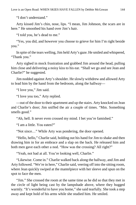"I don't understand."

Arty kissed Jim's chin, nose, lips. "I mean, Jim Johnson, the scars are in here." He smoothed his hand over Jim's hair.

"I told you, he's dead to me."

"Yes, you did, and however you choose to grieve for him I'm right beside you."

In spite of the tears welling, Jim held Arty's gaze. He smiled and whispered, "Thank you."

Arty sighed in mock frustration and grabbed Jim around the head, pulling him close and delivering a noisy kiss to his ear. "Shall we go and see Jean and Charlie?" he suggested.

Jim nodded against Arty's shoulder. He slowly withdrew and allowed Arty to lead him by the hand from the bedroom, along the hallway—

"I love you," Jim said.

"I love you too," Arty replied.

—out of the door to their apartment and up the stairs. Arty knocked on Jean and Charlie's door; Jim sniffed the air a couple of times. "Mm. Something smells good."

"Ah, hell. It never even crossed my mind. I bet you're famished."

"I am a little. You eaten?"

"Not since…" While Arty was pondering, the door opened.

"Hello, hello," Charlie said, holding out his hand for Jim to shake and then drawing him in for an embrace and a slap on the back. He released him and both men gave each other a nod. "How was the crossing? All right?"

"Yeah, not bad at all. You're looking well, Charlie."

"Likewise. Come in." Charlie walked back along the hallway, and Jim and Arty followed. "We're in here," Charlie said, veering off into the sitting room, where Jean quickly swiped at the mantelpiece with her sleeve and spun on the spot to face the men.

"Jim." She crossed the room at the same time as he did so that they met in the circle of light being cast by the lampshade above, where they hugged warmly. "It's wonderful to have you home," she said tearfully. She took a step away and kept hold of his arms while she studied him. He smiled.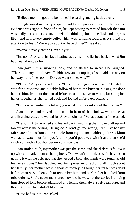"Believe me, it's good to be home," he said, glancing back at Arty.

A tingle ran down Arty's spine, and he suppressed a gasp. Though the evidence was right in front of him, he kept having to remind himself that Jim was really here; not a dream, not wishful thinking, but in the flesh and large as life—and with a very empty belly, which was rumbling loudly. Arty shifted his attention to Jean. "Were you about to have dinner?" he asked.

"We've already eaten? Haven't you."

"Er, no," Arty said, his face heating up as his mind flashed back to what Jim had been doing earlier.

Jean gave him a knowing look, and he started to sweat. She laughed. "There's plenty of leftovers. Rabbit stew and dumplings," she said, already on her way out of the room. "Do you want some, Arty?"

"Please," Arty called after her. "I'll come and give you a hand." He didn't wait for a response and quickly followed her to the kitchen, closing the door behind him. Jean put the pan of leftovers on the stove to warm, brushing her hands together as she turned back and looked at Arty expectantly.

"Do you remember me telling you what Joshua said about their father?"

Jean nodded and moved to the table in front of the window, where she sat and lit a cigarette, and waited for Arty to join her. "What about it?" she asked.

"He's…" Arty frowned and leaned back, watching the smoke drift up and fan out across the ceiling. He sighed. "Don't get me wrong, Jean, I've had my fair share of clips 'round the earhole from my old man, although it was Mum we had to watch out for—you'd think you'd got away with it and then she'd catch you with a backhander on your way past."

Jean smiled. "Oh, my mother was just the same, and she'd always follow it up with a remark about us being lucky Dad wasn't around, or we'd have been getting it with the belt, not that she needed a belt. Her hands were tough as old leather as it was." Jean laughed and Arty joined in. She didn't talk much about her family: her mother wasn't short of money, although her father was dead before Jean was old enough to remember him, and her brother had died from tuberculosis. She'd never mentioned how old he was, but the stories involving him stopped long before adulthood and telling them always left Jean quiet and thoughtful, so Arty didn't like to ask.

"How bad is it?" Jean asked.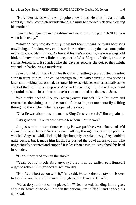"He's been lashed with a whip, quite a few times. He doesn't want to talk about it, which I completely understand. He must be worried sick about leaving his mother."

Jean put her cigarette in the ashtray and went to stir the pan. "He'll tell you when he's ready."

"Maybe," Arty said doubtfully. It wasn't how Jim was, but with both sons now living in London, Arty could see their mother joining them at some point in the not-too-distant future. By Jim and Joshua's accounts, she was a tough old bird, and now there was little to keep her in West Virginia. Indeed, from the stories Joshua told, it sounded like she gave as good as she got, so they might yet end up harbouring a murderess.

Jean brought him back from his thoughts by setting a plate of steaming-hot stew in front of him. She called through to Jim, who arrived a few seconds later, still looking just as tired, although his eyes widened enthusiastically at the sight of the food. He sat opposite Arty and tucked right in, shovelling several spoonfuls of stew into his mouth before he mumbled his thanks to Jean.

"No thanks needed. See you when you've finished." She left them and returned to the sitting room, the sound of the radiogram momentarily drifting through to the kitchen when she opened the door.

"Charlie was about to show me his Bing Crosby records," Jim explained.

Arty groaned. "You'd best have a few hours left in you."

Jim just smiled and continued eating. He was positively voracious, and he'd cleared the bowl before Arty was even halfway through his, at which point he watched Arty eat, whilst licking his lips hungrily, or salaciously, Arty couldn't quite decide, but it made him laugh. He pushed the bowl across to Jim, who ungraciously accepted and emptied it in less than a minute. Arty shook his head in wonder.

"Didn't they feed you on the ship?"

"Yeah, but not much. And anyway I used it all up earlier, so I figured I ought to refuel." Jim grinned mischievously.

"Hm. We'd best get on with it," Arty said. He took their empty bowls over to the sink, and he and Jim went through to join Jean and Charlie.

"What do you think of the place, Jim?" Jean asked, handing him a glass with a half-inch of golden liquid in the bottom. Jim sniffed it and nodded his approval.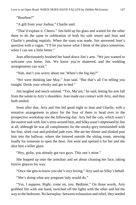"Bourbon?"

"A gift from your Joshua," Charlie said.

"That'd explain it. Cheers." Jim held up his glass and waited for the other three to do the same in celebration of both his safe return and Jean and Charlie's pending nuptials. When the toast was made, Jim answered Jean's question with a vague, "I'll let you know what I think of the place tomorrow, when I can see a little better."

Jean affectionately brushed her hand down Jim's arm. "We just wanted to welcome you home, Jim. We know you're shattered, and the wedding arrangements can wait."

"Nah, don't you worry about me. When's the big day?"

"We were thinking late May," Jean said. "But that's all I'm telling you tonight. Drink your whisky and get to bed."

Jim laughed and mock-saluted. "Yes, Ma'am," he said, letting his arm fall from the salute to Arty's shoulders. Jean made eye contact with Arty, and they both smiled.

Soon after that, Arty and Jim bid good night to Jean and Charlie, with a tentative arrangement in place for the four of them to head over to the prospective workshop site the following day. Arty fed the cats, which wasn't the easiest task with Jim's arms around him, and Silky wasn't impressed by Jim at all, although he was all compliments for the smoky-grey tortoiseshell with her fine, sleek coat and polished jade eyes. She ate her dinner and slinked past him into the hallway, where she loitered outside the sitting room, mewing loudly for someone to open the door. Jim went and opened it for her and she shot him a killer glare.

"Hey, girlie, you already got two guys. This one's mine."

She hopped up onto the armchair and set about cleaning her face, taking furtive glances his way.

"Once she gets to know you she's very loving," Arty said on Silky's behalf.

"She's doing what any pregnant lady would do."

"Yes, I suppose. Right, come on, you. Bedtime." On those words, Arty grabbed Jim with one hand, switched off the lights with the other and led the way to the bedroom. No horseplay: between exhaustion and relief, they needed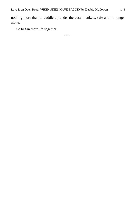nothing more than to cuddle up under the cosy blankets, safe and no longer alone.

So began their life together.

\*\*\*\*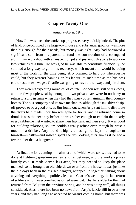## **Chapter Twenty-One**

#### *January–April, 1946*

Now Jim was back, the workshop progressed very quickly indeed. The plot of land, once occupied by a large townhouse and substantial grounds, was more than big enough for their needs, but money was tight. Arty had borrowed a significant sum from his parents to fund the construction of a corrugated aluminium workshop with an inspection pit and just enough space to work on two vehicles at a time. He was glad he was able to contribute financially; he still had a long way to go in his recovery, which meant Jim would be doing most of the work for the time being. Arty planned to help out wherever he could, but they weren't banking on his labour: at such time as the business could sustain two wages, Charlie was going to leave the railways and join them.

They weren't expecting miracles, of course. London was still on its knees, and the few people wealthy enough to own private cars were in no hurry to return to a city in ruins when they had the luxury of remaining in their country homes. The bus company had its own mechanics, although the taxi driver's tipoff proved to be a good one, as Jim found out when Arty sent him to distribute the flyers he'd made. Poor Jim was gone for hours, and he returned home so drunk it was the next day before he was sober enough to explain that nearly every cabbie he met wanted to share their hip flask and their story. It was good for building relations, so Jim couldn't really refuse even though he wasn't much of a drinker. Arty found it highly amusing, but kept his laughter to himself—mostly—and instead spent the day looking after Jim as if he had a fever rather than a hangover.

\*\*\*\*

At first, the jobs coming in—almost all of which were taxis, thus had to be done at lightning speed—were few and far between, and the workshop was bitterly cold. It made Arty's legs ache, but they needed to keep the place manned, so he brought an old eiderdown over from the house. It was just like the old days back in the disused hangars, wrapped up together, talking about anything and everything—politics, Jean and Charlie's wedding, the late return of soldiers whom everyone had assumed were lost. Charlie's older brother had returned from Belgium the previous spring, and he was doing well, all things considered. Alas, there had been no news from Arty's Uncle Bill in over two years, and they had long ago accepted he wasn't coming home, but there was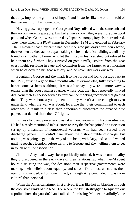that tiny, impossible glimmer of hope found in stories like the one Jim told of the two men from his hometown.

Having grown up together, George and Roy enlisted with the same unit and the two GIs were inseparable. Jim had always known they were more than good pals, and when George was captured by Japanese troops, Roy also surrendered. They were taken to a POW camp in December 1944 and escaped in February 1945. Unaware that their camp had been liberated just days after their escape, the two men trekked across Japan, taking shelter in derelict buildings, until they found a sympathetic farmer who let them stay in his goat shed but refused to help them any further. They survived on goat's milk, 'stolen' from the goat every night, resulting in rage and confusion from the farmer every morning when he discovered his goat was dry, and he never did work out why.

Eventually George and Roy made it to the border and found passage back to the USA, arriving a good three months after everyone else, fully expecting to be welcomed as heroes, although it was safe to say they were no more *compos mentis* than the poor Japanese farmer whose goat they had repeatedly milked dry. Nonetheless, they deserved better than the mocking reception that greeted them. They were honest young men, but they weren't astute enough to even understand what the war was about, let alone that their commitment to each other would result in a 'less than honourable' discharge: the dreaded blue papers that denied them their GI rights.

Jim was livid and powerless to assist without jeopardising his own situation. He had already mentioned in his letters to Arty that he had joined an association set up by a handful of homosexual veterans who had been served blue discharge papers. Jim didn't care about the dishonourable discharge, but nothing was going to get in the way of him being with Arty, and so he'd waited until he reached London before writing to George and Roy, telling them to get in touch with the association.

Jim, like Arty, had always been politically minded. It was a commonality they'd discovered in the early days of their relationship, when they'd spent hours discussing the war, the decisions their respective governments were making, their beliefs about equality, and so on. On almost all counts their opinions coincided; all but one, in fact, although Arty concluded it was more cultural than personal.

When the American airmen first arrived, it was like hot air blasting through the cool stoic ranks of the RAF. For where the British struggled to squeeze out a polite 'how do you do?' and talked of 'missing Mother dreadfully', the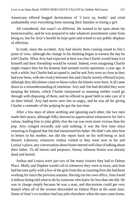Americans offered hugged declarations of 'I love ya, buddy' and cried unabashedly over everything from missing their families to losing a girl.

All considered, Jim wasn't so different. He wanted to be open about his homosexuality, and he was prepared to take whatever punishment came from being so, but for Arty's benefit he kept quiet and reined in any public displays of affection.

In truth, since the accident, Arty had slowly been coming round to Jim's point of view, although the change in his thinking began in earnest the day he told Charlie. What Arty had expected at best was that Charlie would keep it to himself and their friendship would be ruined. Indeed, even imagining Charlie might respect him for his honesty had seemed overly optimistic a year ago. It took a while, but Charlie had accepted it, and he and Arty were as close as they had ever been, with the rivalry between Jim and Charlie mostly effected in jest, although they did almost come to blows when the kittens were born. It all came down to a misunderstanding of intention: Arty and Jim had decided they were keeping the kittens, which Charlie interpreted as meaning neither could go through with disposing of them, and he offered in good faith to take care of it on their behalf. Arty had never seen Jim so angry, and he was all for giving Charlie a reminder of the pulping he got the last time.

After a few days of silent seething and ignoring each other, the two men made their peace, although Silky showed no appreciation whatsoever for Jim's valour, leading him to joke glibly that the cat was even more vicious than his pop. Arty cringed inwardly and said nothing; it was the first time since returning to England that Jim had mentioned his father. He didn't ask after him in letters to his mother, nor did she report back on his well-being or lack thereof. Likewise, whenever Joshua visited or they went over to his and Louisa's place, any conversation about home steered well clear of talking about their father. To all intents and purposes, Jimmy Johnson Senior was already dead and buried.

Joshua and Louisa were just two of the many visitors they had to Dalton Place. Molly and Daphne would call in whenever they were in town, and Jean had become pally with a few of the girls from the accounting firm she had been working for since the previous autumn. Having run her own office, Jean found it tedious being told what to do by someone who knew far less than she did. He was in charge simply because he was a man, and discussions could get very heated when all of the women descended on Dalton Place at the same time. Some of Jean's co-workers had lost jobs elsewhere when the men came home,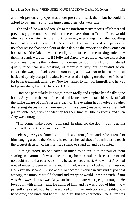and their present employer was under pressure to sack them, but he couldn't afford to pay men, so for the time being their jobs were safe.

The end of the war had brought to the forefront many aspects of life that had previously gone unquestioned, and the conversations at Dalton Place would often carry on late into the night, covering everything from the appalling treatment of black GIs in the USA, a lot of whom were served blue papers for no other reason than the colour of their skin, to the expectation that women on both sides of the Atlantic would readily return to their home-making duties now their husbands were home. If Molly and Daphne were involved, the discussion would veer towards the treatment of homosexuals, during which Jim listened quietly rather than risk breaking his promise to Arty, but it couldn't go on. Before the war, Jim had been a union man, and it was not in his nature to sit back and quietly accept injustice. He was used to fighting on other men's behalf for better treatment, fairer pay. Now he wanted to fight for himself, and he was left prostrate by his duty to protect Arty.

After one particularly late night, when Molly and Daphne had finally gone home, Arty sat on the end of the bed and leaned down to take his socks off, all the while aware of Jim's restless pacing. The evening had involved a rather distressing discussion of homosexual POWs being made to serve their full prison sentences, with no reduction for their time as Hitler's guests, and even Arty was outraged.

"I'm gonna make cocoa," Jim said, heading for the door. "I ain't gonna sleep well tonight. You want some?"

"Please," Arty confirmed to Jim's disappearing form, and as he listened to him banging around the kitchen, he realised he had about five minutes to reach the biggest decision of his life: stay silent, or stand up and be counted.

As things stood, no one batted so much as an eyelid at the pair of them sharing an apartment. It was quite ordinary for men to share the cost of rent and no doubt many shared a bed simply because needs must. And whilst Arty had vowed never to deny what he and Jim had, no one had asked the question. However, the second Jim spoke out, or became involved in any kind of political activity, the rumours would abound and everyone would know the truth. If Jim was *that way*, then so was Arty, but he didn't care what people thought. He loved Jim with all his heart. He admired him, and he was proud of him—how patiently he cared, how hard he worked to turn his ambitions into reality, how handsome, and kind, and honest—to Arty, Jim was perfection itself. Jim was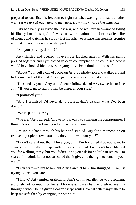prepared to sacrifice his freedom to fight for what was right: to start another war. *Yet we are already among the ruins. How many more skies must fall?*

Arty had barely survived the last war, and he was terrified—not of losing his liberty, but of losing Jim. It was a no-win situation: force Jim to suffer a life of silence and watch as he slowly lost his spirit, or release him from his promise and risk incarceration and a life apart.

"Are you praying, darlin'?"

Arty startled and opened his eyes. He laughed quietly. With his palms pressed together and eyes closed in deep contemplation he could see how it would have looked like he was praying. "I've been thinking," he said.

"About?" Jim left a cup of cocoa on Arty's bedside table and walked around to his own side of the bed. Once again, he was avoiding Arty's gaze.

"I'll stand by you," Arty said. Silence followed, and Arty swivelled to face Jim. "If you want to fight, I will be there, at your side."

"I promised you."

"And I promised I'd never deny us. But that's exactly what I've been doing."

"We're partners, Arty."

"We are," Arty agreed, "and yet it's always you making the compromises. I think it's about time I met you halfway, don't you?"

Jim ran his hand through his hair and studied Arty for a moment. "You realise if people know about me, they'll know about you?"

"I don't care about that. I love you, Jim. I'm honoured that you want to share your life with me, especially after the accident. I wouldn't have blamed you for walking away, but you didn't. And you ask for so little in return. I'm scared, I'll admit it, but not so scared that it gives me the right to stand in your way."

"I can try to—" Jim began, but Arty glared at him. Jim shrugged. "I'm just trying to keep you safe."

"I know." Arty smiled, grateful for Jim's continued attempts to protect him, although not so much for his stubbornness. It was hard enough to see this through without being given a dozen escape routes. "What better way is there to keep me safe than by changing the world?"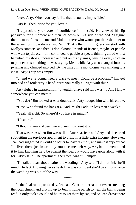"Jeez, Arty. When you say it like that it sounds impossible."

Arty laughed. "Not for you, love."

"I appreciate your vote of confidence," Jim said. He chewed his lip pensively for a moment and then sat down on his side of the bed. "I figure there's more folks like me and Mol out there who wanna put their shoulder to the wheel, but how do we find 'em? That's the thing. I guess we start with Molly's contacts, and then? I don't know. Friends of friends, maybe, or people who went to jail, or…" Jim continued to gabble at speed, thinking aloud whilst he untied his shoes, undressed and put on his pyjamas, pausing every so often to ponder on something he was saying. Meanwhile Arty also changed into his pyjamas and climbed into bed. By the time Jim's monologue was winding to a close, Arty's cup was empty.

"…and we're gonna need a place to meet. Could be a problem." Jim got into bed and took Arty's hand. "Are you really all right with this?"

Arty sighed in exasperation. "I wouldn't have said it if I wasn't. And I know somewhere you can meet."

"You do?" Jim looked at Arty doubtfully. Arty nudged him with his elbow.

"Hey! Who found the hangars? And, might I add, in less than a week."

"Yeah, all right. So where'd you have in mind?"

"Upstairs."

"I thought you and Jean were planning to rent it out."

That was true: when Jim was still in America, Jean and Arty had discussed sub-letting the top-floor apartment to bring in a little extra income. However, Jean had suggested it would be better to leave it empty and make it appear that Jim lived there, just in case any trouble came their way. Arty hadn't mentioned it to Jim, knowing he'd be against the idea but would have gone along with it for Arty's sake. The apartment, therefore, was still empty.

"I'll talk to Jean about it after the wedding," Arty said. "I don't think she'll mind." In fact, knowing her as he did, he was confident she'd be all for it, once the wedding was out of the way.

\*\*\*\*

In the final run-up to the day, Jean and Charlie alternated between attending the local church and driving up to Jean's home parish to hear the banns being read. It only took a couple of hours to get there by car, and so Jean drove there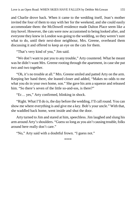and Charlie drove back. When it came to the wedding itself, Jean's mother invited the four of them to stay with her for the weekend, and she could easily accommodate them: the McDowell residence made Dalton Place seem like a tiny hovel. However, the cats were now accustomed to being looked after, and everyone they knew in London was going to the wedding, so they weren't sure what to do, until their next-door neighbour, Mrs. Greene, overheard them discussing it and offered to keep an eye on the cats for them.

"That's very kind of you," Jim said.

"We don't want to put you to any trouble," Arty countered. What he meant was he didn't want Mrs. Greene rooting through the apartment, in case she put two and two together.

"Oh, it's no trouble at all." Mrs. Greene smiled and patted Arty on the arm. Keeping her hand there, she leaned closer and added, "Makes no odds to me what you do in your own home, son." She gave his arm a squeeze and released him. "So there's seven of the little so-and-sos, is there?"

"Er… yes," Arty confirmed, blinking in shock.

"Right. What I'll do is, the day before the wedding, I'll call round. You can show me where everything is and give me a key. Bob's your uncle." With that, she waddled back home, went inside and shut the door.

Arty turned to Jim and stared at him, speechless. Jim laughed and slung his arm around Arty's shoulders. "Guess so long as you ain't causing trouble, folks around here really don't care."

"No," Arty said with a doubtful frown. "I guess not."

\*\*\*\*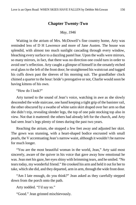## **Chapter Twenty-Two**

## *May, 1946*

Waiting in the atrium of Mrs. McDowell's fine country home, Arty was reminded less of D H Lawrence and more of Jane Austen. The house was splendid, with almost too much sunlight cascading through every window, bleaching every surface to a dazzling pastel hue. Upon the walls were mirrors, so many mirrors, in fact, that there was no direction one could turn in order to avoid one's reflection. Arty caught a glimpse of himself in the ornately etched oval glass to the left of the front door; he straightened his waistcoat and tugged his cuffs down past the sleeves of his morning suit. The grandfather clock chimed a quarter to the hour: bride's prerogative or not, Charlie would soon be having kittens of his own.

"How do I look?"

Arty turned to the sound of Jean's voice, watching in awe as she slowly descended the wide staircase, one hand keeping a tight grip of the banister rail, the other obscured by a swathe of white satin skirt draped over her arm so that she didn't trip, revealing slender legs, the top of one pale stocking top also in view. Not that it mattered: the others had already left for the church, and Arty had seen Jean's legs plenty of times during the past two years.

Reaching the atrium, she stopped a few feet away and adjusted her skirt. The gown was stunning, with a heart-shaped bodice encrusted with small pearls, the V accentuating Jean's narrow waist, although it wouldn't be narrow for much longer.

"You are the most beautiful woman in the world, Jean," Arty said most sincerely, aware of the quiver in his voice that gave away how emotional he was. Jean met his gaze, her eyes shiny with brimming tears, and he smiled. "No tears today, my wonderful friend." He crooked his arm and held it out for her to take, which she did, and they departed, arm in arm, through the wide front door.

"Am I late enough, do you think?" Jean asked as they carefully stepped down from the porch onto the path.

Arty nodded. "I'd say so."

"Good." Jean grinned mischievously.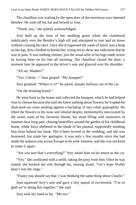The chauffeur was waiting by the open door of the enormous wax-sheened Bentley. He took off his hat and bowed to Jean.

"Thank you," she quietly acknowledged.

Arty held up the train of her wedding gown while she clambered indelicately over the Bentley's high sill and attempted to turn and sit down without creasing her skirt. Once she'd organised the yards of fabric into a heap on her lap, Arty climbed in beside her, trying not to show any indication that he was in pain. It was nothing sinister, just the usual ache in his legs made worse by having been on his feet all morning. The chauffeur closed the door; a moment later he appeared in the driver's seat and glanced over his shoulder.

"All set, Madam?"

"Yes, I think—" Jean gasped. "My bouquet!"

Arty groaned. "Where is it?" he asked, already halfway out of the car.

"On the draining board."

He went back to the house and collected the bouquet, which he had helped Jean to choose because she said she knew nothing about flowers; he'd opted for dusk-pink tea roses nestling against a backdrop of tiny white gypsophila. He lifted the flowers to his nose and inhaled deeply, momentarily intoxicated by the sweet scent of his favourite bloom, his mind filling with memories of summer days long past, chasing butterflies around the garden of his childhood home, while Sissy sheltered in the shade of her parasol, supposedly minding him from behind her book. She'd been invited to the wedding, and she was honoured, but made her apologies; it was only a few months since she had made the arduous trip across Europe to be with Antonio, and she was not keen to make it again.

"Are you sure that's everything?" Arty asked Jean on his return to the car.

"Yes," she confirmed with a smile, taking the posy from him. Once he was seated, she hooked her arm through his, musing aloud, "Let's hope Walter hasn't lost the rings."

"Funny you should say that. I was thinking the same thing about Charlie."

Jean squeezed Arty's arm and gave a tiny squeal of excitement. "I'm so glad we're doing this together," she said.

Arty took her hand in his. "Me too."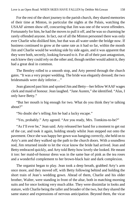For the rest of the short journey to the parish church, they shared memories of their time at Minton, in particular the nights at the Palais, watching the USAAF airmen show off, concurring that Jim was one of the worst offenders. Fortunately for him, he had the moves to pull it off, and he was so charming he rarely offended anyone. In fact, out of all the Minton personnel there was only ever Charlie who disliked him, but that was all water under the bridge now. If business continued to grow at the same rate as it had so far, within the month Jim and Charlie would be working side by side again, and it was apparent that they were both, secretly, looking forward to it. For all of their past antagonism, each knew they could rely on the other and, though neither would admit it, they had a great deal in common.

The Bentley rolled to a smooth stop, and Arty peered through the church gates. "It was a very proper wedding. The bride was elegantly dressed; the two bridesmaids were duly inferior…"

Jean glanced past him and spotted Jim and Betty—her fellow WAAF wages clerk and maid of honour. Jean laughed. "Jane Austen," she identified. "Alas, I only have Betty."

"But her mouth is big enough for two. What do you think they're talking about?"

"No doubt she's telling Jim he had a lucky escape."

"Yes, probably." Arty agreed. "Are you ready, Mrs. Tomkins-to-be?"

"As I'll ever be," Jean said. Arty released her hand for a moment to get out of the car, and took it again, holding steady whilst Jean stepped out onto the pavement. Once she was happy her gown was hanging correctly, she held on to Arty's arm and they walked up the path to the church doors. With a soundless nod, Jim returned inside to let the vicar know the bride had arrived. Jean and Betty embraced quickly, and Arty told Betty how lovely she looked. He meant it too: her maid-of-honour dress was in the same hue of pink as the tea roses and a wonderful complement to her brown-black hair and dark complexion.

The organist began to play. Jean took a deep breath, grabbed Arty's arm once more, and they moved off, with Betty following behind and holding the short train of Jean's wedding gown. Ahead of them, Charlie and his older brother, Walter, were standing in front of the altar, both in matching morning suits and for once looking very much alike. They were dissimilar in looks and stature, with Charlie being the taller and broader of the two, but they shared the same stance and expressions of nervous anticipation. Beyond them, the vicar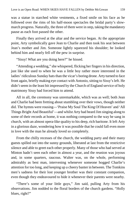was a statue in starched white vestments, a fixed smile on his face as he followed over the rims of his half-moon spectacles the bridal party's slowmarch progress. Naturally, the three of them were in step, taking the mandatory pause as each foot passed the other.

Finally they arrived at the altar and the service began. At the appropriate point, Arty symbolically gave Jean to Charlie and then took his seat between Jean's mother and Jim. Someone lightly squeezed his shoulder; he looked behind him and nearly fell off the pew in surprise.

"Sissy! What are you doing here?" he hissed.

"Attending a wedding," she whispered, flicking her fingers in his direction, just like she used to when he was a little boy rather more interested in the ladies' ridiculous Sunday hats than the vicar's boring drone. Arty turned to face front again, briefly making eye contact with Antonio, sitting to Sissy's left. He didn't seem in the least bit impressed by the Church of England service of holy matrimony Sissy had forced him to attend.

All in all, the ceremony was unremarkable, which was as well; both Jean and Charlie had been fretting about stumbling over their vows, though neither did. The hymns were rousing—'Praise My Soul The King Of Heaven' and 'All Things Bright And Beautiful'—and whilst Arty had heard Jim singing along to some of their records at home, it was nothing compared to the way he sang in church, with an almost opera-like quality to his deep, rich baritone. It left Arty in a glorious daze, wondering how it was possible that he could fall even more in love with the man he already loved so completely.

From the chilly recesses of the church, the wedding party and their many guests spilled out into the sunny grounds, liberated at last from the restrictive silence and able to greet each other properly. Many of those who had served at Minton hadn't seen each other in almost a year, and the reunion was joyous and, in some quarters, raucous. Walter was, on the whole, performing admirably as best man, intervening whenever someone hogged Charlie's attention for too long, and keeping up a cheery banter in between. The Tomkins men's sadness for their lost younger brother was their constant companion, even though they endeavoured to hide it whenever their parents were nearby.

"There's some of your little guys," Jim said, pulling Arty from his observations. Jim nodded to the floral borders of the church gardens. "Holly blues, right?"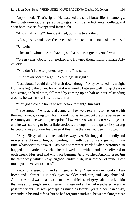Arty smiled. "That's right." He watched the small butterflies flit amongst the forget-me-nots, their pale blue wings affording an effective camouflage, and soon both insects disappeared from sight.

"And small white?" Jim identified, pointing to another.

"Close," Arty said. "See the green colouring to the underside of its wings?"

"Uh huh?"

"The small white doesn't have it, so that one is a green-veined white."

"Green veins. Got it." Jim nodded and frowned thoughtfully. It made Arty chuckle.

"You don't have to pretend any more," he said.

Jim's frown became a grin. "Your legs all right?"

"Just about. I could do with a sit down though." Arty switched his weight from one leg to the other, for what it was worth. Between walking up the aisle and sitting on hard pews, followed by coming up on half an hour of standing around, he was in significant discomfort.

"You got a couple hours to rest before tonight," Jim said.

"True enough," Arty agreed vaguely. They were returning to the house with the newly-weds, along with Joshua and Louisa, to wait out the time between the ceremony and the wedding reception. However, rest was not on Arty's agenda, and he was starting to feel a little anxious, although if it did go terribly wrong he could always blame Jean, even if this time the idea had been his own.

"Arty," Sissy called as she made her way over. She hugged him fondly and moved straight on to Jim, bombarding him with questions and giving him no time whatsoever to answer. Arty was somewhat startled when Antonio also hugged him, particularly when he followed it up with a loud kiss delivered to each cheek. Flustered and with face burning, Arty watched Antonio greet Jim the same way, whilst Sissy laughed loudly. "Oh, dear brother of mine. How much you have yet to learn."

Antonio released Jim and shrugged at Arty. "Ten years in London, I go home and I forget." His dark eyes twinkled with fun, and Arty chuckled. Antonio Adessi was a handsome man, with thick, steel-grey hair and olive skin that was surprisingly smooth, given his age and all he had weathered over the past few years. He was perhaps as much as twenty years older than Sissy, certainly in his mid-fifties, but he had forgotten nothing; he was making it clear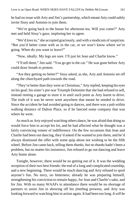he had no issue with Arty and Jim's partnership, which meant Arty could safely invite Sissy and Antonio to join them.

"We're going back to the house for afternoon tea. Will you come?" Arty met and held Sissy's gaze, imploring her to agree.

"We'd love to," she accepted graciously, and with a modicum of suspicion. "But you'd better come with us in the car, or we won't know where we're going. When do you want to leave?"

"Now, ideally. My legs are sore. I'll just let Jean and Charlie know."

"I'll tell them," Jim said. "You go get in the car." He was gone before Arty could draw breath to protest.

"Are they getting no better?" Sissy asked, as she, Arty and Antonio set off along the churchyard path towards the road.

"They're better than they were at Christmas," Arty replied, keeping his eyes on his goal: his sister's pre-war Triumph Dolomite that she had refused to sell, instead renting a garage to store it in until such point as Arty learnt to drive. The truth of it was he never went anywhere that meant he needed to drive. Since the accident he had avoided going to dances, and there was a pub within walking distance of Dalton Place, so if he fancied some company that was where he went.

As much as Arty enjoyed watching others dance, he was afraid that doing so would force him to accept his lot, and he had affected what he thought was a fairly convincing veneer of indifference. On the few occasions that Jean and Charlie had been out dancing, they'd asked if he wanted to join them, and he'd always dismissed the offer with some quip about not wishing to be the fifth wheel. Before Jim came back, telling them *thanks, but no thanks* hadn't been a problem, but no matter his insistence, Jim refused to go out dancing and leave Arty home alone.

Tonight, however, there would be no getting out of it. It was the wedding reception of their two best friends: the end of a long and complicated courtship, and a new beginning. There would be much dancing and Arty refused to spoil anyone's fun. No envy, no bitterness; already he was preparing himself, strengthening his conviction to remain happy, for Jean and Charlie's sake, and for Jim. With so many WAAFs in attendance there would be no shortage of partners to assist Jim in showing off his jitterbug prowess, and Arty was looking forward to watching him in action again. It had been too long. *It will be*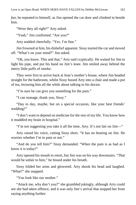*fun*, he repeated to himself, as Jim opened the car door and climbed in beside him.

"Were they all right?" Arty asked.

"Yeah," Jim confirmed. "Are you?"

Arty nodded cheerfully. "Yes. I'm fine."

Jim frowned at him, his disbelief apparent. Sissy started the car and moved off. "What's on your mind?" Jim asked.

"Oh, you know. This and that," Arty said cryptically. He waited for Jim to light his pipe, and put his hand on Jim's knee. Jim smiled away behind the merry little puffs of smoke.

They were first to arrive back at Jean's mother's house, where Jim headed straight for the bathroom, whilst Sissy fussed Arty into a chair and made a pot of tea, lecturing him all the while about talking to his doctor.

"I'm sure he can give you something for the pain."

"I can manage, thank you, Sissy."

"Day to day, maybe, but on a special occasion, like your best friends' wedding?"

"I don't want to depend on medicine for the rest of my life. You know how it muddled my brain in hospital."

"I'm not suggesting you take it all the time, Arty. It's not fair on Jim—"

Arty raised his voice, cutting Sissy short. "It has no bearing on Jim. He worries whether I'm in pain or not."

"And do you tell him?" Sissy demanded. "When the pain is as bad as I know it is today?"

Arty opened his mouth to retort, but Jim was on his way downstairs. "*That* would be unfair to him," he hissed under his breath.

Sissy folded her arms and glowered. Arty shook his head and laughed. "What?" she snapped.

"You look like our mother."

"Attack me, why don't you?" she grumbled jokingly, although Arty could see she had taken offence, and it was only Jim's arrival that stopped her from saying anything further.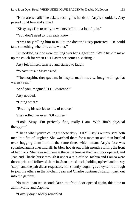"How are we all?" he asked, resting his hands on Arty's shoulders. Arty peered up at him and smiled.

"Sissy says I'm to tell you whenever I'm in a lot of pain."

"You don't need to. I already know."

"I was only telling him to talk to the doctor," Sissy protested. "He could take something when it's at its worst."

Jim nodded, as if he were mulling over her suggestion. "We'd have to make up the couch for when D H Lawrence comes a-visiting."

Arty felt himself turn red and started to laugh.

"What's this?" Sissy asked.

"The morphine they gave me in hospital made me, er… imagine things that weren't real."

"And you imagined D H Lawrence?"

Arty nodded.

"Doing what?"

"Reading his stories to me, of course."

Sissy rolled her eyes. "Of course."

"Look, Sissy, I'm perfectly fine, really I am. With Jim's physical therapy―"

"That's what you're calling it these days, is it?" Sissy's remark sent both men into fits of laughter. She watched them for a moment and then bustled over, hugging them both at the same time, which meant Arty's face was squashed against her midriff; he blew hot air out of his mouth, ruffling the front of her frock. She released them at the same time as the front door opened, and Jean and Charlie burst through it under a rain of rice. Joshua and Louisa were the culprits and followed them in. Jean turned back, holding up her hands to say 'stop', and the pair did as requested, still silently laughing as they came through to join the others in the kitchen. Jean and Charlie continued straight past, out into the gardens.

No more than ten seconds later, the front door opened again, this time to admit Molly and Daphne.

"Lovely day," Molly remarked.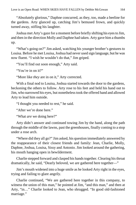"Absolutely glorious," Daphne concurred, as they, too, made a beeline for the gardens. Arty glanced up, catching Jim's bemused frown, and quickly turned away, stifling his laughter.

Joshua met Arty's gaze for a moment before briefly shifting his eyes to Jim, and then in the direction Molly and Daphne had taken. Arty gave him a thumbs up.

"What's going on?" Jim asked, watching his younger brother's gestures to Louisa. Before he met Louisa, Joshua had never used sign language, but he was now fluent. "I wish he wouldn't do that," Jim griped.

"You'll find out soon enough," Arty said.

"You're in on it?"

"More like *they* are in on it," Arty corrected.

With a final nod to Louisa, Joshua started towards the door to the gardens, beckoning the others to follow. Arty rose to his feet and held his hand out to Jim, who narrowed his eyes, but nonetheless took the offered hand and allowed Arty to lead him outside.

"I thought you needed to rest," he said.

"After we're done here."

"What *are* we doing here?"

Arty didn't answer and continued towing Jim by the hand, along the path through the middle of the lawns, past the greenhouses, finally coming to a stop under a rose arch.

"Where did they all go?" Jim asked, his question immediately answered by the reappearance of their closest friends and family: Jean, Charlie, Molly, Daphne, Joshua, Louisa, Sissy and Antonio. Jim looked around the gathering, his mouth hanging open in bewilderment.

Charlie stepped forward and clasped his hands together. Clearing his throat dramatically, he said, "Dearly beloved, we are gathered here together—"

Jim's mouth widened into a huge smile as he looked Arty right in the eyes, trying and failing to glare angrily.

Charlie continued, "We are gathered here together in this company, to witness the union of this man," he pointed at Jim, "and this man," and then at Arty, "in…" Charlie looked to Jean, who shrugged. "In good old-fashioned marriage."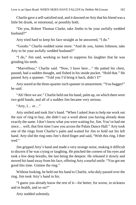Charlie gave a self-satisfied nod, and it dawned on Arty that his friend was a little bit drunk, or emotional, or possibly both.

"Do you, Robert Thomas Clarke, take Jimbo to be your awfully wedded husband?"

Arty tried hard to keep his face straight as he answered, "I do."

"Goodo." Charlie nodded some more. "And do you, James Johnson, take Arty to be your awfully wedded husband?"

"I do," Jim said, working so hard to suppress his laughter that he was grinding his teeth.

"Marvellous," Charlie said. "Now, I have here…" He patted his chest, paused, had a sudden thought, and fished in his inside pocket. "Hold that." He passed Arty a spanner. "Told you I'd bring it back, didn't I?"

Arty stared at the three-quarter-inch spanner in amazement. "You bugger!" he said.

"Ah! Here we are." Charlie held out his hand, palm up, on which there were two gold bands, and all of a sudden Jim became very serious.

"Arty, I… er…"

Arty smiled and took Jim's hand. "When I asked Jean to help me work out the size of ring to buy, she didn't say a word about you having already done exactly the same. I don't know what you were waiting for, Jim. You've had me since… well, that first time I saw you across the Palais Dance Hall." Arty took one of the rings from Charlie's palm and waited for Jim to hold out his left hand. Arty slid the ring onto Jim's third finger and said, "With this ring, I thee wed."

Jim gripped Arty's hand and made a very strange noise, making it difficult to discern if he was crying or laughing. He pinched the corners of his eyes and took a few deep breaths, the last being the deepest. He released it slowly and moved his hand away from his face, offering Arty a tearful smile. "You got me good this time. Gimme the ring."

Without looking, he held out his hand to Charlie, who duly passed over the ring. Jim took Arty's hand in his.

"I guess you already know the rest of it—for better, for worse, in sickness and in health, and so on?"

Arty nodded solemnly.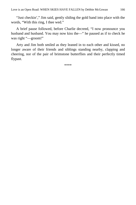"Just checkin'," Jim said, gently sliding the gold band into place with the words, "With this ring, I thee wed."

A brief pause followed, before Charlie decreed, "I now pronounce you husband and husband. You may now kiss the—" he paused as if to check he was right "-groom!"

Arty and Jim both smiled as they leaned in to each other and kissed, no longer aware of their friends and siblings standing nearby, clapping and cheering, nor of the pair of brimstone butterflies and their perfectly timed flypast.

\*\*\*\*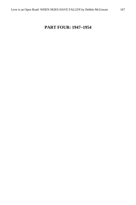# **PART FOUR: 1947–1954**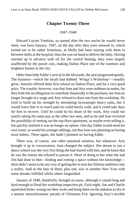## **Chapter Twenty-Three**

#### *1947–1948*

Edward Lucien Tomkins, so named after the two uncles he would never meet, was born January, 1947, on the day after they were snowed in, which turned out to be rather fortuitous, as Molly had been staying with them in between shifts at the hospital, thus she was on hand to deliver the baby. Having stocked up in advance with oil for the central heating, they were largely unaffected by the power cuts, making Dalton Place one of the warmest and brightest homes in the city.

Other than little Eddie's arrival in the blizzards, the year progressed quietly. The business—which the locals had dubbed 'Wingy's Workshop'—steadily grew; Antonio offered them first refusal on Dalton Place, and for a very good price. The trouble, however, was that Jean and Arty were stubborn as mules, for they both felt an obligation to contribute financially to the purchase, but Jean no longer brought in a wage and Arty refused to draw one from the workshop. He tried to build up his strength by attempting increasingly heavy tasks, but it would leave him in so much pain he could barely walk, and it could take days for him to recover. Until he could do his share of the work, Arty could not justify taking the same pay as the other two men, and so he and Jean revisited the possibility of renting out the top-floor apartment, or maybe even selling it, but quickly realised it was no longer an option. One day Eddie would need his own room, as would his younger siblings, not that Jean was planning on having more babies. There again, she hadn't planned on having Eddie.

There was, of course, one other potential solution, but whenever Arty brought it up in conversation, Jean changed the subject. Her dream to run a dance school was the very first thing she had shared with him, and he knew that he was the reason she refused to pursue it. Short of doing to her what she and Jim had done to him—finding and renting a space without her knowledge there didn't seem to be any way of getting her to turn her lifetime ambition into a reality. And so the four of them, plus one, saw in another New Year with some dreams fulfilled whilst others languished.

January of 1948, thankfully, brought no snow, although it rained long and hard enough to flood the workshop inspection pit. Each night, Jim and Charlie squelched home, wrung out their socks and hung them on the radiators to dry in a steamy monochromatic parody of Christmas Eve. Ignoring Arty's terrible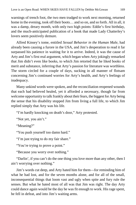warnings of trench foot, the two men trudged to work next morning, returned home in the evening, took off their boots… and so on, and so forth. All in all, it was a damp, dreary month, with only two high points: Eddie's first birthday, and the much-anticipated publication of a book that made Lady Chatterley's lovers seem positively demure.

Alfred Kinsey's tome, entitled *Sexual Behavior in the Human Male*, had already been causing a furore in the USA, and Jim's desperation to read it far surpassed his patience in waiting for it to arrive. Indeed, it was the cause of Arty and Jim's first real argument, which began when Arty jokingly remarked that Jim didn't even like books, to which Jim retorted that he liked books of merit and substance, inferring that Arty's passion for literature was worthless. The storm circled for a couple of days, sucking in all manner of flotsam concerning Jim's continued worries for Arty's health, and Arty's feelings of inadequacy.

Many unkind words were spoken, and the reconciliation reopened wounds that each had believed healed, yet it afforded a necessary, though far from welcome opportunity to talk frankly about their fears, the biggest for Arty being the sense that his disability stopped Jim from living a full life, to which Jim replied simply that Arty was his life.

"I'm hardly knocking on death's door," Arty protested.

"Not yet, you ain't."

"Meaning?"

"You push yourself too damn hard."

"I'm just trying to do my fair share."

"You're trying to prove a point."

"Because you worry over nothing."

"Darlin', if you can't do the one thing you love more than any other, then I ain't worrying over nothing."

Jim's words cut deep, and Arty hated him for them—for reminding him of what he had lost, and for the seven months alone, and for all of the small, inconsequential things that loom vast and ugly when spite and fury rule the senses. But what he hated most of all was that Jim was right. The day Arty could dance again would be the day he was fit enough to work. His rage spent, he fell in defeat, and into Jim's waiting arms.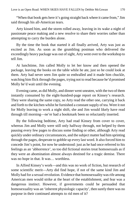"When that book gets here it's going straight back where it came from," Jim said through his all-American tears.

Arty kissed him, and the storm rolled away, leaving in its wake a night of passionate peace making and a new resolve to share their worries rather than attempting to carry the burden alone.

By the time the book that started it all finally arrived, Arty was just as excited as Jim. As soon as the grumbling postman who delivered the exceedingly heavy package was out of sight, Arty went over to the workshop to tell Jim.

At lunchtime, Jim called Molly to let her know and then opened the package, leaving the books on the table while he ate, just so he could look at them. Arty had never seen Jim quite so enthralled and it made him chuckle, watching him flick through the pages, trying not to read because he'd promised Molly he'd wait until the evening.

Evening came, as did Molly, and dinner went uneaten, with the two of them instantly consumed by the eight-hundred-page report on Kinsey's research. They were sharing the same copy, so Arty read the other one, carrying it back and forth to the kitchen whilst he furnished a constant supply of tea. Were it not for Molly leaving to work a night shift, she and Jim would likely have read through till morning—ne'er had a bookmark been so reluctantly inserted.

By the following bedtime, Arty had read Kinsey from cover to cover, whereas Jim and Molly were still only halfway through, not helped by them pausing every few pages to discuss some finding or other, although Arty read quickly under ordinary circumstances, and the subject matter had him sprinting through the pages, desperate to gobble up every last word. It also forced him to concede Jim's point, for now he understood: just as he had once referred to his feelings as an 'abhorrence', so too did fictional stories treat homosexuals as if they were an abomination almost always destined for a tragic demise. There was no hope in that. It was… worthless.

In Alfred Kinsey's work—and this was no work of fiction, but research of some scientific merit—Arty did find hope, if not of the same kind Jim and Molly had for a sexual revolution. Evidence that homosexuality was rife among American men would strike at the heart of the establishment, and fear was a dangerous instinct. However, if governments could be persuaded that homosexuality was an 'inherent physiologic capacity', then surely there was no purpose in their continued attempts to rid men of it?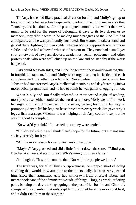To Arty, it seemed like a practical direction for Jim and Molly's group to take, not that he had ever been especially involved. The group met every other Thursday, and had done so for the past eighteen months, and whilst there was much to be said for the sense of belonging it gave to its two dozen or so members, they didn't seem to be making much progress of the kind Jim had anticipated, and he was profoundly frustrated. Jim wanted to take a stand and get out there, fighting for their rights, whereas Molly's approach was far more subtle, and she had achieved what she'd set out to. They now had a small yet strong network of lawyers, doctors, academics, senior policemen and other professionals who were well clued up on the law and on standby if the worst happened.

Arty could see both sides, and in the longer term they would work together in formidable tandem. Jim and Molly were organised, enthusiastic, and each complemented the other wonderfully. Nevertheless, four years with Jim Johnson had transformed Arty's intellectual theorising and daydreaming into a more radical pragmatism, and he had to admit he was guilty of egging Jim on.

When Molly and Jim finally relented on their second night of reading, mostly because neither could see the words any more, Molly went off to work her night shift, and Jim settled on the settee, patting his thighs by way of prompting Arty to lift his legs. At least three times every week, Jim gave Arty's legs a firm massage. Whether it was helping at all Arty couldn't say, but he wasn't about to complain.

"So what'd ya think?" Jim asked, once they were settled.

"Of Kinsey's findings? I think there's hope for the future, but I'm not sure society is ready for it yet."

"All the more reason for us to keep making a noise."

"Maybe." Arty groaned and slid a little further down the settee. "Mind you, I've had it if you end up in prison. Who's going to rub my legs?"

Jim laughed. "It won't come to that. Not with the people we know."

The truth was, for all of Jim's outspokenness, he stopped short of doing anything that would draw attention to them personally, because Arty needed him. Since their argument, Arty had withdrawn from physical labour and instead took care of the administrative side of things—logging work, ordering parts, banking the day's takings, going to the post office for Jim and Charlie's stamps, and so on—but that only kept him occupied for an hour or so at best, and it didn't tax him in the slightest.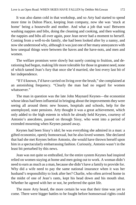It was also damn cold in that workshop, and so Arty had started to spend more time in Dalton Place, keeping Jean company, now she was 'stuck at home' being a housewife and mother. And what a job that was! Between washing nappies and bibs, doing the cleaning and cooking, and then washing the nappies and bibs all over again, poor Jean never had a moment to herself. Coming from a well-to-do family, she had been looked after by a nanny, and now she understood why, although it was just one of her many annoyances with how unequal things were between the haves and the have-nots, and men and women.

The welfare promises were slowly but surely coming to fruition, and derationing had begun, making life more tolerable for those in greatest need, none of which tamed Jean's fury that once she'd married, she lost every last bit of her independence.

"If I'd known, I'd have carried on living over the brush," she complained at an astonishing frequency. "Clearly the man had no regard for women whatsoever."

The man in question was the late John Maynard Keynes—the economist whose ideas had been influential in bringing about the improvements they were seeing all around them: new houses, hospitals and schools, help for the unemployed, state pensions. Arty thought it was a great achievement, which only added to the high esteem in which he already held Keynes, courtesy of Antonio's anecdotes, passed on through Sissy, who went into a period of extended mourning when Keynes passed away.

Keynes had been Sissy's idol; he was everything she admired in a man: a gifted economist, openly homosexual, but he also loved women. She declared that had she met Keynes before Antonio, she would have thrown herself upon him in a spectacularly embarrassing fashion. Curiously, Antonio wasn't in the least bit perturbed by this news.

Jean was not quite so enthralled, for the entire system Keynes had inspired relied on women staying at home and men going out to work. A woman didn't need to earn as much as a man, because she didn't have a family to provide for. Why did a wife need to pay the same national insurance when it was her husband's responsibility to look after her? Charlie, who often arrived home in the midst of one of Jean's rants, kept his head down and his mouth shut. Whether he agreed with her or not, he preferred the quiet life.

The more Arty heard, the more certain he was that their time was yet to come. There were bigger battles to be fought before homosexual rights could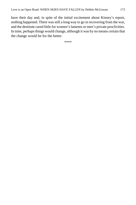have their day and, in spite of the initial excitement about Kinsey's report, nothing happened. There was still a long way to go in recovering from the war, and the destitute cared little for women's laments or men's private proclivities. In time, perhaps things would change, although it was by no means certain that the change would be for the better.

\*\*\*\*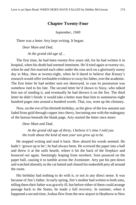## **Chapter Twenty-Four**

*September, 1949*

There was a letter Arty kept writing. It began:

*Dear Mum and Dad,*

*At the grand old age of…*

The first time, he had been twenty-five years old, for he had written it in hospital, when his death had seemed imminent. He'd tried again at twenty-six, when he and Jim married each other under the rose arch on a gloriously sunny day in May, then at twenty-eight, when he'd dared to believe that Kinsey's research would offer irrefutable evidence to sway his father, ever the academic. The first letter he had neither sent nor destroyed, in case its possession was somehow tied to his fate. The second letter he'd shown to Sissy, who talked him out of sending it, and eventually he had thrown it on the fire. The third letter he didn't finish: it would take a better man than him to summarise eight hundred pages into around a hundred words. That, too, went up the chimney.

Now, on the eve of his thirtieth birthday, as the glow of the low autumn sun faded from gold through copper into cherry, becoming one with the mahogany of the bureau beneath the blank page, Arty started the letter once more:

## *Dear Mum and Dad,*

*At the grand old age of thirty, I believe it's time I told you the truth about the kind of man your son grew up to be.*

He stopped writing and read it back. How absurd his words seemed. He hadn't 'grown up to be'; he had always been. He screwed the paper into a ball and threw it at the unlit hearth, where it hit the back of the fireplace and bounced out again. Seemingly leaping from nowhere, Soot pounced on the paper ball, causing it to tumble across the Axminster. Arty put his pen down and watched absently as the cat batted and chased his makeshift prey all around the room.

His birthday had nothing to do with it, or not in any direct sense. It was because of Jim's father. In early spring, Jim's mother had written to both sons, telling them their father was gravely ill, but before either of them could arrange passage back to the States, he made a full recovery. In summer, when it happened a second time, Joshua flew from the new airport in Heathrow to New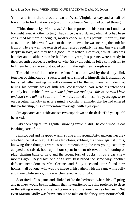York, and from there drove down to West Virginia: a day and a half of travelling to find that once again Jimmy Johnson Senior had pulled through.

"Third time lucky, Mom says," Joshua reported on his return to London a fortnight later. Another fortnight had since passed, during which Arty had been consumed by morbid thoughts, mostly concerning his parents' mortality, but also, at times, his own. It was not that he believed he was nearing the end; far from it. He ate well, he exercised and rested regularly, he and Jim were still deeply in love, and they had a good life together. However, whilst Arty was happier and healthier than he had been in years, his parents were already in their seventh decade; regardless of what Sissy thought, he felt a compulsion to tell them before the sand stopped pouring through their hourglasses.

The whistle of the kettle came into focus, followed by the dainty clink together of china cups on saucers, and Arty smiled to himself, the frustration of his failed letter writing instantly diminished by the mundane reminder that telling his parents was of little real consequence. Nor were his intentions entirely honourable. *I want to shout it from the rooftops—this is the man I love and don't you tell me I can't.* Jim's words, uttered almost five years ago, were on perpetual standby in Arty's mind, a constant reminder that he had entered this partnership, this common-law marriage, with eyes open.

Jim appeared at his side and set two cups down on the desk. "Did you quit?" he asked.

Arty peered up at Jim's gentle, knowing smile. "I did," he confirmed. "Soot is taking care of it."

Jim stooped and wrapped warm, strong arms around Arty, and together they watched the cat at play. Arty nestled closer, rubbing his cheek against Jim's, knowing their thoughts were as one: remembering the two young cats they adopted and raised, hour upon hour spent in silent observation of hunting or play, chasing balls of hay, and the recent loss of Socks, hit by a car a few months ago. They'd lost one of Silky's first brood the same way, another defected next door to Mrs. Greene, and Silky's second litter found new homes—all but one, who was the image of his father, with the same white belly and three white socks, thus was christened accordingly.

Soot tired of his game and slinked off to the bedroom, where his offspring and nephew would be snoozing in their favourite spots. Silky preferred to sleep in the sitting room, and she had taken one of the armchairs as her own. Not even Matron Molly was brave enough to take on the feisty grey tortoiseshell,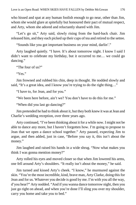who hissed and spat at any human foolish enough to go near, other than Jim, whom she would glare at spitefully but honoured their pact of mutual respect, and Arty, whom she adored and reluctantly shared with Jim.

"Let's go sit," Arty said, slowly rising from the hard-back chair. Jim released him, and they each picked up their cups of tea and retired to the settee.

"Sounds like you got important business on your mind, darlin'."

Arty laughed quietly. "I have. It's about tomorrow night. I know I said I didn't want to celebrate my birthday, but it occurred to me… we could go dancing."

"The four of us?"

"Yes."

Jim frowned and rubbed his chin, deep in thought. He nodded slowly and said, "It's a great idea, and I know you're trying to do the right thing..."

"I have to, for Jean, and for you."

"We been here before, ain't we? You don't have to do this for me."

"When did you last go dancing?"

Jim pretended he had to think about it, but they both knew it was at Jean and Charlie's wedding reception, over three years ago.

Arty continued, "I've been thinking about it for a while now. I might not be able to dance any more, but I haven't forgotten how. I'm going to propose to Jean that we open a dance school together." Arty paused, expecting Jim to argue, and then added, just in case, "Before you say it, this isn't about the money."

Jim laughed and raised his hands in a wide shrug. "Now what makes you think I was gonna mention money?"

Arty rolled his eyes and moved closer so that when Jim lowered his arms, one fell around Arty's shoulders. "It really isn't about the money," he said.

Jim turned and kissed Arty's cheek. "I know," he murmured against the skin. "You're the most incredible, kind, brave man, Arty Clarke, doing this for Jean and for us. Whatever you decide is good by me. I'm with you all the way, d'you hear?" Arty nodded. "And if you wanna dance tomorrow night, then you just go right on ahead, and when you're done I'll sling you over my shoulder, carry you home and take you to bed."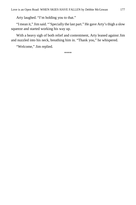Arty laughed. "I'm holding you to that."

"I mean it," Jim said. "'Specially the last part." He gave Arty's thigh a slow squeeze and started working his way up.

With a heavy sigh of both relief and contentment, Arty leaned against Jim and nuzzled into his neck, breathing him in. "Thank you," he whispered.

"Welcome," Jim replied.

\*\*\*\*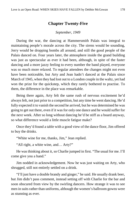## **Chapter Twenty-Five**

### *September, 1949*

During the war, the dancing at Hammersmith Palais was integral to maintaining people's morale across the city. The sirens would be sounding, Jerry would be dropping bombs all around, and still the good people of the Palais danced on. Four years later, the atmosphere inside the grand building was just as spectacular as ever it had been, although, in spite of the faster dancing and a more jazzy feeling to every number the band played, everyone was so much more relaxed. To regular attendees the changes might not even have been noticeable, but Arty and Jean hadn't danced at the Palais since March of 1945, when they had lost out to a London couple in the waltz, yet had won the prize for the quickstep, which they rarely bothered to practise. To them, the difference in the place was remarkable.

Being there again, Arty felt the same rush of nervous excitement he'd always felt, not just prior to a competition, but any time he went dancing. He'd fully expected it to vanish the second he arrived, but he was determined he was going to get out there, even if it was for only one dance and he would suffer for the next week. After so long without dancing he'd be stiff as a board anyway, so what difference would a little muscle fatigue make?

Once they'd found a table with a good view of the dance floor, Jim offered to buy the drinks.

"White wine for me, thanks, Jim," Jean replied.

"All right, a white wine, and… Arty?"

He was thinking about it, so Charlie jumped in first. "The usual for me. I'll come give you a hand."

Jim nodded in acknowledgement. Now he was just waiting on Arty, who shrugged, still not entirely settled on a drink.

"I'll just have a double brandy and ginger," he said. He usually drank beer, but Jim didn't pass comment, instead setting off with Charlie for the bar and soon obscured from view by the swirling dancers. How strange it was to see men in suits rather than uniforms, although the women's ballroom gowns were as stunning as ever.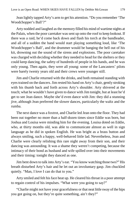Jean lightly tapped Arty's arm to get his attention. "Do you remember 'The Woodchopper's Ball'?"

Arty nodded and laughed as the memory filled his mind of wartime nights at the Palais, when the poor caretaker was sent up onto the roof to keep lookout. If there was a raid, he'd come back down and flash his torch at the bandleader, and all of a sudden the band would start playing something loud, like 'The Woodchopper's Ball', and the drummer would be banging the hell out of his kit, drowning out the sound of the sirens and explosions. The poor caretaker was charged with deciding whether they needed to head for the shelters or they could keep dancing, the safety of hundreds of people in his hands, and he was only young. Then again, they were all young: some of the Lancasters' pilots were barely twenty years old and their crews were younger still.

Jim and Charlie returned with the drinks, and both remained standing with eyes trained on the dancers. Jim rested his hand on Arty's chair, gently stroking with his thumb back and forth across Arty's shoulder. Arty shivered at the touch; what he wouldn't have given to dance with Jim tonight, but at least he'd get to see Jean dance. Maybe she'd even dance with Jim: they did a stunning jive, although Jean preferred the slower dances, particularly the waltz and the rumba.

The next dance was a foxtrot, and Charlie led Jean onto the floor. They had been out together no more than a half-dozen times since Eddie was born, but Joshua and Louisa were minding him for the evening. Louisa doted on Eddie, who, at thirty months old, was able to communicate almost as well in sign language as he did in spoken English. He was bright as a brass button and always smiling, such a happy, well-behaved little lad. Nevertheless, Jean and Charlie were clearly relishing this rare night away from their son, and their dancing was astounding. It was a shame they weren't competing, because the intimacy of their bond as husband and wife spilled over into their movements and their timing: tonight they danced as one.

Jim bent down to talk into Arty's ear. "You know watching those two?" His breath disturbed Arty's hair and he let out an involuntary gasp. Jim chuckled quietly. "Man, I love I can do that to you."

Arty smiled and felt his face heat up. He cleared his throat in a poor attempt to regain control of his impulses. "What were you going to say?"

"Charlie might not have your gracefulness or that neat little sway of the hips you got going on, but they're quite something, ain't they?"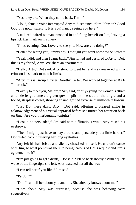"Yes, they are. When they come back, I'm—"

A loud, female voice interrupted Arty mid-sentence: "Jim Johnson? Good God. It's not… surely… It is you! Fancy seeing you here."

A tall, red-haired woman swooped in and flung herself on Jim, leaving a lipstick kiss mark on his cheek.

"Good evening, Dot. Lovely to see you. How are you doing?"

"Better for seeing you, Jimmy boy. I thought you went home to the States."

"Yeah, I did, and then I came back." Jim turned and gestured to Arty. "Dot, this is my friend, Arty. We share an apartment."

"Hello, Arty," Dot said. Arty stood to greet her and was rewarded with a crimson kiss mark to match Jim's.

"Arty, this is Group Officer Dorothy Carter. We worked together at RAF Tillbrook."

"Lovely to meet you, Ma'am," Arty said, briefly eyeing the woman's attire: an ankle-length, emerald-green gown, split on one side to the thigh, and a boned, strapless corset, showing an undignified expanse of milk-white bosom.

"Just Dot these days, Arty," Dot said, offering a pleased smile in acknowledgement of his visual appraisal before she turned her attention back on Jim. "Are you jitterbugging tonight?"

"I could be persuaded," Jim said with a flirtatious wink. Arty raised his eyebrows.

"Then I might just have to stay around and persuade you a little harder," Dot flirted back, fluttering her long eyelashes.

Arty felt his hair bristle and silently chastised himself. He couldn't dance with Jim, so what point was there to being jealous of Dot's request and Jim's agreement to it?

"I'm just going to get a drink," Dot said. "I'll be back shortly." With a quick wave of the fingertips, she left. Arty watched her all the way.

"I can tell her if you like," Jim said.

"Pardon?"

"Dot. I can tell her about you and me. She already knows about me."

"Does she?" Arty was surprised, because she was behaving very suggestively.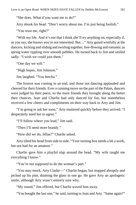"She does. What d'you want me to do?"

Arty shook his head. "Don't worry about me. I'm just being foolish."

"You trust me, right?"

"With my life. And it's not that I think she'll try anything on, especially if, as you say, she knows you're not interested. But…" Arty gazed wistfully at the dancers, kicking and sliding and swirling together, free-flowing and romantic as spring water rippling over smooth pebbles. He turned back to Jim and smiled sadly. "I wish we could join them."

"One day we will."

"High hopes, Jim Johnson."

Jim laughed. "You betcha."

The foxtrot was coming to an end, and those not dancing applauded and cheered for their friends. Ever a cunning move on the part of the Palais, dancers were judged by their peers, so the more friends they brought along the better their chances. Jean and Charlie had only danced for fun, but nonetheless received a few cheers and compliments on their way back to Arty and Jim.

"I'm going to ask her soon," Arty muttered quickly before they arrived. "I desperately need her to agree."

"I'll follow where you lead," Jim said.

"Then I'll need more brandy."

"How did we do, fellas?" Charlie asked.

Arty tilted his head from side to side. "Your turning box needs a bit a work, but not bad for an amateur."

Charlie gave him a playful slap around the head. "My wife taught me everything I know."

"You're not supposed to do the woman's part."

"You may mock, Arty Clarke—" Charlie began, but stopped abruptly and picked up his pint, draining the glass in one go. He gave Arty an apologetic smile, although Arty wasn't entirely sure why.

"My round," Jim offered, but Charlie waved him away.

"You bought the last one," he said, turning to Jean and Arty. "Same again?"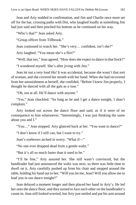Jean and Arty nodded in confirmation, and Jim and Charlie once more set off for the bar, crossing paths with Dot, who laughed loudly at something Jim had just said and then pinched his bottom as he continued on his way.

"Who's that?" Jean asked Arty.

"Group officer from Tillbrook."

Jean continued to watch her. "She's very… confident, isn't she?"

Arty laughed. "You mean she's a flirt?"

"Well, that too," Jean agreed. "How does she expect to dance in that frock?"

"I wondered myself. She's after jiving with Jim."

Jean let out a very loud *Ha!* It was accidental, because she wasn't that sort of woman, and she covered her mouth with her hand. When she had recovered from her astonishment at herself, she confided, "Before I knew Jim properly, I thought he danced with all the gals as a ruse."

"Oh, not at all. He'll dance with anyone."

"Yes," Jean chuckled. "So long as he and I get a dance tonight, I shan't complain."

Arty looked out across the dance floor and said, as if it were of no consequence to him whatsoever, "Interestingly, I was just thinking the same about you and I."

"You…" Jean stopped. Arty glanced back at her. "You want to dance?"

"I don't know if I still can, but I want to try."

Jean's eyebrows arched in worry. "What if—"

"No one ever dropped dead from a gentle waltz."

"But it's all so much faster than it used to be."

"I'll be fine," Arty assured her. She still wasn't convinced, but the bandleader had just announced the waltz was next, so there was little time to dwell on it. Arty carefully pushed up from his chair and stepped around the table, holding his hand out to her. "Will you let me, Jean? Will you allow me to lead you in our dance tonight?"

Jean delayed a moment longer and then placed her hand in Arty's. He led her onto the dance floor, and they turned to face each other on the bandleader's count-in. Jean still looked worried, but Arty just smiled and put his arm around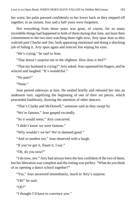her waist, his palm pressed confidently to her lower back as they stepped off together; in an instant, four and a half years were forgotten.

Not everything from those years was gone, of course, for so many incredible things had happened to both of them during that time, not least their commitment to the two men watching them right now; Arty spun Jean as they waltzed past Charlie and Jim, both appearing emotional and doing a shocking job of hiding it. Arty spun again and noticed Jim wiping his eyes.

"He's crying," he said to Jean.

"That doesn't surprise me in the slightest. How does it feel?"

"That my husband is crying?" Arty asked. Jean squeezed his fingers, and he winced and laughed. "It's wonderful."

"No pain?"

"None."

Jean peered sideways at him. He smiled briefly and released her into an underarm turn, signifying the beginning of one of their set pieces, which proceeded faultlessly, drawing the attention of other dancers.

"That's Clarke and McDowell," someone said as they swept by.

"We're famous," Jean gasped excitedly.

"So it would seem," Arty concurred.

"I didn't know we were famous."

"Why wouldn't we be? We're damned good."

"And so modest too," Jean observed with a laugh.

"If you've got it, flaunt it, I say."

"Oh, do you now?"

"I do now, yes." Arty had always been the less confident of the two of them, but his liberation was complete and the timing was perfect. "What do you think of us opening a dance school together?"

"Yes," Jean answered immediately, much to Arty's surprise.

"Oh!" he said.

" $Oh$ ?"

"I thought I'd have to convince you."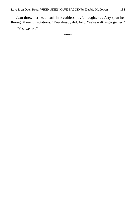Jean threw her head back in breathless, joyful laughter as Arty spun her through three full rotations. "You already did, Arty. We're waltzing together."

"Yes, we are."

\*\*\*\*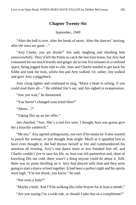# **Chapter Twenty-Six**

*September, 1949*

"After the ball is over, after the break of morn. After the dancers' leaving, after the stars are gone…"

"Arty Clarke, *you* are drunk!" Jim said, laughing and shushing him unsuccessfully. They'd left the Palais to catch the last train home, but Arty had consumed far too much brandy and ginger ale to risk five minutes in a confined space, being jogged from side to side. Jean and Charlie needed to get back for Eddie and took the train, whilst Jim and Arty walked. Or, rather, Jim walked and gave Arty a piggyback.

Arty clung tighter and continued to sing, "Many a heart is aching, if you could read them all—" He nibbled Jim's ear, and Jim sighed in exasperation.

"Just you wait," he threatened.

"You haven't changed your mind then?"

"About…?"

"Taking Dot up on her offer."

Jim chortled. "Jeez. She's a real live wire. I thought Jean was gonna give her a knuckle sandwich."

"Me too," Arty agreed ambiguously, not sure if he meant he'd also wanted to punch the woman, or just thought Jean might. Much as it appalled him to have even thought it, she had thrown herself at Jim and commandeered his attention all evening. Arty's one dance more or less finished him off, and Charlie couldn't jive to save his life, so Jean was left partnerless and, short of knocking Dot out cold, there wasn't a thing anyone could do about it. Still, there was no point dwelling on it. Arty *had* danced with Jean and they were going to start a dance school together. It had been a perfect night and his spirits were high. "I'm not drunk, you know," he said.

"Not even a little?"

"Maybe a little. And I'll be walking like John Wayne for at least a month."

"Are you saying I'm a wide ride, or should I take that as a compliment?"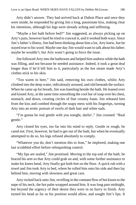Arty didn't answer. They had arrived back at Dalton Place and once they were inside, he responded by giving Jim a long, passionate kiss, making clear his intentions, although his legs were already aching and stiffening.

"Maybe a hot bath before bed?" Jim suggested, as always picking up on Arty's pain, however hard he tried to conceal it, and it worked both ways. Since Jim's father's illness, Jim had been thinking about him a lot, Arty knew, but he stayed true to his word. Maybe one day Jim would want to talk about his father; maybe he wouldn't, but Arty wasn't going to force the issue.

Jim followed Arty into the bathroom and helped him undress while the bath was filling, and not because he needed assistance. Indeed, it took a great deal longer than if he'd left him to it, particularly as the hot steam made Arty's clothes stick to his skin.

"Too warm in here," Jim said, removing his own clothes, whilst Arty climbed into the deep water, ridiculously aroused, and slid beneath the surface. When he came up for breath, Jim was kneeling beside the bath. He leaned over and kissed Arty, at the same time smoothing the cool bar of soap over his chest, stomach, and down, creating circles of fine creamy foam. Jim released him from the kiss and combed through the soapy mess with his fingertips, turning Arty into an erotic portrait of swirls of dark hair and white suds.

"I'm gonna be real gentle with you tonight, darlin'," Jim crooned. "Real gentle."

Arty closed his eyes, too far into his mind to reply. Gentle or rough, he cared not. First, however, he had to get out of the bath, but when he eventually attempted to do so, his legs refused absolutely to comply.

"Whatever you do, don't mention this to Jean," he implored, making one last scrabbled effort before relinquishing control.

"My lips are sealed," Jim promised. Moving to the top end of the bath, he braced his arm so that Arty could grab on and, with some further assistance to make his knees bend, Arty finally got both feet on the floor. A quick rub with a towel and Jim took Arty to bed, where he rolled him onto his side and then lay behind him, moving with slowness and great care.

Arty rocked back onto Jim, revelling in the constant flow of hot kisses to the nape of his neck, the hot palm wrapped around him. It was long past midnight, but beyond the urgency of their desire they were in no hurry to finish. Arty turned his head as far as his position would allow, and sought Jim's lips. It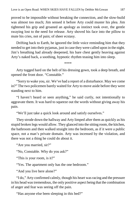proved to be impossible without breaking the connection, and the slow-build was almost too much; Jim sensed it before Arty could muster his plea. Jim tightened his grip and groaned an apology as instinct took over, the gentle swaying lost to the need for release. Arty shoved his face into the pillow to mute his cries, not of pain; of sheer ecstasy.

Drifting back to Earth, he ignored the little voice reminding him that they needed to get into their pyjamas, just in case they were called upon in the night. Jim's breathing had already deepened, his bare chest gently heaving against Arty's naked back, a soothing, hypnotic rhythm teasing him into sleep.

\*\*\*\*

Arty tugged hard on the belt of his dressing gown, took a deep breath, and opened the front door. "Constable."

"Sorry to wake you, sir. We've had a report of a disturbance. May we come in?" The two policemen barely waited for Arty to move aside before they were standing next to him.

"I haven't heard or seen anything," he said curtly, not intentionally to aggravate them. It was hard to squeeze out the words without giving away his pain.

"We'll just take a quick look around and satisfy ourselves."

They strode down the hallway and Arty limped after them as quickly as his stupid broken legs would allow. They glanced into the sitting room, the kitchen, the bathroom and then walked straight into the bedroom, as if it were a public space, not a man's private domain. Arty was incensed by the violation, and there was not a thing he could do about it.

"Are you married, sir?"

"No, Constable. Why do you ask?"

"This is your room, is it?"

"Yes. The apartment only has the one bedroom."

"And you live here alone?"

"I do," Arty confirmed calmly, though his heart was racing and the pressure in his head was tremendous, the only positive aspect being that the combination of anger and fear was seeing off the pain.

"Has anyone else been sleeping in this bed?"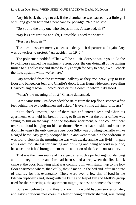Arty bit back the urge to ask if the disturbance was caused by a little girl with long golden hair and a penchant for porridge. "No," he said.

"So you're the only one who sleeps in this *double* bed, sir?"

"My legs are restless at night, Constable. I need the space."

"Restless legs, sir?"

The questions were merely a means to delay their departure, and again, Arty was powerless to protest. "An accident in 1945."

The policeman nodded. "That will be all, sir. Sorry to wake you." As the two officers reached the apartment's front door, the one doing all of the talking turned to his colleague and stated loudly enough for Arty to hear, "We'll check the flats upstairs while we're here."

Arty watched from the communal hallway as they trod heavily up to first floor and banged on Jean and Charlie's door. It was flung wide open, revealing Charlie's angry scowl, Eddie's cries drifting down to where Arty stood.

"What's the meaning of this?" Charlie demanded.

At the same time, Jim descended the stairs from the top floor, stopped a few feet behind the two policemen and asked, "Is everything all right, officers?"

"You check upstairs," one of them said and entered Jean and Charlie's apartment. Arty held his breath, trying to listen to what the other officer was saying to Jim on the way up to the top-floor apartment, but he couldn't hear over the blood banging on his ear drums. He went back inside and shut the door. He wasn't the only one on edge: poor Silky was prowling the hallway like a caged beast. Arty gently scooped her up and went to wait in the bedroom. It was four o'clock in the morning, he was wide awake and he was livid—in part at his own foolishness for dancing and drinking and being so loud in public, because now it had brought them to the attention of the local constabulary.

That was the main source of his anger: after such a perfect night of dancing and intimacy, both he and Jim had been sound asleep when the first knock came at the door. Knowing what was coming, Jim went straight up to the topfloor apartment, where, thankfully, they'd made up the bed and left it in a state of disarray for this eventuality. There were even a few tins of food in the kitchen cupboards and, along with the kettle and teapot Jim and Molly's group used for their meetings, the apartment might just pass as someone's home.

But even before tonight, they'd known this would happen sooner or later, and Arty's previous meekness, his fear of being publicly shamed, was fading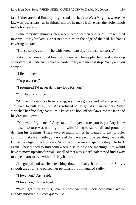fast. If they arrested Jim they might send him back to West Virginia, where the law was just as harsh as in Britain, should he make it alive past the violent mob in his hometown.

Some forty-five minutes later, when the policemen finally left, Jim returned to Arty, utterly broken. He sat next to him on the edge of the bed, his hands covering his face.

"I'm so sorry, darlin'," he whispered hoarsely. "I am so, so sorry."

Arty put an arm around Jim's shoulders, and he toppled helplessly, shaking so violently it made Arty squeeze harder to try and make it stop. "Why are you sorry?"

"I lied to them."

"To protect us."

"I promised I'd never deny my love for you."

"You had no choice."

"All the bullcrap I've been talking, saying we gotta stand tall and proud…" Jim tried to pull away, but Arty refused to let go. As if in cahoots, Silky stretched her front legs over Jim's knees and hooked her claws into the fabric of his dressing gown.

"You were frightened," Arty stated. Jim gave no response, yet Arty knew Jim's self-torture was nothing to do with failing to stand tall and proud, or denying his feelings. There were so many things he wanted to say, to offer comfort, make it all better, but none of them were worth expending the breath. Could they fight this? Unlikely. Now the police were suspicious they'd be back again. They'd need to find somewhere else to hold the meetings. Jim would have to move upstairs for real. But all of that was superficial; they'd find a way to cope, learn to live with it if they had to.

Jim gulped and sniffed, reaching down a shaky hand to stroke Silky's smooth grey fur. She purred her permission. Jim laughed sadly.

"I love you," Arty said.

"I love you," Jim echoed.

"We'll get through this, love, I know we will. Look how much we've already survived." *We've got to live…*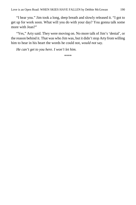"I hear you." Jim took a long, deep breath and slowly released it. "I got to get up for work soon. What will you do with your day? You gonna talk some more with Jean?"

"Yes," Arty said. They were moving on. No more talk of Jim's 'denial', or the reason behind it. That was who Jim was, but it didn't stop Arty from willing him to hear in his heart the words he could not, *would not* say.

*He can't get to you here. I won't let him.*

\*\*\*\*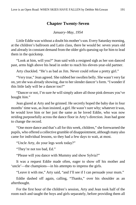## **Chapter Twenty-Seven**

*January–May, 1954*

Little Eddie was without a doubt his mother's son. Every Saturday morning, at the children's ballroom and Latin class, there he would be: seven years old and already in constant demand from the older girls queuing up for him to lead them in the quickstep.

"Look at him, will you?" Jean said with a resigned sigh as her son danced past, arms high above his head in order to reach his eleven-year-old partner.

Arty chuckled. "He's as bad as Jim. Never could refuse a pretty girl."

"Very true," Jean agreed. She rubbed her swollen belly. She wasn't very far on, yet she was already showing, due to her slender dancer's form. "I wonder if this little lady will be a dancer too?"

"Dancer or not, I'm sure *he* will simply adore all those pink dresses you've bought *him*."

Jean glared at Arty and he grinned. He secretly hoped the baby due in four months' time was, as Jean insisted, a girl. He wasn't sure why; whatever it was, he would love him or her just the same as he loved Eddie, who was now striding purposefully across the dance floor in Arty's direction. Jean had gone to change the record.

"One more dance and that's all for this week, children," she forewarned the pupils, who offered a collective grumble of disappointment, although many also came for individual lessons, so they had a few days to wait, at most.

"Uncle Arty, do your legs work today?"

"They're not too bad, Ed."

"Please will you dance with Mummy and show Sylvia?"

It was a request Eddie made often, eager to show off his mother and 'uncle'—the champions—in his attempts to impress the girls.

"Leave it with me," Arty said, "and I'll see if I can persuade your mum."

Eddie dashed off again, calling, "Thanks," over his shoulder as an afterthought.

For the first hour of the children's session, Arty and Jean took half of the room each and taught the boys and girls separately, before providing them all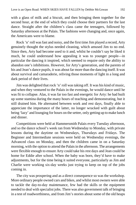with a glass of milk and a biscuit, and then bringing them together for the second hour, at the end of which they could choose their partners for the last dance. Straight after the children's class came the teenagers, followed by Saturday afternoon at the Palais. The fashions were changing and, once again, the Americans were to blame.

Rock 'n' roll was fast and noisy, and the first time Jim played a record, Arty genuinely thought the stylus needed cleaning, which amused Jim to no end. Since then, Arty had become used to it and, whilst he couldn't say he liked it much, he could understand how appealing it was to younger people—in particular the dancing it inspired, which seemed to require only the ability to abandon one's inhibitions. However, for Arty's generation, and the parents of his and Jean's dance pupils, it was about far more than the dancing itself. It was about survival and camaraderie, reliving those moments of light in a long and dark period of their lives.

Jim was delighted that rock 'n' roll was taking off. It was his kind of music, and when they ventured to the Palais in the evenings, he would dance until he was fit to collapse. Alas, it was far too fast and energetic for Arty: he had built up some stamina during the many hours of teaching and demonstrating, but it still drained him. He alternated between work and rest days, finally able to appreciate the importance of the latter, no longer wracked with guilt about being 'lazy' and lounging for hours on the settee, only getting up to make lunch and dinner.

Competitions were held at Hammersmith Palais every Tuesday afternoon, and so the dance school's week ran from Wednesday to Monday, with private lessons during the daytime on Wednesdays, Thursdays and Fridays. The Beginner and Intermediate sessions were held on Wednesday evenings, the Advanced class on Monday, and then the children came in on a Saturday morning, with the option to attend the Palais in the afternoon. The arrangements were flexible enough to ensure Arty could take his rest days and Jean could be home for Eddie after school. When the baby was born, they'd have to make adjustments, but for the time being it suited everyone, particularly as Jim and Charlie were working six-day weeks just trying to keep on top of the jobs coming in.

The city was prospering and as a direct consequence so was the workshop. More ordinary people owned cars and bikes, and whilst most owners were able to tackle the day-to-day maintenance, few had the skills or the equipment needed to deal with specialist jobs. There was also government talk of bringing in a test of roadworthiness, and from Jim's stories about some of the old heaps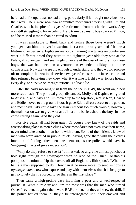he'd had to fix up, it was no bad thing, particularly if it brought more business their way. There were now two apprentice mechanics working with Jim and Charlie, which, in spite of six years' retirement from mechanical work, Arty was still struggling to leave behind. He'd trained so many boys back at Minton, and he missed it more than he cared to admit.

It was remarkable to think back and realise those boys weren't much younger than him, and yet in wartime just a couple of years had felt like a lifetime of experience. Eighteen-year-olds manning gun turrets on bombers what a different breed they were to the eighteen-year-olds they saw at the Palais, all so arrogant and seemingly unaware of the cost of victory. For these boys, the war had been an adventure, an extended holiday out in the countryside. Now they were old enough to understand, and they would soon go off to complete their national service: two years' conscription in peacetime and they returned believing they knew what it was like to fight a war, to lose friends every day, to survive on meagre rations. To live a lie.

After the early morning visit from the police in 1949, life went on, albeit more cautiously. The political group disbanded, Molly and Daphne emigrated to Australia, and Arty and Jim moved up to the top floor, whilst Jean, Charlie and Eddie moved to the ground floor. It gave Eddie direct access to the garden, and most days Arty could take the stairs without too much trouble; however, the main reason was to give Arty and Jim a time buffer, should the boys in blue come calling again. And they did.

For five years, all had been quiet. Of course they knew of the raids and arrests taking place in men's clubs where most dared not even give their name, never mind take another man home with them. Some of their friends knew of men who were arrested in public toilets, having gone there with the express intention of finding other men like them, or, as the police would have it, 'engaging in acts of gross indecency'.

"Why do they refuse to see it?" Jim asked, so angry he almost punched a hole right through the newspaper when he read of the Chief Constable's pompous intention to 'rip the covers off all England's filth spots'. "What the hell's a man supposed to do? How can it be more moral to send in cops as *agents provocateurs* who expose and play with themselves, than it is for guys to get so lonely they're forced to go there in the first place?"

Then came a high-profile case involving a peer and a well-respected journalist. What hurt Arty and Jim the most was that the men who turned Queen's evidence against them were RAF airmen, but they all knew the drill. If the police hauled them in, they'd be interrogated until they cracked and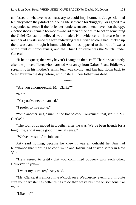confessed to whatever was necessary to avoid imprisonment. Judges claimed leniency when they didn't dole out a life sentence for 'buggery', or agreed to a suspended sentence if the 'offender' underwent treatment—aversion therapy, electric shocks, female hormones—to rid men of the desire to act on something the Chief Constable believed was 'made'. His evidence: an increase in the number of arrests since the war, indicating that British soldiers had 'picked up the disease and brought it home with them', as opposed to the truth. It was a witch hunt of homosexuals, and the Chief Constable was the Witch Finder General.

"If he's a queer, then why haven't I caught it then, eh?" Charlie spat bitterly after the police officers who marched Arty away from Dalton Place. Eddie was screaming in his mother's arms, Jean was crying, and Jim had flown back to West Virginia the day before, with Joshua. Their father was dead.

\*\*\*\*

"Are you a homosexual, Mr. Clarke?"

"No."

"Yet you've never married."

"I prefer to live alone."

"With another single man in the flat below? Convenient that, isn't it, Mr. Clarke?"

"The four of us moved in together after the war. We've been friends for a long time, and it made good financial sense."

"We've arrested Jim Johnson."

Arty said nothing, because he knew it was an outright lie: Jim had telephoned that morning to confirm he and Joshua had arrived safely in New York.

"He's agreed to testify that you committed buggery with each other. However, if you—"

"I want my barrister," Arty said.

"Mr. Clarke, it's almost nine o'clock on a Wednesday evening. I'm quite sure your barrister has better things to do than waste his time on someone like you."

"Like me?"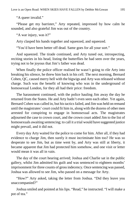"A queer invalid."

"Please get my barrister," Arty repeated, impressed by how calm he sounded, and also grateful Jim was out of the country.

"A war injury, was it?"

Arty clasped his hands together and squeezed, and squeezed.

"You'd have been better off dead. Same goes for all your sort."

And squeezed. The tirade continued, and Arty tuned out, introspecting, reciting stories in his head, listing the butterflies he had seen over the years, trying not to be joyous that Jim's father was dead.

When finally the police officer realised he wasn't going to rile Arty into breaking his silence, he threw him back in his cell. The next morning, Bernard Cohen, QC, caused merry hell with the bigwigs and Arty was released without charge. Such was the benefit of knowing who was in the underground of homosexual London, for they all had their price: freedom.

The harassment continued, with the police hauling Jim away the day he returned from the States. He and Arty hadn't even seen each other. Yet again, Bernard Cohen was called in, but his tactics failed, and Jim was held on remand until the magistrates' court could fit him in, along with the dozens of other men arrested for conspiring to engage in homosexual acts. The magistrates adjourned the case to crown court, and the crown court added Jim to the list of homosexuals awaiting sentencing; to call it a trial would have suggested justice might prevail, and it did not.

Every day Arty waited for the police to come for him. After all, if they had evidence to charge Jim, then surely it must incriminate him too? He was so desperate to see Jim, but as time went by, and Arty was still at liberty, it became apparent that Jim had protected him somehow, and one visit or letter would mean it was all in vain.

The day of the court hearing arrived; Joshua and Charlie sat in the public gallery, whilst Jim admitted his guilt and was sentenced to eighteen months' imprisonment for three counts of gross indecency. Once sentencing was passed, Joshua was allowed to see Jim, who passed on a message for Arty.

"How?" Arty asked, taking the letter from Joshua. "Did they leave you unaccompanied?"

Joshua smiled and pointed at his lips. "Read," he instructed. "I will make a pot of tea."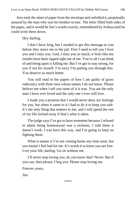Arty took the sheet of paper from the envelope and unfolded it, perpetually amazed by the man who was his brother-in-law. The letter filled both sides of the paper, and it would be Jim's words exactly, remembered by Joshua until he could write them down.

Hey darling,

I don't have long, but I needed to get this message to you before they move me to the jail. First I need to tell you I love you and I miss you. God, I miss you so much, it feels like my insides have been ripped right out of me. You're all I can think of and being apart is killing me. But I've got to stay strong, for you if not for myself. I'm sorry I'm putting you through this. You deserve so much better.

You will read in the papers of how I am guilty of gross indecency with three men whose names I do not know. Please believe me when I tell you none of it is true. You are the only man I have ever loved and the only one I ever will love.

I made you a promise that I would never deny my feelings for you, but when it came to it I had to do it to keep you safe. It's the only thing that matters to me, and I will spend the rest of my life locked away if that's what it takes.

The judge says I've got to have treatment because I refused to admit being homosexual was a sickness. I told them it doesn't work. I was born this way, and I'm going to keep on fighting them.

What it means is I'm not coming home any time soon, but you mustn't feel bad for me. It's worth it to know you are free. Live your life, darling. Go on without me.

I'll never stop loving you, do you know that? Never. But if you can, then please, I beg you. Please stop loving me.

Forever yours,

Jim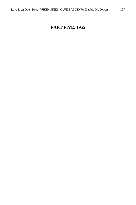# **PART FIVE: 1955**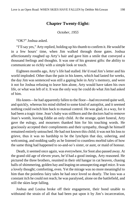## **Chapter Twenty-Eight:**

#### *October, 1955*

"OK?" Joshua asked.

"I'll say yes," Arty replied, holding up his thumb to confirm it. He would be in a few hours' time, when Jim walked through those gates. Joshua affectionately roughed up Arty's hair and gave him a smile that conveyed a thousand feelings and thoughts. It was one of his greatest gifts: the ability to communicate so richly with a simple look or touch.

Eighteen months ago, Arty's life had stalled. He'd read Jim's letter and his world imploded. Other than the pain in his knees, which had lasted for weeks, the day Jim was sentenced was still a gaping hole in Arty's memory, and were it not for Joshua refusing to leave him alone, Arty would have taken his own life, or what was left of it. It was the only way he could do what Jim had asked of him.

His knees—he had apparently fallen to the floor—had recovered quite well, and quickly, whereas his mind shifted to some kind of autopilot, and it seemed nothing could switch him back to manual control. He was glad, in a way, for it had been a tragic time. Jean's baby was stillborn and the doctors had to remove Jean's womb, leaving Eddie an only child. At the strange, quiet funeral, Arty gave the eulogy, and mourners thanked him for his touching words. He graciously accepted their compliments and their sympathy, though he himself remained entirely untouched. He had not known this child; it was not his loss to grieve, thus it was no hardship to be the lynchpin that day, ushering, and welcoming, and nodding sadly as he listened to countless morbid tales of how the same thing had happened to so-and-so's sister, or aunt, or maid of honour.

Death, it seemed once again, was everywhere, for Soot also passed away. At the grand old age of eleven years, he'd had a good innings, Arty reasoned. He pictured the three brothers, reunited in their old hangar in cat heaven, chasing balls of shimmering, golden hay and leaping on unsuspecting angel mice. It was a lovely thought; comforting, even. Yet the mirage was no more meaningful to him than the pointless fairy tales he had once loved so dearly. The loss was a constant itch he could not reach; he was paralysed, alone on the battlefield, and still the skies kept falling.

Joshua and Louisa broke off their engagement, their bond unable to withstand the strain of all that had been put upon it by Jim's incarceration,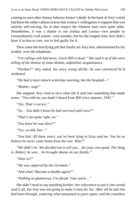coming so soon after Jimmy Johnson Senior's death. In the back of Arty's mind had been the rather callous notion that Joshua's willingness to support him was entirely self-serving, for in that respect the Johnson men were quite alike. Nonetheless, it was a shame to see Joshua and Louisa—two people so extraordinarily well suited—torn asunder, but for the longest time Arty didn't have it in him to care, nor to feel guilty for it.

Then came the horrifying jolt that finally set Arty free, administered by his mother, over the telephone.

*"I'm calling with bad news. Uncle Bill is dead." She said it as if she were telling of the demise of some distant, unfamiliar acquaintance.*

*"Pardon?" Arty asked, his voice rising shrilly; he was convinced he'd misheard.*

*"He had a heart attack yesterday morning, but the hospital—"*

*"Mother, stop!"*

*She stopped. Arty tried to turn what she'd said into something that made sense. "You told me you hadn't heard from Bill since autumn, 1943."*

*"Yes. That's correct."*

*"So… You didn't know he had survived until now?"*

*"That's not quite right, no."*

*"You knew he was alive?"*

*"Yes, we did, but—"*

*"You lied. All these years, you've been lying to Sissy and me. You let us believe he never came home from the war. Why?"*

*"We didn't lie. We decided not to tell you… for your own good. The thing is, Robert, he was… he brought shame on our family."*

*"How so?"*

*"He was captured by the Germans."*

*"And what? Became a double agent?"*

*"Nothing so glamorous, I'm afraid. Your uncle…"*

*She didn't need to say anything further; her reluctance to put it into words said it all, but Arty was not going to make it easy for her. After all he and Jim had been through, enduring what amounted to years apart, and the countless*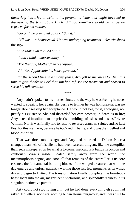*times Arty had tried to write to his parents—a letter that might have led to discovering the truth about Uncle Bill sooner—there would be no gentle reprieve for his mother.*

*"Go on," he prompted coldly. "Say it."*

*"Bill was… a homosexual. He was undergoing treatment—electric shock therapy."*

*"And that's what killed him."*

*"I don't think homosexuality—"*

*"The therapy, Mother," Arty snapped.*

*"Ah. Yes. Apparently his heart gave out."*

*For the second time in as many years, Arty fell to his knees for Jim, this time to give thanks to God that Jim had refused the treatment and chosen to serve his full sentence.*

\*\*\*\*

Arty hadn't spoken to his mother since, and the way he was feeling he never wanted to speak to her again. His desire to tell her he was homosexual was no longer about seeking her acceptance. He would not beg for it, apologise, nor justify his existence. She had discarded her own brother, in death as in life; Arty listened in solitude to the priest's mumblings of ashes and dust as Private William Norris was finally laid to rest: no reversed arms, no salutes and no Last Post for this war hero, because he *had* died in battle, and it was the cruellest and bloodiest of all.

That was three months ago, and Arty had returned to Dalton Place a changed man. All of his life he had been careful, diligent, like the caterpillar that feeds in preparation for what is to come, meticulously builds its cocoon and cautiously crawls inside. Sealed safely away from the world, the metamorphosis begins, and soon all that remains of the caterpillar is its core essence, the fundamental building blocks of the winged creature that will one day emerge and unfurl, patiently waiting those last few moments as its wings dry and begin to flutter. The transformation finally complete, the beauteous beast soars into the air, magnificent, victorious, and splendidly reckless in its singular, instinctive pursuit.

Arty could not stop loving Jim, but he had done everything else Jim had asked. No letters, no visits, nothing but an eternal purgatory, and it was time to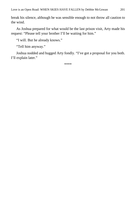break his silence, although he was sensible enough to not throw all caution to the wind.

As Joshua prepared for what would be the last prison visit, Arty made his request: "Please tell your brother I'll be waiting for him."

"I will. But he already knows."

"Tell him anyway."

Joshua nodded and hugged Arty fondly. "I've got a proposal for you both. I'll explain later."

\*\*\*\*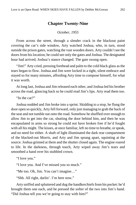## **Chapter Twenty-Nine**

#### *October, 1955*

From across the street, through a slender crack in the blackout paint covering the car's side window, Arty watched Joshua, who, in turn, stood outside the prison gates, watching the vast wooden doors. Arty couldn't see the doors from his location; he could see only the gates and Joshua. The designated hour had arrived; Joshua's stance changed. The gate swung open.

"Jim!" Arty cried, pressing forehead and palm to the cold black glass as the tears began to flow. Joshua and Jim were locked in a tight, silent embrace and stayed so for many minutes, affording Arty time to compose himself, for what it was worth.

At long last, Joshua and Jim released each other, and Joshua led his brother across the road, glancing back so he could read Jim's lips. Arty read them too.

"In the car?"

Joshua nodded and Jim broke into a sprint. Skidding to a stop, he flung the door open so quickly, Arty fell forward, only just managing to grab the back of the seat and not tumble out onto the road. Somehow he shuffled over enough to allow Jim to get into the car, shutting the door behind him, and then he was encapsulated in arms so strong he could not have broken free if he'd fought with all his might. The kisses, at once familiar, left no time to breathe, or speak, and no need for either. A shaft of light illuminated the dark rear compartment of the blacked-out Morris, and Arty and Jim sprang apart, squinting at the source. Joshua grinned at them and the shutter closed again. The engine roared to life. In the darkness, through touch, Arty wiped away Jim's tears and smoothed a hand over his stubbled crown.

"I love you."

"I love you. And I've missed you so much."

"Me too. Oh, Jim. You can't imagine…"

"Shh. All right, darlin'. I'm here now."

Arty sniffed and spluttered and dug the handkerchiefs from his pocket: he'd brought them one each, and he pressed the softer of the two into Jim's hand. "Did Joshua tell you we're going to stay with him?"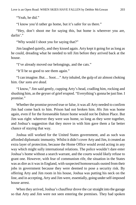"Yeah, he did."

"I know you'd rather go home, but it's safer for us there."

"Hey, don't shoot me for saying this, but home is wherever you are, darlin'."

"Why would I shoot you for saying that?"

Jim laughed quietly, and they kissed again. Arty kept it going for as long as he could, dreading what he needed to tell Jim before they arrived back at the house.

"I've already moved our belongings, and the cats."

"It'll be so good to see them again."

"I can imagine. But… Soot…" Arty inhaled, the gulp of air almost choking him. *Our sons are dead.*

"I know," Jim said gently, cupping Arty's head, cradling him, rocking and shushing him, as the geyser of grief erupted. "Everything's gonna be just fine. I promise."

Whether the promise proved true or false, it was all Arty needed to confirm Jim had come back to him. Prison had not broken him. *His* Jim was home again, even if for the foreseeable future home would not be Dalton Place. But Jim was right: wherever they were *was* home, so long as they were together, and Joshua's suggestion that they move in with him gave them a far better chance of staying that way.

Joshua still worked for the United States government, and as such was afforded diplomatic immunity. Whilst it didn't cover Arty and Jim, it created an extra layer of protection, because the Home Office would avoid acting in any way which might sully international relations. The police wouldn't dare enter Joshua's home without a search warrant, and the courts would likely refuse to grant one. However, with fear of communism rife, the situation in the States was as dire as it was in England, with suspected homosexuals ousted from their jobs in government because they were deemed to pose a security risk. By offering Arty and Jim room in his house, Joshua was putting his neck on the line, and in accepting, Arty and Jim were, essentially, going under self-imposed house arrest.

When they arrived, Joshua's chauffeur drove the car straight into the garage so that Arty and Jim were not seen entering the premises. They had spoken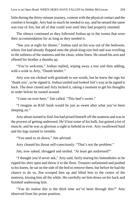little during the thirty-minute journey, content with the physical contact and the comfort it brought. Arty had so much he needed to say, and he sensed the same was true of Jim, but all of that could wait until they had properly reunited.

The silence continued as they followed Joshua up to the rooms that were their accommodation for as long as they needed it.

"See you at eight for dinner," Joshua said on his way out of the bedroom, where Jim had already flopped onto the plush king-size bed and was revelling in the softness of the mattress and the clean, white linen. He raised his arm and offered his brother a thumbs up.

"You're welcome," Joshua replied, wiping away a tear and then adding, with a wink to Arty, "Dumb hoofer."

Arty was too choked with gratitude to use words, but he knew the sign for 'thank you', so he signed it. Joshua smiled and looked Jim's way as he signed it back. The door closed and Arty locked it, taking a moment to get his thoughts in order before he turned around.

"Come on over here," Jim called. "This bed's sweet."

"I imagine an RAF bunk would be just as sweet after what you've been sleeping on."

Arty about-turned to find Jim had prised himself off the mattress and was in the process of getting undressed. He'd lost some of his bulk, but gained a lot of muscle, and he was as glorious a sight to behold as ever. Arty swallowed hard and his legs started to tremble.

"You need to sit down," Jim advised.

Arty cleared his throat self-consciously. "That's not the problem."

Jim, now naked, shrugged and smiled. "At least get undressed?"

"I thought you'd never ask," Arty said, fairly tearing his buttonholes as he ripped his shirt open and threw it to the floor. Trousers unfastened and pushed to his knees, he sat on the side of the bed to remove them, but before he had the chance to do so, Jim scooped him up and lifted him to the centre of the mattress, kissing him all the while. He carefully set him down on his back and finished undressing him.

"You do realise this is the third time we've been through this?" Arty observed from his prone position.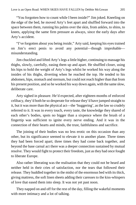"You forgotten how to count while I been inside?" Jim joked. Kneeling on the edge of the bed, he moved Arty's feet apart and shuffled forward into the space between them, running his palms over the skin, from ankles, to shins, to knees, applying the same firm pressure as always, since the early days after Arty's accident.

"I've forgotten about you being *inside*," Arty said, keeping his eyes trained on Jim's erect penis to avoid any potential—though improbable misunderstanding.

Jim chuckled and lifted Arty's legs a little higher, continuing to massage his thighs, slowly, carefully, easing them up and apart. He shuffled closer, using his hips to hold the weight of Arty's legs whilst he worked his way along the insides of his thighs, diverting when he reached the top. He tended to his abdomen, hips, stomach and sternum, but could not reach higher than that from his present position, and so he worked his way down again, with the same slow, deliberate care.

Arty sighed in pleasure. He'd expected, after eighteen months of enforced celibacy, they'd both be so desperate for release they'd have jumped straight to it, but it was more than the physical act—the 'buggering', as the law so crudely referred to it. It was in every touch, every taste, the knowledge they shared of each other's bodies, spots no bigger than a sixpence where the brush of a fingertip was sufficient to ignite every nerve ending. And it was in the connection of their hearts and minds, the trust, faithfulness and sacrifice.

The joining of their bodies was no less erotic on this occasion than any other, but its significance seemed to elevate it to another plane. Three times they had been forced apart; three times they had come back together, and beyond the base carnal act there was a deeper connection sustained by mutual resolve. They would fight to protect their freedom, just as they had once fought to liberate Europe.

Also rather liberating was the realisation that they could not be heard and neither held in their cries of satisfaction, nor the tears that followed their release. They huddled together in the midst of the enormous bed with its thick, giving mattress, the soft linen sheets adding their caresses to the kiss-whispers of love that eased them into sleep. It was not yet past noon.

They napped on and off for the rest of the day, filling the wakeful moments with more intimacy and a lot of talking.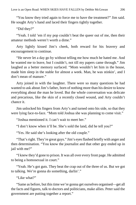"You know they tried again to force me to have the treatment?" Jim said. He sought Arty's hand and laced their fingers tightly together.

"Did they?"

"Yeah. I told 'em if my pop couldn't beat the queer out of me, then their amateur methods weren't worth a dime."

Arty lightly kissed Jim's cheek, both reward for his bravery and encouragement to continue.

"He never let a day go by without telling me how much he hated me. And he wanted me to leave, but I couldn't, not till my papers came through." Jim laughed as a better memory surfaced. "Mom wouldn't let him in the house, made him sleep in the stable for almost a week. Man, he was stinkin', and I don't mean of manure."

Arty joined in with the laughter. There were so many questions he had wanted to ask about Jim's father, born of nothing more than his desire to know everything about the man he loved. But the whole conversation was delicate and precarious, like the skin of a recently closed wound, and Arty couldn't chance it.

Jim unlocked his fingers from Arty's and turned onto his side, so that they were lying face-to-face. "Mom told Joshua she was planning to come visit."

"Joshua mentioned it. I can't wait to meet her."

"I don't know when it'll be. She's sold the land, did he tell you?"

"Yes. He said she's looking after the old couple."

"That's right. They're great guys." Jim's eyes flashed briefly with anger and then determination. "You know the journalist and that other guy ended up in jail with me?"

"I knew they'd gone to prison. It was all over every front page. He admitted to being a homosexual in court."

"Yeah. He's got guts. They beat the crap out of the three of us. But we got to talking. We're gonna do something, darlin'."

"Like what?"

"Same as before, but this time we're gonna get ourselves organised—get all the facts and figures, talk to doctors and politicians, make allies. Peter said the government are putting together a report."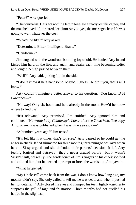"Peter?" Arty queried.

"The journalist. He's got nothing left to lose. He already lost his career, and the man he loved." Jim stared deep into Arty's eyes, the message clear. He was going to war, whatever the cost.

"What's he like?" Arty asked.

"Determined. Bitter. Intelligent. Brave."

"Handsome?"

Jim laughed with the wondrous booming joy of old. He hauled Arty in and kissed him hard on the lips, and again, and again, each time becoming softer and longer. A sigh passed between them.

"Well?" Arty said, poking Jim in the side.

"I don't know if he's handsome. Maybe, I guess. He ain't you, that's all I know."

Arty couldn't imagine a better answer to his question. "You know, D H Lawrence—"

"No way! Only six hours and he's already in the room. How'd he know where to find us?"

"It's relevant," Arty promised. Jim smirked. Arty ignored him and continued, "He wrote *Lady Chatterley's Lover* after the Great War. The copy Antonio owns was published when I was nine years old—"

"A hundred years ago?" Jim teased.

"It's felt like it at times, that's for sure." Arty paused so he could get the anger in check. It had simmered for three months, threatening to boil over when he and Sissy argued and she defended their parents' decision. It left Arty feeling bruised and betrayed—they'd never argued before—but it wasn't Sissy's fault, not really. The gentle touch of Jim's fingers on his cheek soothed and calmed him, but he needed a prompt to force the words out. Jim gave it.

"What happened?"

"My Uncle Bill came back from the war. I don't know how long ago, my mother didn't say. She only called to tell me he was dead, and when I pushed her for details…" Arty closed his eyes and clamped his teeth tightly together to suppress the yell of rage and frustration. Three months had not quelled his hatred in the slightest.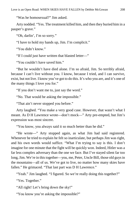"Was he homosexual?" Jim asked.

Arty nodded. "Yes. The treatment killed him, and then they buried him in a pauper's grave."

"Oh, darlin', I'm so sorry."

"I have to hold my hands up, Jim. I'm complicit."

"You didn't know."

"If I could just have written that blasted letter—"

"You couldn't have saved him."

"But he wouldn't have died alone. I'm so afraid, Jim. So terribly afraid, because I can't live without you. I know, because I tried, and I can survive, exist, but not live. I know you've got to do this. It's who you are, and it's one of the many things I love you for."

"If you don't want me to, just say the word."

"No. That would be asking the impossible."

"That ain't never stopped you before."

Arty laughed. "You make a very good case. However, that wasn't what I meant. As D H Lawrence wrote—don't mock—" Arty pre-empted, but Jim's expression was most sincere.

"You know, you always said it so much better than he did."

"He wrote—" Arty stopped again, as what Jim had said registered. Whenever he tried to explain he felt so inarticulate, but perhaps Jim was right, and his own words would suffice. "What I'm trying to say is this. I don't imagine for one minute that the fight will be quickly won. Indeed, Hitler was a far less complex adversary than the one we face. But I've stayed silent far too long, Jim. We're in this together—you, me, Peter, Uncle Bill, those old guys in the mountains—all of us. We've got to live, no matter how many skies have fallen." He grimaced. "That last part was D H Lawrence."

"Yeah." Jim laughed. "I figured. So we're really doing this together?"

"Yes. Together."

"All right! Let's bring down the sky!"

"You know you're asking the impossible?"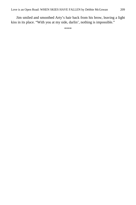Jim smiled and smoothed Arty's hair back from his brow, leaving a light kiss in its place. "With you at my side, darlin', nothing is impossible."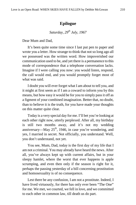## **Epilogue**

*Saturday, 29th July, 1967*

Dear Mum and Dad,

It's been quite some time since I last put pen to paper and wrote you a letter. How strange to think that not so long ago all we possessed was the written word. How impoverished our communication used to be, and yet there is a permanence to this mode of correspondence that a telephone conversation lacks. Imagine if I were calling you now: you would listen, respond, the call would end, and you would promptly forget most of what was said.

I doubt you will ever forget what I am about to tell you, and it might at first seem as if I am a coward to inform you by this means, but how easy it would be for you to simply pass it off as a figment of your combined imagination. Better that, no doubt, than to believe it is the truth, for you have made your thoughts on this matter quite clear.

Today is a very special day for me. I'll bet you're looking at each other right now, utterly perplexed. After all, my birthday is still two months away, and it's not my wedding anniversary—May  $25<sup>th</sup>$ , 1946, in case you're wondering, and yes, I married in secret. Not officially, you understand. Well, you don't understand, not yet.

You see, Mum, Dad, today is the first day of my life that I am not a criminal. You may already have heard the news. After all, you've always kept up with current affairs, but in your sleepy hamlet, where the worst that ever happens is apple scrumping, and even then only if the season is right for it, perhaps the passing yesterday of a bill concerning prostitution and homosexuality is of no consequence.

Lest there be any confusion, I am not a prostitute. Indeed, I have lived virtuously, for there has only ever been "The One" for me. We met, we courted, we fell in love, and we committed to each other in common law, till death us do part.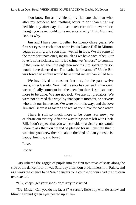You know Jim as my friend, my flatmate, the man who, after my accident, had "nothing better to do" than sit at my bedside, day after day, and has taken care of me ever since, though you never could quite understand why. This, Mum and Dad, is why.

Jim and I have been together for twenty-three years. We first set eyes on each other at the Palais Dance Hall in Minton, began courting, and soon after, we fell in love. We are some of the more fortunate ones, inasmuch as we have each other. Our love is not a sickness, nor is it a crime we "choose" to commit. If that were so, then the eighteen months Jim spent in prison would have deterred us. The barbaric "treatment" Uncle Bill was forced to endure would have cured rather than killed him.

We have lived in constant fear and, for the past twelve years, in reclusivity. Now that the state has decreed us innocent, we can finally come out into the open, but there is still so much more to be done. We are not sick. We are not predators. We were not "turned this way" by inadequate mothers, or perverts who took our innocence. We were born this way, and the love Jim and I share is as sacred and real as your love for each other.

There is still so much more to be done. For now, we celebrate our victory. After the way things were left with Uncle Bill, I don't expect that you will consider it a victory, nor would I dare to ask that you try and be pleased for us. I just felt that it was time you knew the truth about the kind of man your son is: happy, healthy, and loved.

Love,

Robert

\*\*\*\*

Arty ushered the gaggle of pupils into the first two rows of seats along the side of the dance floor. It was Saturday afternoon at Hammersmith Palais, and as always the chance to be 'real' dancers for a couple of hours had the children overexcited.

"OK, chaps, get your shoes on," Arty instructed.

"Oy, Mister. Can you do my laces?" A scruffy little boy with tie askew and blinking round green eyes peered up at Jim.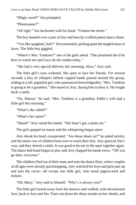"Magic word?" Jim prompted.

"Pleeeeaaase?"

"All right." Jim beckoned with his hand. "Gimme the shoes."

The boy handed over a pair of tiny and heavily scuffed patent dance shoes.

"You like spaghetti, huh?" Jim tormented, picking apart the tangled mess of laces. The little boy giggled.

"Where's Mrs. Tomkins?" one of the girls asked. "She promised she'd be here to watch me and Lucy do the rumba today."

"She had a very special delivery this morning, Alice," Arty said.

The little girl's eyes widened. She spun to face her friends. For several seconds a hiss of whispers behind cupped hands passed around the group, ending at a tall, pigtailed girl, who announced knowledgeably, "Mrs. Tomkins is going to be a grandma." She stared at Arty, daring him to deny it. He fought back a smile.

"No, Sharon," he said. "Mrs. Tomkins *is* a grandma. Eddie's wife had a little girl this morning."

"What's she called?"

"What's her name?"

"Shush!" Arty raised his hands. "She hasn't got a name yet."

The girls gasped en masse and the whispering began anew.

Arty shook his head, exasperated. "Are those shoes on?" he asked sternly, and the entire row of children bent over to reach their feet. Arty glanced Jim's way, and they shared a smile. It was good to be out in the open together again. The dance hall band began to play and Arty clapped his hands twice. "Off you go then, everyone."

The children filed out of their seats and onto the dance floor, where couples of all ages were already quickstepping. Arty watched his boys and girls pair up and join the circle—all except one little girl, who stood pigeon-toed and forlorn.

"Oh, Mary," Arty said to himself. "Why's it always you?"

The little girl turned away from the dancers and walked, with downturned face, back to Arty and Jim. Tears ran down the shiny streaks on her cheeks, and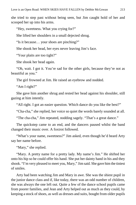she tried to step past without being seen, but Jim caught hold of her and scooped her up into his arms.

"Hey, sweetness. What you crying for?"

She lifted her shoulders in a small dejected shrug.

"Is it because… your shoes are pinching?"

She shook her head, her eyes never leaving Jim's face.

"Your plaits are too tight?"

She shook her head again.

"Oh, wait. I got it. You're sad for the other girls, because they're not as beautiful as you."

The girl frowned at Jim. He raised an eyebrow and nodded.

"Am I right?"

She gave him another shrug and rested her head against his shoulder, still gazing at him intently.

"All right. I got an easier question. Which dance do you like the best?"

"Cha-cha," she replied, her voice so quiet the words barely sounded at all.

"The cha-cha," Jim repeated, nodding sagely. "That's a great dance."

The quickstep came to an end, and the dancers paused whilst the band changed their music over. A foxtrot followed.

"What's your name, sweetness?" Jim asked, even though he'd heard Arty say her name before.

"Mary," she replied.

"Mary. A pretty name for a pretty lady. My name's Jim." He shifted her onto his hip so he could offer his hand. She put her dainty hand in his and they shook. "I'm very pleased to meet you, Mary," Jim said. She gave him the tiniest of smiles.

Arty had been watching Jim and Mary in awe. She was the shiest pupil in the junior dance class and if, like today, there was an odd number of children, she was always the one left out. Quite a few of the dance school pupils came from poorer families, and Jean and Arty helped out as much as they could, by keeping a stock of shoes, as well as dresses and suits, bought from older pupils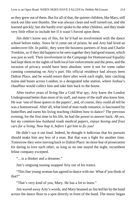as they grew out of them. But for all of that, the quieter children, like Mary, still stuck out like sore thumbs. She was always clean and well turned out, and she learned quickly, but she hardly ever spoke to the other children, and they made very little effort to include her if it wasn't forced upon them.

Jim didn't know any of this, for he'd had no involvement with the dance school before today. Since he'd come out of prison, he and Arty had lived an undercover life. In public, they were the business partners of Jean and Charlie Tomkins, so if they did happen to be seen together they had good reason, which was just as well. Their involvement in the Campaign for Homosexual Equality had kept them in the sights of both local law enforcement and the press, and the invasion of privacy would have been absolute, were it not for some rather cunning commuting on Arty's part. His official residence had always been Dalton Place, and he would return there after work each night, later catching trains and buses across London, to a designated tube station, where Joshua's chauffeur would collect him and take him back to the house.

After twelve years of living like a Cold War spy, Arty knew the London Underground better than most of its staff, and many of the staff also knew him. He was 'one of those queers in the papers', and, of course, they could all tell he was a homosexual. After all, what kind of man reads romance, is fascinated by butterflies and earns his living teaching children how to dance? The previous evening, for the first time in his life, he had the power to answer back: *Ah yes, but my common-law husband reads medical papers, enjoys boxing and fixes cars for a living. Now hop it, before I get him to fix you!*

He didn't say it out loud. Indeed, he thought it ludicrous that his pursuits should make him any less of a man. But that was a fight for another time. Tomorrow they were moving back to Dalton Place: no more fear of prosecution for daring to love each other, so long as no one stayed the night, incumbent feline company excepted.

"…is a thinker and a dreamer."

Jim's singsong teasing snapped Arty out of his trance.

"This fine young woman has agreed to dance with me. What d'you think of that?"

"That's very kind of you, Mary. He has a lot to learn."

Jim waved away Arty's words, and Mary beamed as Jim led her by the hand across the dance floor to a spot directly in front of the band. The music began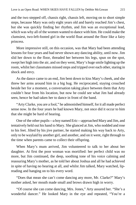and the two stepped off, chassis right, chassis left, moving on to short simple steps, because Mary was only eight years old and barely reached Jim's chest, but she was quickly finding her rhythm, and Jim was an exceptional lead, which was why all of the women wanted to dance with him. He could make the clumsiest, two-left-footed girl in the world float around the floor like a fairy princess.

More impressive still, on this occasion, was that Mary had been attending lessons for four years and had never shown any dancing ability, until now. Jim slid her down to the floor, threaded her between his legs, spun on the spot, swept her high into the air, and on they went, Mary's huge smile lighting up the room, whilst her classmates missed steps and tripped over each other, staring in shock and envy.

As the dance came to an end, Jim bent down to kiss Mary's cheek, and she threw her arms around him in a big hug. He reciprocated, staying crouched beside her for a moment, a conversation taking place between them that Arty couldn't hear from his location, but now he could see what Jim had already seen, hence he had taken her to dance in front of the band.

"Arty Clarke, you are a fool," he admonished himself, for it all made perfect sense now. In the four years he had known Mary, not once did it occur to him that she might be hard of hearing.

One of the other pupils—a boy named Eric—approached Mary and Jim, and tentatively held out his hand to Mary. She glanced at Jim, who nodded and rose to his feet. Jilted by his jive partner, he started making his way back to Arty, only to be waylaid by another girl, and another, and on it went, right through to the time when parents came to collect their offspring.

When Mary's mum arrived, Jim volunteered to talk to her about her daughter. At first the poor woman was mortified: her perfect child was no more, but Jim continued, the deep, soothing tone of his voice calming and reassuring Mary's mother, as he told her about Joshua and all he had achieved in spite of having no hearing at all, and whilst Jim talked, Mary watched, lipreading and hanging on to his every word.

"Does that mean she can't come dancing any more, Mr. Clarke?" Mary's mother asked, her mouth made small and brows drawn high in worry.

"Of course she can come dancing, Mrs. Jones," Arty assured her. "She's a wonderful dancer." He looked Mary in the eye and repeated, "You're a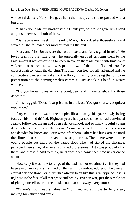wonderful dancer, Mary." He gave her a thumbs up, and she responded with a big grin.

"Thank you," Mary's mother said. "Thank you, both." She gave Jim's hand a tight squeeze with both of hers.

"Same time next week?" Jim said to Mary, who nodded enthusiastically and waved as she followed her mother towards the exit.

Mary and Mrs. Jones were the last to leave, and Arty sighed in relief. He loved teaching the little ones—he especially enjoyed bringing them to the Palais—but it was exhausting to keep an eye on them all, even with Jim's very welcome assistance. Now it was just the two of them, he flopped into the closest chair to watch the dancing. The afternoon free-for-all had ended and the competitive dancers had taken to the floor, currently practising the rumba in preparation for the coming week's contests. Arty shook his head in weary wonder.

"Do you know, love? At some point, Jean and I have taught all of those dancers."

Jim shrugged. "Doesn't surprise me in the least. You got yourselves quite a reputation."

Arty continued to watch the couples lilt and sway, his gaze slowly losing focus as his mind drifted. Eighteen years had passed since he had convinced Jean to follow her dream and open a dance school, and so many hopeful young dancers had come through their doors. Some had stayed for just the one session and decided ballroom and Latin wasn't for them. Others had hung around until the allure of rock 'n' roll proved too strong to resist. Then there were the fine young people out there on the dance floor who had stayed the distance, perfected their style, taken exams; turned professional. Arty was proud of all of them, and himself. And to think, he'd once been convinced he'd never dance again.

How easy it was now to let go of the bad memories, almost as if they had been swept away and subsumed by the swirling rainbow eddies of the dance's eternal ebb and flow. For Arty it had always been like this: reality paled, lost its ugliness in the face of all that grace and beauty. Even in war, just the simple act of giving oneself over to the music could soothe away every trouble.

"Where's your head at, dreamer?" Jim murmured close to Arty's ear, making him shiver and smile.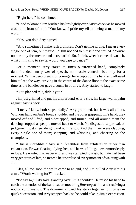"Right here," he confirmed.

"Good to know." Jim brushed his lips lightly over Arty's cheek as he moved around in front of him. "You know, I pride myself on being a man of my word."

"Yes, you do," Arty agreed.

"And sometimes I make rash promises. Don't get me wrong. I mean every single one of 'em, but maybe…" Jim nodded to himself and smiled. "You're not the only dreamer around here, darlin'. So, I think, when it comes down to it, what I'm trying to say is, would you care to dance?"

For a moment, Arty stared at Jim's outstretched hand, completely dumbfounded—no power of speech, no muscle control—but only for a moment. With a deep breath for courage, he accepted Jim's hand and allowed him to lead the way, arriving in the centre of the dance floor at the exact same time as the bandleader gave a count-in of three. Arty started to laugh.

"You planned this, didn't you?"

Jim just grinned and put his arm around Arty's side, his large, warm palm against Arty's back.

"Lucky I know both steps, really," Arty grumbled, but it was all an act. With one hand on Jim's broad shoulder and the other gripping Jim's hand, they moved off and lifted, and sidestepped, and turned, and all around them the dancing stopped as people moved back to watch. No disgust, disapproval, or judgement, just sheer delight and admiration. And then they were clapping, every single one of them; clapping, and whistling, and cheering on the champions.

"This is incredible," Arty said, breathless from exhilaration rather than exhaustion. He was floating, flying free, and he was falling… ever more deeply in love. He wanted it to never end, and was tempted to wish, but fate had been very generous of late, so instead he just relished every moment of waltzing with Jim.

Alas, all too soon the waltz came to an end, and Jim pulled Arty into his arms. "Worth waiting for?" he asked.

"I'd say so," Arty said, glancing over Jim's shoulder. He raised his hand to catch the attention of the bandleader, mouthing *jitterbug* at him and receiving a nod of confirmation. The drummer clicked his sticks together four times in quick succession, and Arty stepped back so he could take in Jim's expression.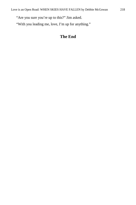- "Are you sure you're up to this?" Jim asked.
- "With you leading me, love, I'm up for anything."

# **The End**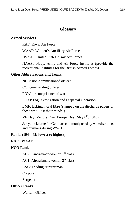## **Glossary**

#### **Armed Services**

RAF: Royal Air Force

WAAF: Women's Auxiliary Air Force

USAAF: United States Army Air Forces

NAAFI: Navy, Army and Air Force Institutes (provide the recreational institutes for the British Armed Forces)

## **Other Abbreviations and Terms**

NCO: non-commissioned officer

CO: commanding officer

POW: prison/prisoner of war

FIDO: Fog Investigation and Dispersal Operation

LMF: lacking moral fibre (stamped on the discharge papers of those who 'lost their minds')

VE Day: Victory Over Europe Day (May  $8<sup>th</sup>$ , 1945)

Jerry: nickname for Germans commonly used by Allied soldiers and civilians during WWII

## **Ranks (1944–45; lowest to highest)**

#### **RAF / WAAF**

## **NCO Ranks**

AC2: Aircraftman/woman  $1<sup>st</sup>$  class

AC1: Aircraftman/woman 2nd class

LAC: Leading Aircraftman

Corporal

Sergeant

#### **Officer Ranks**

Warrant Officer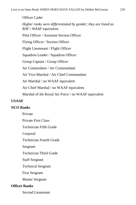Officer Cadet *Higher ranks were differentiated by gender; they are listed as RAF / WAAF equivalent.* Pilot Officer / Assistant Section Officer Flying Officer / Section Officer Flight Lieutenant / Flight Officer Squadron Leader / Squadron Officer Group Captain / Group Officer Air Commodore / Air Commandant Air Vice-Marshal / Air Chief Commandant Air Marshal / no WAAF equivalent Air Chief Marshal / no WAAF equivalent Marshal of the Royal Air Force / no WAAF equivalent

### **USAAF**

#### **NCO Ranks**

Private

Private First Class

Technician Fifth Grade

Corporal

Technician Fourth Grade

Sergeant

Technician Third Grade

Staff Sergeant

Technical Sergeant

First Sergeant

Master Sergeant

## **Officer Ranks**

Second Lieutenant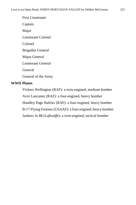| <b>First Lieutenant</b>   |
|---------------------------|
| Captain                   |
| Major                     |
| <b>Lieutenant Colonel</b> |
| Colonel                   |
| <b>Brigadier General</b>  |
| Major General             |
| Lieutenant General        |
| General                   |
| General of the Army       |
|                           |

## **WWII Planes**

Vickers Wellington (RAF): a twin-engined, medium bomber Avro Lancaster (RAF): a four-engined, heavy bomber Handley Page Halifax (RAF): a four-engined, heavy bomber B-17 Flying Fortress (USAAF): a four-engined, heavy bomber Junkers Ju 88 (*Luftwaffe*): a twin-engined, tactical bomber